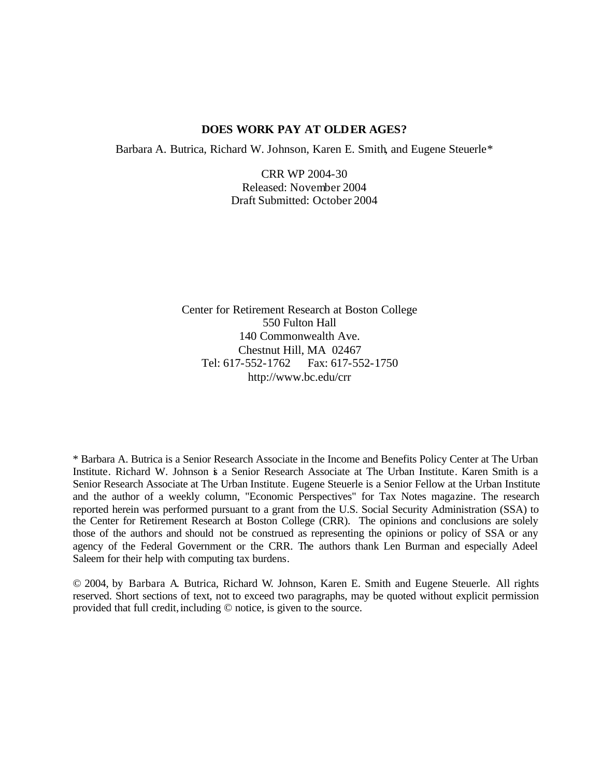## **DOES WORK PAY AT OLDER AGES?**

Barbara A. Butrica, Richard W. Johnson, Karen E. Smith, and Eugene Steuerle\*

CRR WP 2004-30 Released: November 2004 Draft Submitted: October 2004

Center for Retirement Research at Boston College 550 Fulton Hall 140 Commonwealth Ave. Chestnut Hill, MA 02467 Tel: 617-552-1762 Fax: 617-552-1750 http://www.bc.edu/crr

\* Barbara A. Butrica is a Senior Research Associate in the Income and Benefits Policy Center at The Urban Institute. Richard W. Johnson is a Senior Research Associate at The Urban Institute. Karen Smith is a Senior Research Associate at The Urban Institute. Eugene Steuerle is a Senior Fellow at the Urban Institute and the author of a weekly column, "Economic Perspectives" for Tax Notes magazine. The research reported herein was performed pursuant to a grant from the U.S. Social Security Administration (SSA) to the Center for Retirement Research at Boston College (CRR). The opinions and conclusions are solely those of the authors and should not be construed as representing the opinions or policy of SSA or any agency of the Federal Government or the CRR. The authors thank Len Burman and especially Adeel Saleem for their help with computing tax burdens.

© 2004, by Barbara A. Butrica, Richard W. Johnson, Karen E. Smith and Eugene Steuerle. All rights reserved. Short sections of text, not to exceed two paragraphs, may be quoted without explicit permission provided that full credit, including  $\heartsuit$  notice, is given to the source.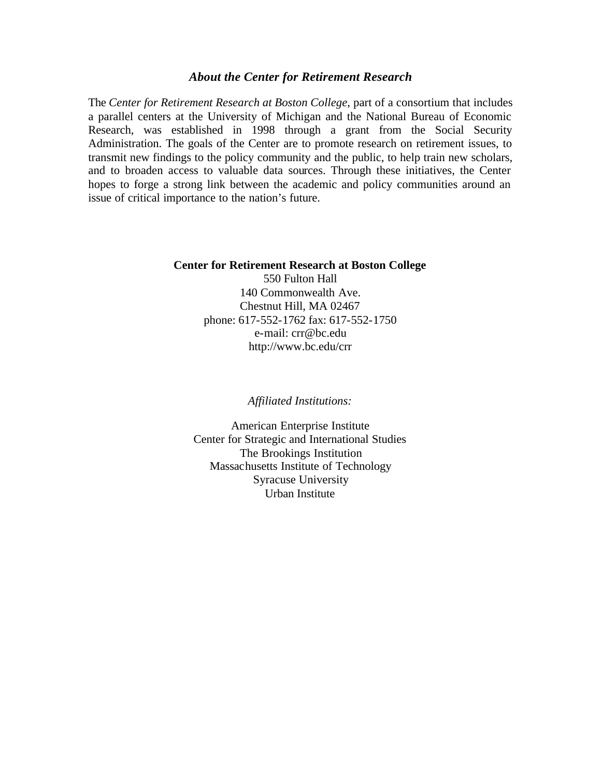#### *About the Center for Retirement Research*

The *Center for Retirement Research at Boston College*, part of a consortium that includes a parallel centers at the University of Michigan and the National Bureau of Economic Research, was established in 1998 through a grant from the Social Security Administration. The goals of the Center are to promote research on retirement issues, to transmit new findings to the policy community and the public, to help train new scholars, and to broaden access to valuable data sources. Through these initiatives, the Center hopes to forge a strong link between the academic and policy communities around an issue of critical importance to the nation's future.

#### **Center for Retirement Research at Boston College**

550 Fulton Hall 140 Commonwealth Ave. Chestnut Hill, MA 02467 phone: 617-552-1762 fax: 617-552-1750 e-mail: crr@bc.edu http://www.bc.edu/crr

*Affiliated Institutions:*

American Enterprise Institute Center for Strategic and International Studies The Brookings Institution Massachusetts Institute of Technology Syracuse University Urban Institute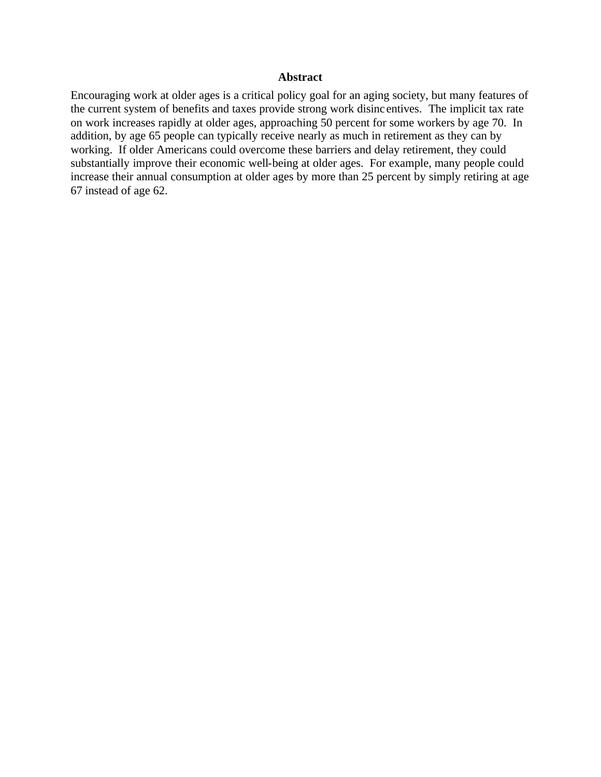## **Abstract**

Encouraging work at older ages is a critical policy goal for an aging society, but many features of the current system of benefits and taxes provide strong work disinc entives. The implicit tax rate on work increases rapidly at older ages, approaching 50 percent for some workers by age 70. In addition, by age 65 people can typically receive nearly as much in retirement as they can by working. If older Americans could overcome these barriers and delay retirement, they could substantially improve their economic well-being at older ages. For example, many people could increase their annual consumption at older ages by more than 25 percent by simply retiring at age 67 instead of age 62.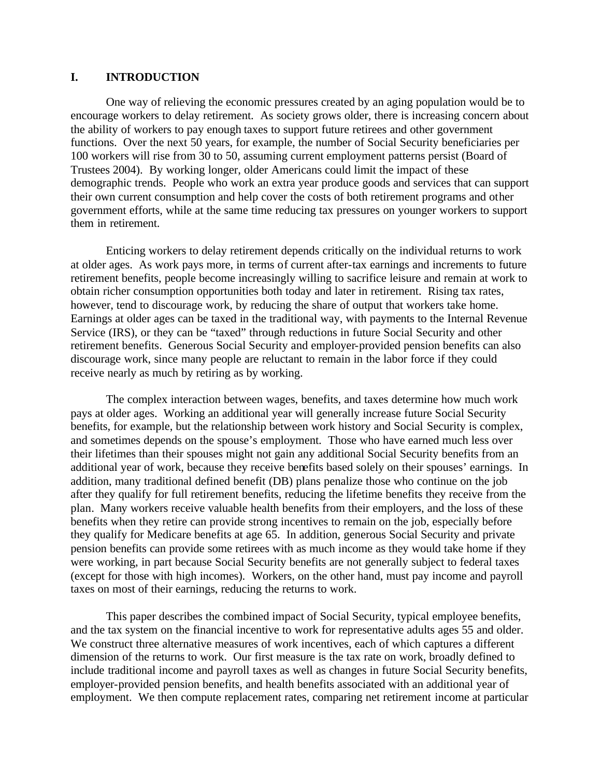## **I. INTRODUCTION**

One way of relieving the economic pressures created by an aging population would be to encourage workers to delay retirement. As society grows older, there is increasing concern about the ability of workers to pay enough taxes to support future retirees and other government functions. Over the next 50 years, for example, the number of Social Security beneficiaries per 100 workers will rise from 30 to 50, assuming current employment patterns persist (Board of Trustees 2004). By working longer, older Americans could limit the impact of these demographic trends. People who work an extra year produce goods and services that can support their own current consumption and help cover the costs of both retirement programs and other government efforts, while at the same time reducing tax pressures on younger workers to support them in retirement.

Enticing workers to delay retirement depends critically on the individual returns to work at older ages. As work pays more, in terms of current after-tax earnings and increments to future retirement benefits, people become increasingly willing to sacrifice leisure and remain at work to obtain richer consumption opportunities both today and later in retirement. Rising tax rates, however, tend to discourage work, by reducing the share of output that workers take home. Earnings at older ages can be taxed in the traditional way, with payments to the Internal Revenue Service (IRS), or they can be "taxed" through reductions in future Social Security and other retirement benefits. Generous Social Security and employer-provided pension benefits can also discourage work, since many people are reluctant to remain in the labor force if they could receive nearly as much by retiring as by working.

The complex interaction between wages, benefits, and taxes determine how much work pays at older ages. Working an additional year will generally increase future Social Security benefits, for example, but the relationship between work history and Social Security is complex, and sometimes depends on the spouse's employment. Those who have earned much less over their lifetimes than their spouses might not gain any additional Social Security benefits from an additional year of work, because they receive benefits based solely on their spouses' earnings. In addition, many traditional defined benefit (DB) plans penalize those who continue on the job after they qualify for full retirement benefits, reducing the lifetime benefits they receive from the plan. Many workers receive valuable health benefits from their employers, and the loss of these benefits when they retire can provide strong incentives to remain on the job, especially before they qualify for Medicare benefits at age 65. In addition, generous Social Security and private pension benefits can provide some retirees with as much income as they would take home if they were working, in part because Social Security benefits are not generally subject to federal taxes (except for those with high incomes). Workers, on the other hand, must pay income and payroll taxes on most of their earnings, reducing the returns to work.

This paper describes the combined impact of Social Security, typical employee benefits, and the tax system on the financial incentive to work for representative adults ages 55 and older. We construct three alternative measures of work incentives, each of which captures a different dimension of the returns to work. Our first measure is the tax rate on work, broadly defined to include traditional income and payroll taxes as well as changes in future Social Security benefits, employer-provided pension benefits, and health benefits associated with an additional year of employment. We then compute replacement rates, comparing net retirement income at particular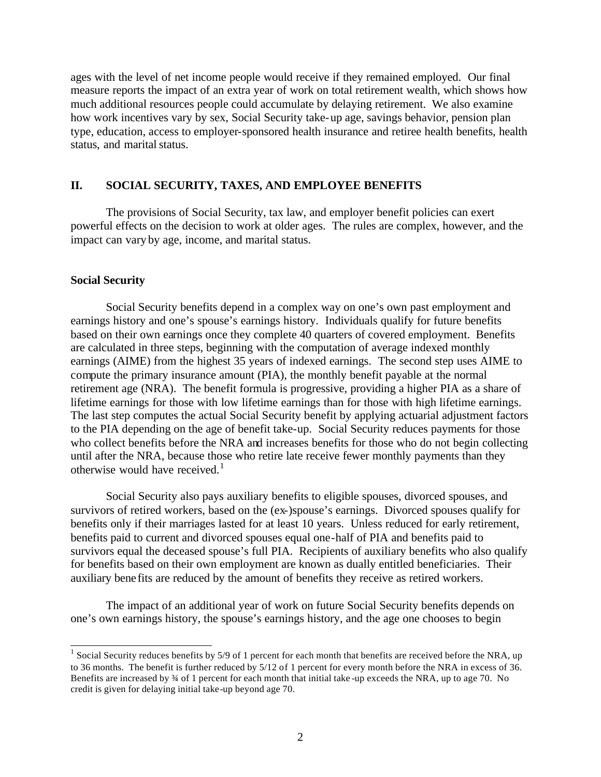ages with the level of net income people would receive if they remained employed. Our final measure reports the impact of an extra year of work on total retirement wealth, which shows how much additional resources people could accumulate by delaying retirement. We also examine how work incentives vary by sex, Social Security take-up age, savings behavior, pension plan type, education, access to employer-sponsored health insurance and retiree health benefits, health status, and marital status.

## **II. SOCIAL SECURITY, TAXES, AND EMPLOYEE BENEFITS**

The provisions of Social Security, tax law, and employer benefit policies can exert powerful effects on the decision to work at older ages. The rules are complex, however, and the impact can vary by age, income, and marital status.

## **Social Security**

Social Security benefits depend in a complex way on one's own past employment and earnings history and one's spouse's earnings history. Individuals qualify for future benefits based on their own earnings once they complete 40 quarters of covered employment. Benefits are calculated in three steps, beginning with the computation of average indexed monthly earnings (AIME) from the highest 35 years of indexed earnings. The second step uses AIME to compute the primary insurance amount (PIA), the monthly benefit payable at the normal retirement age (NRA). The benefit formula is progressive, providing a higher PIA as a share of lifetime earnings for those with low lifetime earnings than for those with high lifetime earnings. The last step computes the actual Social Security benefit by applying actuarial adjustment factors to the PIA depending on the age of benefit take-up. Social Security reduces payments for those who collect benefits before the NRA and increases benefits for those who do not begin collecting until after the NRA, because those who retire late receive fewer monthly payments than they otherwise would have received. $<sup>1</sup>$ </sup>

Social Security also pays auxiliary benefits to eligible spouses, divorced spouses, and survivors of retired workers, based on the (ex-)spouse's earnings. Divorced spouses qualify for benefits only if their marriages lasted for at least 10 years. Unless reduced for early retirement, benefits paid to current and divorced spouses equal one-half of PIA and benefits paid to survivors equal the deceased spouse's full PIA. Recipients of auxiliary benefits who also qualify for benefits based on their own employment are known as dually entitled beneficiaries. Their auxiliary bene fits are reduced by the amount of benefits they receive as retired workers.

The impact of an additional year of work on future Social Security benefits depends on one's own earnings history, the spouse's earnings history, and the age one chooses to begin

<sup>&</sup>lt;sup>1</sup> Social Security reduces benefits by 5/9 of 1 percent for each month that benefits are received before the NRA, up to 36 months. The benefit is further reduced by 5/12 of 1 percent for every month before the NRA in excess of 36. Benefits are increased by 34 of 1 percent for each month that initial take -up exceeds the NRA, up to age 70. No credit is given for delaying initial take-up beyond age 70.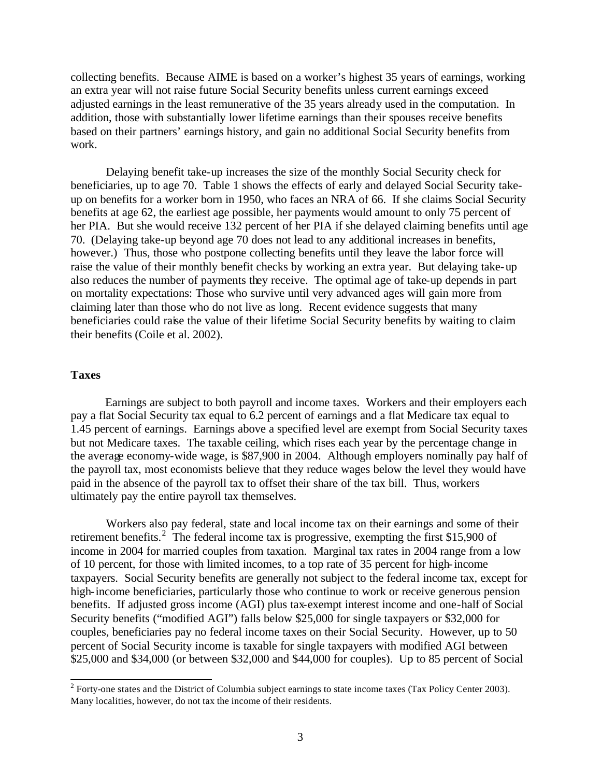collecting benefits. Because AIME is based on a worker's highest 35 years of earnings, working an extra year will not raise future Social Security benefits unless current earnings exceed adjusted earnings in the least remunerative of the 35 years already used in the computation. In addition, those with substantially lower lifetime earnings than their spouses receive benefits based on their partners' earnings history, and gain no additional Social Security benefits from work.

Delaying benefit take-up increases the size of the monthly Social Security check for beneficiaries, up to age 70. Table 1 shows the effects of early and delayed Social Security takeup on benefits for a worker born in 1950, who faces an NRA of 66. If she claims Social Security benefits at age 62, the earliest age possible, her payments would amount to only 75 percent of her PIA. But she would receive 132 percent of her PIA if she delayed claiming benefits until age 70. (Delaying take-up beyond age 70 does not lead to any additional increases in benefits, however.) Thus, those who postpone collecting benefits until they leave the labor force will raise the value of their monthly benefit checks by working an extra year. But delaying take-up also reduces the number of payments they receive. The optimal age of take-up depends in part on mortality expectations: Those who survive until very advanced ages will gain more from claiming later than those who do not live as long. Recent evidence suggests that many beneficiaries could raise the value of their lifetime Social Security benefits by waiting to claim their benefits (Coile et al. 2002).

## **Taxes**

Earnings are subject to both payroll and income taxes. Workers and their employers each pay a flat Social Security tax equal to 6.2 percent of earnings and a flat Medicare tax equal to 1.45 percent of earnings. Earnings above a specified level are exempt from Social Security taxes but not Medicare taxes. The taxable ceiling, which rises each year by the percentage change in the average economy-wide wage, is \$87,900 in 2004. Although employers nominally pay half of the payroll tax, most economists believe that they reduce wages below the level they would have paid in the absence of the payroll tax to offset their share of the tax bill. Thus, workers ultimately pay the entire payroll tax themselves.

Workers also pay federal, state and local income tax on their earnings and some of their retirement benefits.<sup>2</sup> The federal income tax is progressive, exempting the first \$15,900 of income in 2004 for married couples from taxation. Marginal tax rates in 2004 range from a low of 10 percent, for those with limited incomes, to a top rate of 35 percent for high-income taxpayers. Social Security benefits are generally not subject to the federal income tax, except for high-income beneficiaries, particularly those who continue to work or receive generous pension benefits. If adjusted gross income (AGI) plus tax-exempt interest income and one-half of Social Security benefits ("modified AGI") falls below \$25,000 for single taxpayers or \$32,000 for couples, beneficiaries pay no federal income taxes on their Social Security. However, up to 50 percent of Social Security income is taxable for single taxpayers with modified AGI between \$25,000 and \$34,000 (or between \$32,000 and \$44,000 for couples). Up to 85 percent of Social

<sup>&</sup>lt;sup>2</sup> Forty-one states and the District of Columbia subject earnings to state income taxes (Tax Policy Center 2003). Many localities, however, do not tax the income of their residents.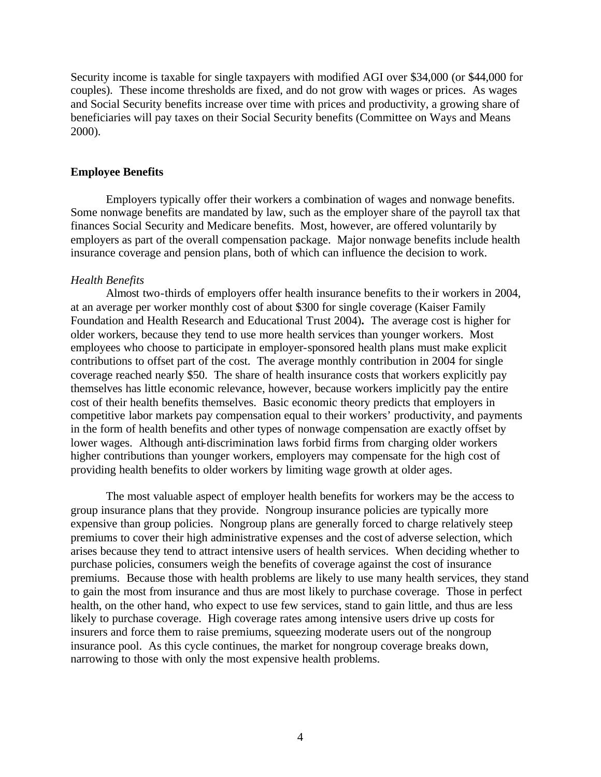Security income is taxable for single taxpayers with modified AGI over \$34,000 (or \$44,000 for couples). These income thresholds are fixed, and do not grow with wages or prices. As wages and Social Security benefits increase over time with prices and productivity, a growing share of beneficiaries will pay taxes on their Social Security benefits (Committee on Ways and Means 2000).

#### **Employee Benefits**

Employers typically offer their workers a combination of wages and nonwage benefits. Some nonwage benefits are mandated by law, such as the employer share of the payroll tax that finances Social Security and Medicare benefits. Most, however, are offered voluntarily by employers as part of the overall compensation package. Major nonwage benefits include health insurance coverage and pension plans, both of which can influence the decision to work.

## *Health Benefits*

Almost two-thirds of employers offer health insurance benefits to the ir workers in 2004, at an average per worker monthly cost of about \$300 for single coverage (Kaiser Family Foundation and Health Research and Educational Trust 2004)**.** The average cost is higher for older workers, because they tend to use more health services than younger workers. Most employees who choose to participate in employer-sponsored health plans must make explicit contributions to offset part of the cost. The average monthly contribution in 2004 for single coverage reached nearly \$50. The share of health insurance costs that workers explicitly pay themselves has little economic relevance, however, because workers implicitly pay the entire cost of their health benefits themselves. Basic economic theory predicts that employers in competitive labor markets pay compensation equal to their workers' productivity, and payments in the form of health benefits and other types of nonwage compensation are exactly offset by lower wages. Although anti-discrimination laws forbid firms from charging older workers higher contributions than younger workers, employers may compensate for the high cost of providing health benefits to older workers by limiting wage growth at older ages.

The most valuable aspect of employer health benefits for workers may be the access to group insurance plans that they provide. Nongroup insurance policies are typically more expensive than group policies. Nongroup plans are generally forced to charge relatively steep premiums to cover their high administrative expenses and the cost of adverse selection, which arises because they tend to attract intensive users of health services. When deciding whether to purchase policies, consumers weigh the benefits of coverage against the cost of insurance premiums. Because those with health problems are likely to use many health services, they stand to gain the most from insurance and thus are most likely to purchase coverage. Those in perfect health, on the other hand, who expect to use few services, stand to gain little, and thus are less likely to purchase coverage. High coverage rates among intensive users drive up costs for insurers and force them to raise premiums, squeezing moderate users out of the nongroup insurance pool. As this cycle continues, the market for nongroup coverage breaks down, narrowing to those with only the most expensive health problems.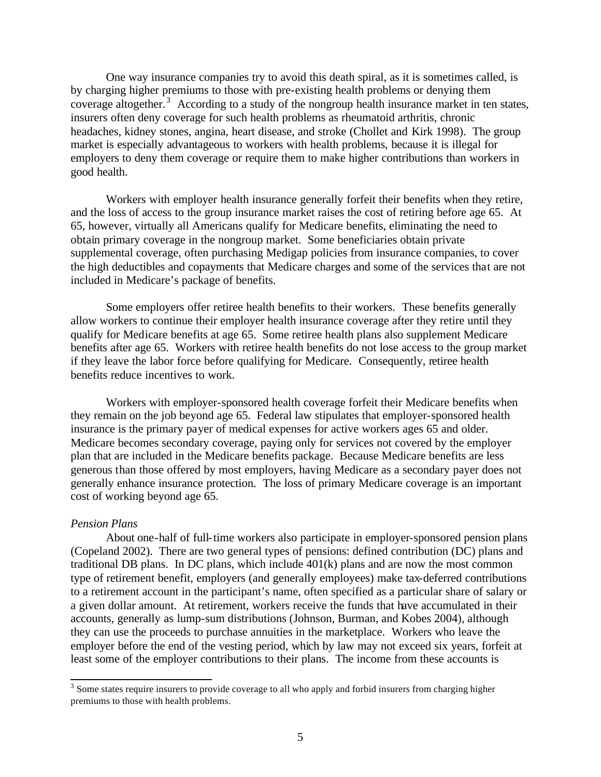One way insurance companies try to avoid this death spiral, as it is sometimes called, is by charging higher premiums to those with pre-existing health problems or denying them coverage altogether.<sup>3</sup> According to a study of the nongroup health insurance market in ten states, insurers often deny coverage for such health problems as rheumatoid arthritis, chronic headaches, kidney stones, angina, heart disease, and stroke (Chollet and Kirk 1998). The group market is especially advantageous to workers with health problems, because it is illegal for employers to deny them coverage or require them to make higher contributions than workers in good health.

Workers with employer health insurance generally forfeit their benefits when they retire, and the loss of access to the group insurance market raises the cost of retiring before age 65. At 65, however, virtually all Americans qualify for Medicare benefits, eliminating the need to obtain primary coverage in the nongroup market. Some beneficiaries obtain private supplemental coverage, often purchasing Medigap policies from insurance companies, to cover the high deductibles and copayments that Medicare charges and some of the services that are not included in Medicare's package of benefits.

Some employers offer retiree health benefits to their workers. These benefits generally allow workers to continue their employer health insurance coverage after they retire until they qualify for Medicare benefits at age 65. Some retiree health plans also supplement Medicare benefits after age 65. Workers with retiree health benefits do not lose access to the group market if they leave the labor force before qualifying for Medicare. Consequently, retiree health benefits reduce incentives to work.

Workers with employer-sponsored health coverage forfeit their Medicare benefits when they remain on the job beyond age 65. Federal law stipulates that employer-sponsored health insurance is the primary payer of medical expenses for active workers ages 65 and older. Medicare becomes secondary coverage, paying only for services not covered by the employer plan that are included in the Medicare benefits package. Because Medicare benefits are less generous than those offered by most employers, having Medicare as a secondary payer does not generally enhance insurance protection. The loss of primary Medicare coverage is an important cost of working beyond age 65.

#### *Pension Plans*

About one-half of full-time workers also participate in employer-sponsored pension plans (Copeland 2002). There are two general types of pensions: defined contribution (DC) plans and traditional DB plans. In DC plans, which include 401(k) plans and are now the most common type of retirement benefit, employers (and generally employees) make tax-deferred contributions to a retirement account in the participant's name, often specified as a particular share of salary or a given dollar amount. At retirement, workers receive the funds that have accumulated in their accounts, generally as lump-sum distributions (Johnson, Burman, and Kobes 2004), although they can use the proceeds to purchase annuities in the marketplace. Workers who leave the employer before the end of the vesting period, which by law may not exceed six years, forfeit at least some of the employer contributions to their plans. The income from these accounts is

<sup>&</sup>lt;sup>3</sup> Some states require insurers to provide coverage to all who apply and forbid insurers from charging higher premiums to those with health problems.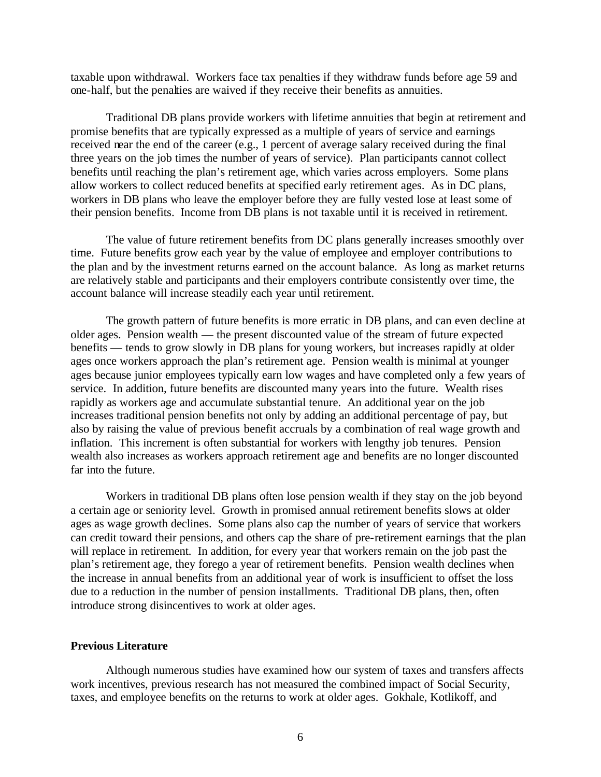taxable upon withdrawal. Workers face tax penalties if they withdraw funds before age 59 and one-half, but the penalties are waived if they receive their benefits as annuities.

Traditional DB plans provide workers with lifetime annuities that begin at retirement and promise benefits that are typically expressed as a multiple of years of service and earnings received near the end of the career (e.g., 1 percent of average salary received during the final three years on the job times the number of years of service). Plan participants cannot collect benefits until reaching the plan's retirement age, which varies across employers. Some plans allow workers to collect reduced benefits at specified early retirement ages. As in DC plans, workers in DB plans who leave the employer before they are fully vested lose at least some of their pension benefits. Income from DB plans is not taxable until it is received in retirement.

The value of future retirement benefits from DC plans generally increases smoothly over time. Future benefits grow each year by the value of employee and employer contributions to the plan and by the investment returns earned on the account balance. As long as market returns are relatively stable and participants and their employers contribute consistently over time, the account balance will increase steadily each year until retirement.

The growth pattern of future benefits is more erratic in DB plans, and can even decline at older ages. Pension wealth — the present discounted value of the stream of future expected benefits — tends to grow slowly in DB plans for young workers, but increases rapidly at older ages once workers approach the plan's retirement age. Pension wealth is minimal at younger ages because junior employees typically earn low wages and have completed only a few years of service. In addition, future benefits are discounted many years into the future. Wealth rises rapidly as workers age and accumulate substantial tenure. An additional year on the job increases traditional pension benefits not only by adding an additional percentage of pay, but also by raising the value of previous benefit accruals by a combination of real wage growth and inflation. This increment is often substantial for workers with lengthy job tenures. Pension wealth also increases as workers approach retirement age and benefits are no longer discounted far into the future.

Workers in traditional DB plans often lose pension wealth if they stay on the job beyond a certain age or seniority level. Growth in promised annual retirement benefits slows at older ages as wage growth declines. Some plans also cap the number of years of service that workers can credit toward their pensions, and others cap the share of pre-retirement earnings that the plan will replace in retirement. In addition, for every year that workers remain on the job past the plan's retirement age, they forego a year of retirement benefits. Pension wealth declines when the increase in annual benefits from an additional year of work is insufficient to offset the loss due to a reduction in the number of pension installments. Traditional DB plans, then, often introduce strong disincentives to work at older ages.

#### **Previous Literature**

Although numerous studies have examined how our system of taxes and transfers affects work incentives, previous research has not measured the combined impact of Social Security, taxes, and employee benefits on the returns to work at older ages. Gokhale, Kotlikoff, and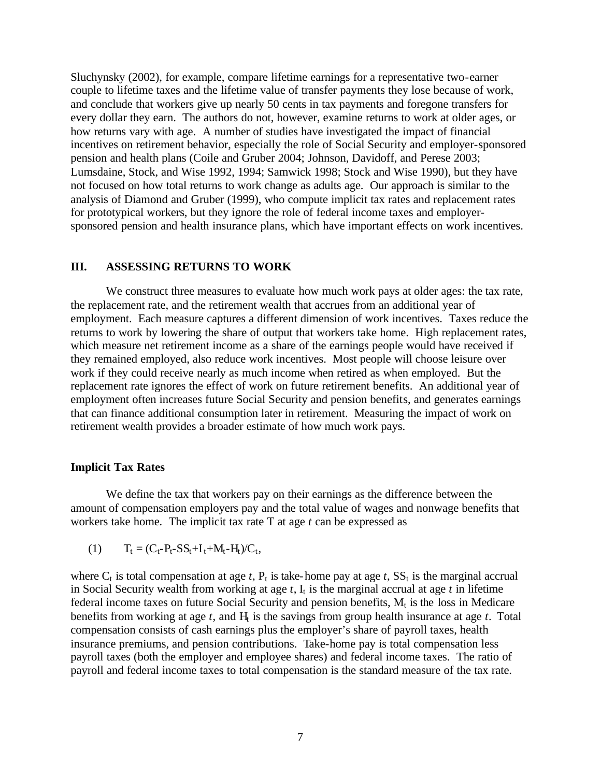Sluchynsky (2002), for example, compare lifetime earnings for a representative two-earner couple to lifetime taxes and the lifetime value of transfer payments they lose because of work, and conclude that workers give up nearly 50 cents in tax payments and foregone transfers for every dollar they earn. The authors do not, however, examine returns to work at older ages, or how returns vary with age. A number of studies have investigated the impact of financial incentives on retirement behavior, especially the role of Social Security and employer-sponsored pension and health plans (Coile and Gruber 2004; Johnson, Davidoff, and Perese 2003; Lumsdaine, Stock, and Wise 1992, 1994; Samwick 1998; Stock and Wise 1990), but they have not focused on how total returns to work change as adults age. Our approach is similar to the analysis of Diamond and Gruber (1999), who compute implicit tax rates and replacement rates for prototypical workers, but they ignore the role of federal income taxes and employersponsored pension and health insurance plans, which have important effects on work incentives.

## **III. ASSESSING RETURNS TO WORK**

We construct three measures to evaluate how much work pays at older ages: the tax rate, the replacement rate, and the retirement wealth that accrues from an additional year of employment. Each measure captures a different dimension of work incentives. Taxes reduce the returns to work by lowering the share of output that workers take home. High replacement rates, which measure net retirement income as a share of the earnings people would have received if they remained employed, also reduce work incentives. Most people will choose leisure over work if they could receive nearly as much income when retired as when employed. But the replacement rate ignores the effect of work on future retirement benefits. An additional year of employment often increases future Social Security and pension benefits, and generates earnings that can finance additional consumption later in retirement. Measuring the impact of work on retirement wealth provides a broader estimate of how much work pays.

### **Implicit Tax Rates**

We define the tax that workers pay on their earnings as the difference between the amount of compensation employers pay and the total value of wages and nonwage benefits that workers take home. The implicit tax rate T at age *t* can be expressed as

(1)  $T_t = (C_t - P_t - SS_t + I_t + M_t - H_t)/C_t,$ 

where  $C_t$  is total compensation at age *t*,  $P_t$  is take-home pay at age *t*,  $SS_t$  is the marginal accrual in Social Security wealth from working at age  $t$ ,  $I_t$  is the marginal accrual at age  $t$  in lifetime federal income taxes on future Social Security and pension benefits,  $M_t$  is the loss in Medicare benefits from working at age  $t$ , and  $H_t$  is the savings from group health insurance at age  $t$ . Total compensation consists of cash earnings plus the employer's share of payroll taxes, health insurance premiums, and pension contributions. Take-home pay is total compensation less payroll taxes (both the employer and employee shares) and federal income taxes. The ratio of payroll and federal income taxes to total compensation is the standard measure of the tax rate.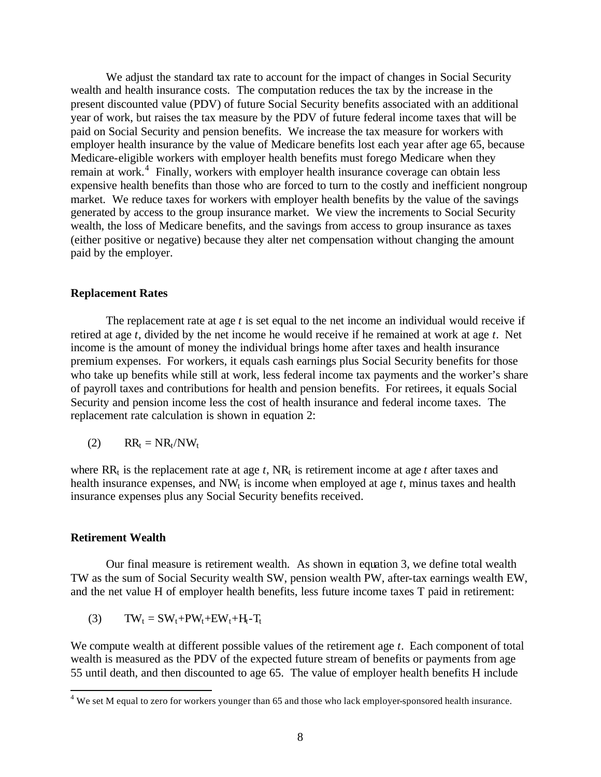We adjust the standard tax rate to account for the impact of changes in Social Security wealth and health insurance costs. The computation reduces the tax by the increase in the present discounted value (PDV) of future Social Security benefits associated with an additional year of work, but raises the tax measure by the PDV of future federal income taxes that will be paid on Social Security and pension benefits. We increase the tax measure for workers with employer health insurance by the value of Medicare benefits lost each year after age 65, because Medicare-eligible workers with employer health benefits must forego Medicare when they remain at work.<sup>4</sup> Finally, workers with employer health insurance coverage can obtain less expensive health benefits than those who are forced to turn to the costly and inefficient nongroup market. We reduce taxes for workers with employer health benefits by the value of the savings generated by access to the group insurance market. We view the increments to Social Security wealth, the loss of Medicare benefits, and the savings from access to group insurance as taxes (either positive or negative) because they alter net compensation without changing the amount paid by the employer.

## **Replacement Rates**

The replacement rate at age *t* is set equal to the net income an individual would receive if retired at age *t*, divided by the net income he would receive if he remained at work at age *t*. Net income is the amount of money the individual brings home after taxes and health insurance premium expenses. For workers, it equals cash earnings plus Social Security benefits for those who take up benefits while still at work, less federal income tax payments and the worker's share of payroll taxes and contributions for health and pension benefits. For retirees, it equals Social Security and pension income less the cost of health insurance and federal income taxes. The replacement rate calculation is shown in equation 2:

$$
(2) \qquad RR_t = NR_t/NW_t
$$

where  $RR_t$  is the replacement rate at age *t*,  $NR_t$  is retirement income at age *t* after taxes and health insurance expenses, and  $NW_t$  is income when employed at age  $t$ , minus taxes and health insurance expenses plus any Social Security benefits received.

### **Retirement Wealth**

l

Our final measure is retirement wealth. As shown in equation 3, we define total wealth TW as the sum of Social Security wealth SW, pension wealth PW, after-tax earnings wealth EW, and the net value H of employer health benefits, less future income taxes T paid in retirement:

(3)  $TW_t = SW_t + PW_t + EW_t + H_t - T_t$ 

We compute wealth at different possible values of the retirement age *t*. Each component of total wealth is measured as the PDV of the expected future stream of benefits or payments from age 55 until death, and then discounted to age 65. The value of employer health benefits H include

 $4$  We set M equal to zero for workers younger than 65 and those who lack employer-sponsored health insurance.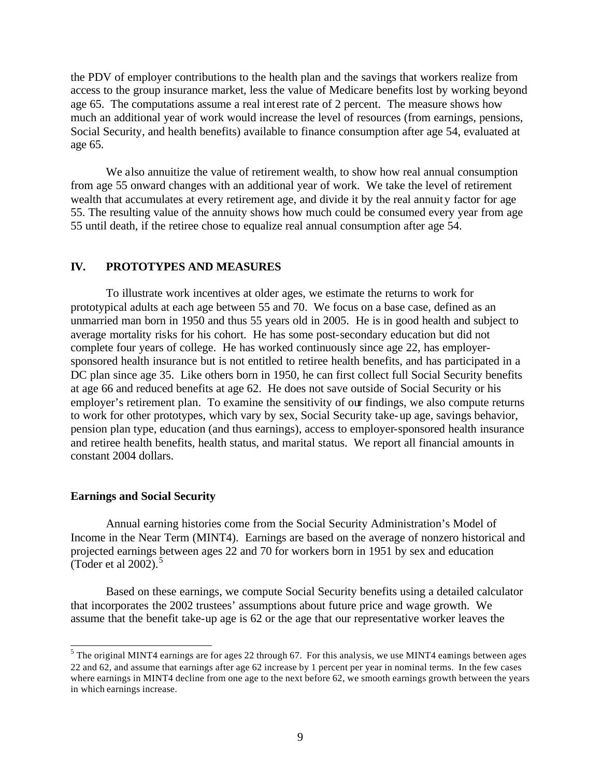the PDV of employer contributions to the health plan and the savings that workers realize from access to the group insurance market, less the value of Medicare benefits lost by working beyond age 65. The computations assume a real int erest rate of 2 percent. The measure shows how much an additional year of work would increase the level of resources (from earnings, pensions, Social Security, and health benefits) available to finance consumption after age 54, evaluated at age 65.

We also annuitize the value of retirement wealth, to show how real annual consumption from age 55 onward changes with an additional year of work. We take the level of retirement wealth that accumulates at every retirement age, and divide it by the real annuity factor for age 55. The resulting value of the annuity shows how much could be consumed every year from age 55 until death, if the retiree chose to equalize real annual consumption after age 54.

## **IV. PROTOTYPES AND MEASURES**

To illustrate work incentives at older ages, we estimate the returns to work for prototypical adults at each age between 55 and 70. We focus on a base case, defined as an unmarried man born in 1950 and thus 55 years old in 2005. He is in good health and subject to average mortality risks for his cohort. He has some post-secondary education but did not complete four years of college. He has worked continuously since age 22, has employersponsored health insurance but is not entitled to retiree health benefits, and has participated in a DC plan since age 35. Like others born in 1950, he can first collect full Social Security benefits at age 66 and reduced benefits at age 62. He does not save outside of Social Security or his employer's retirement plan. To examine the sensitivity of our findings, we also compute returns to work for other prototypes, which vary by sex, Social Security take-up age, savings behavior, pension plan type, education (and thus earnings), access to employer-sponsored health insurance and retiree health benefits, health status, and marital status. We report all financial amounts in constant 2004 dollars.

#### **Earnings and Social Security**

Annual earning histories come from the Social Security Administration's Model of Income in the Near Term (MINT4). Earnings are based on the average of nonzero historical and projected earnings between ages 22 and 70 for workers born in 1951 by sex and education (Toder et al  $2002$ ).<sup>5</sup>

Based on these earnings, we compute Social Security benefits using a detailed calculator that incorporates the 2002 trustees' assumptions about future price and wage growth. We assume that the benefit take-up age is 62 or the age that our representative worker leaves the

<sup>&</sup>lt;sup>5</sup> The original MINT4 earnings are for ages 22 through 67. For this analysis, we use MINT4 eamings between ages 22 and 62, and assume that earnings after age 62 increase by 1 percent per year in nominal terms. In the few cases where earnings in MINT4 decline from one age to the next before 62, we smooth earnings growth between the years in which earnings increase.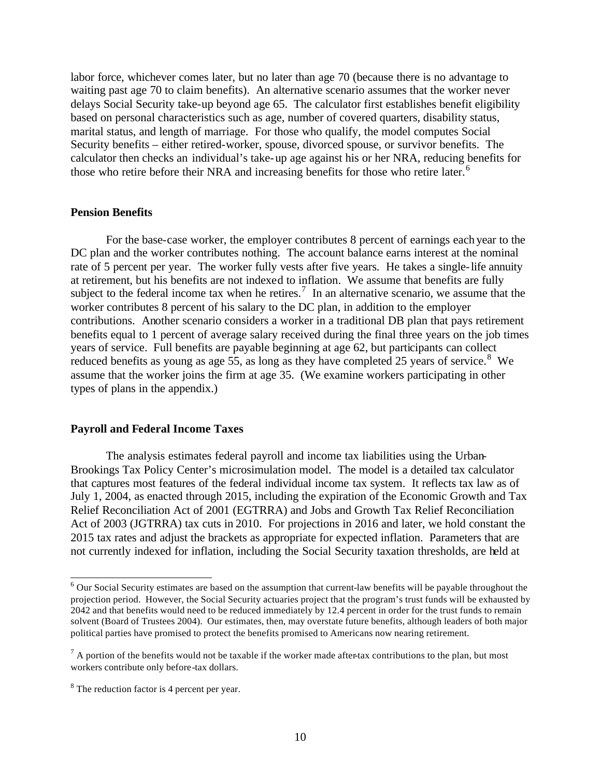labor force, whichever comes later, but no later than age 70 (because there is no advantage to waiting past age 70 to claim benefits). An alternative scenario assumes that the worker never delays Social Security take-up beyond age 65. The calculator first establishes benefit eligibility based on personal characteristics such as age, number of covered quarters, disability status, marital status, and length of marriage. For those who qualify, the model computes Social Security benefits – either retired-worker, spouse, divorced spouse, or survivor benefits. The calculator then checks an individual's take-up age against his or her NRA, reducing benefits for those who retire before their NRA and increasing benefits for those who retire later.<sup>6</sup>

#### **Pension Benefits**

For the base-case worker, the employer contributes 8 percent of earnings each year to the DC plan and the worker contributes nothing. The account balance earns interest at the nominal rate of 5 percent per year. The worker fully vests after five years. He takes a single-life annuity at retirement, but his benefits are not indexed to inflation. We assume that benefits are fully subject to the federal income tax when he retires.<sup>7</sup> In an alternative scenario, we assume that the worker contributes 8 percent of his salary to the DC plan, in addition to the employer contributions. Another scenario considers a worker in a traditional DB plan that pays retirement benefits equal to 1 percent of average salary received during the final three years on the job times years of service. Full benefits are payable beginning at age 62, but participants can collect reduced benefits as young as age 55, as long as they have completed 25 years of service.<sup>8</sup> We assume that the worker joins the firm at age 35. (We examine workers participating in other types of plans in the appendix.)

#### **Payroll and Federal Income Taxes**

The analysis estimates federal payroll and income tax liabilities using the Urban-Brookings Tax Policy Center's microsimulation model. The model is a detailed tax calculator that captures most features of the federal individual income tax system. It reflects tax law as of July 1, 2004, as enacted through 2015, including the expiration of the Economic Growth and Tax Relief Reconciliation Act of 2001 (EGTRRA) and Jobs and Growth Tax Relief Reconciliation Act of 2003 (JGTRRA) tax cuts in 2010. For projections in 2016 and later, we hold constant the 2015 tax rates and adjust the brackets as appropriate for expected inflation. Parameters that are not currently indexed for inflation, including the Social Security taxation thresholds, are held at

 6 Our Social Security estimates are based on the assumption that current-law benefits will be payable throughout the projection period. However, the Social Security actuaries project that the program's trust funds will be exhausted by 2042 and that benefits would need to be reduced immediately by 12.4 percent in order for the trust funds to remain solvent (Board of Trustees 2004). Our estimates, then, may overstate future benefits, although leaders of both major political parties have promised to protect the benefits promised to Americans now nearing retirement.

 $<sup>7</sup>$  A portion of the benefits would not be taxable if the worker made after-tax contributions to the plan, but most</sup> workers contribute only before-tax dollars.

 $8<sup>8</sup>$  The reduction factor is 4 percent per year.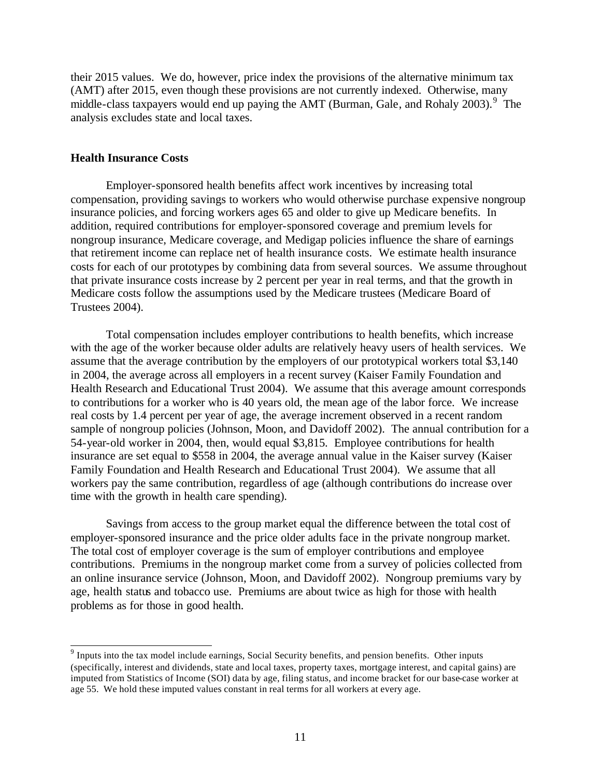their 2015 values. We do, however, price index the provisions of the alternative minimum tax (AMT) after 2015, even though these provisions are not currently indexed. Otherwise, many middle-class taxpayers would end up paying the AMT (Burman, Gale, and Rohaly 2003).<sup>9</sup> The analysis excludes state and local taxes.

## **Health Insurance Costs**

Employer-sponsored health benefits affect work incentives by increasing total compensation, providing savings to workers who would otherwise purchase expensive nongroup insurance policies, and forcing workers ages 65 and older to give up Medicare benefits. In addition, required contributions for employer-sponsored coverage and premium levels for nongroup insurance, Medicare coverage, and Medigap policies influence the share of earnings that retirement income can replace net of health insurance costs. We estimate health insurance costs for each of our prototypes by combining data from several sources. We assume throughout that private insurance costs increase by 2 percent per year in real terms, and that the growth in Medicare costs follow the assumptions used by the Medicare trustees (Medicare Board of Trustees 2004).

Total compensation includes employer contributions to health benefits, which increase with the age of the worker because older adults are relatively heavy users of health services. We assume that the average contribution by the employers of our prototypical workers total \$3,140 in 2004, the average across all employers in a recent survey (Kaiser Family Foundation and Health Research and Educational Trust 2004). We assume that this average amount corresponds to contributions for a worker who is 40 years old, the mean age of the labor force. We increase real costs by 1.4 percent per year of age, the average increment observed in a recent random sample of nongroup policies (Johnson, Moon, and Davidoff 2002). The annual contribution for a 54-year-old worker in 2004, then, would equal \$3,815. Employee contributions for health insurance are set equal to \$558 in 2004, the average annual value in the Kaiser survey (Kaiser Family Foundation and Health Research and Educational Trust 2004). We assume that all workers pay the same contribution, regardless of age (although contributions do increase over time with the growth in health care spending).

Savings from access to the group market equal the difference between the total cost of employer-sponsored insurance and the price older adults face in the private nongroup market. The total cost of employer coverage is the sum of employer contributions and employee contributions. Premiums in the nongroup market come from a survey of policies collected from an online insurance service (Johnson, Moon, and Davidoff 2002). Nongroup premiums vary by age, health status and tobacco use. Premiums are about twice as high for those with health problems as for those in good health.

<sup>&</sup>lt;sup>9</sup> Inputs into the tax model include earnings, Social Security benefits, and pension benefits. Other inputs (specifically, interest and dividends, state and local taxes, property taxes, mortgage interest, and capital gains) are imputed from Statistics of Income (SOI) data by age, filing status, and income bracket for our base-case worker at age 55. We hold these imputed values constant in real terms for all workers at every age.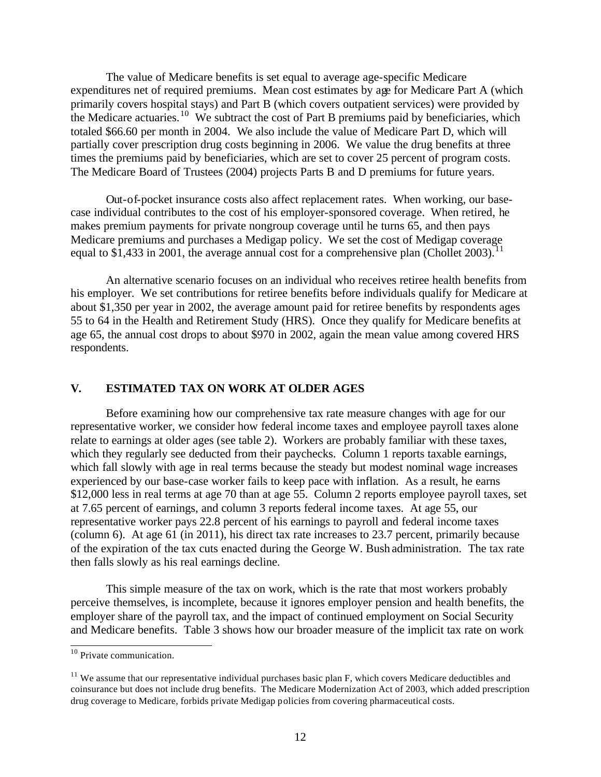The value of Medicare benefits is set equal to average age-specific Medicare expenditures net of required premiums. Mean cost estimates by age for Medicare Part A (which primarily covers hospital stays) and Part B (which covers outpatient services) were provided by the Medicare actuaries.<sup>10</sup> We subtract the cost of Part B premiums paid by beneficiaries, which totaled \$66.60 per month in 2004. We also include the value of Medicare Part D, which will partially cover prescription drug costs beginning in 2006. We value the drug benefits at three times the premiums paid by beneficiaries, which are set to cover 25 percent of program costs. The Medicare Board of Trustees (2004) projects Parts B and D premiums for future years.

Out-of-pocket insurance costs also affect replacement rates. When working, our basecase individual contributes to the cost of his employer-sponsored coverage. When retired, he makes premium payments for private nongroup coverage until he turns 65, and then pays Medicare premiums and purchases a Medigap policy. We set the cost of Medigap coverage equal to \$1,433 in 2001, the average annual cost for a comprehensive plan (Chollet 2003).<sup>11</sup>

An alternative scenario focuses on an individual who receives retiree health benefits from his employer. We set contributions for retiree benefits before individuals qualify for Medicare at about \$1,350 per year in 2002, the average amount paid for retiree benefits by respondents ages 55 to 64 in the Health and Retirement Study (HRS). Once they qualify for Medicare benefits at age 65, the annual cost drops to about \$970 in 2002, again the mean value among covered HRS respondents.

## **V. ESTIMATED TAX ON WORK AT OLDER AGES**

Before examining how our comprehensive tax rate measure changes with age for our representative worker, we consider how federal income taxes and employee payroll taxes alone relate to earnings at older ages (see table 2). Workers are probably familiar with these taxes, which they regularly see deducted from their paychecks. Column 1 reports taxable earnings, which fall slowly with age in real terms because the steady but modest nominal wage increases experienced by our base-case worker fails to keep pace with inflation. As a result, he earns \$12,000 less in real terms at age 70 than at age 55. Column 2 reports employee payroll taxes, set at 7.65 percent of earnings, and column 3 reports federal income taxes. At age 55, our representative worker pays 22.8 percent of his earnings to payroll and federal income taxes (column 6). At age 61 (in 2011), his direct tax rate increases to 23.7 percent, primarily because of the expiration of the tax cuts enacted during the George W. Bush administration. The tax rate then falls slowly as his real earnings decline.

This simple measure of the tax on work, which is the rate that most workers probably perceive themselves, is incomplete, because it ignores employer pension and health benefits, the employer share of the payroll tax, and the impact of continued employment on Social Security and Medicare benefits. Table 3 shows how our broader measure of the implicit tax rate on work

l

<sup>&</sup>lt;sup>10</sup> Private communication.

 $11$  We assume that our representative individual purchases basic plan F, which covers Medicare deductibles and coinsurance but does not include drug benefits. The Medicare Modernization Act of 2003, which added prescription drug coverage to Medicare, forbids private Medigap policies from covering pharmaceutical costs.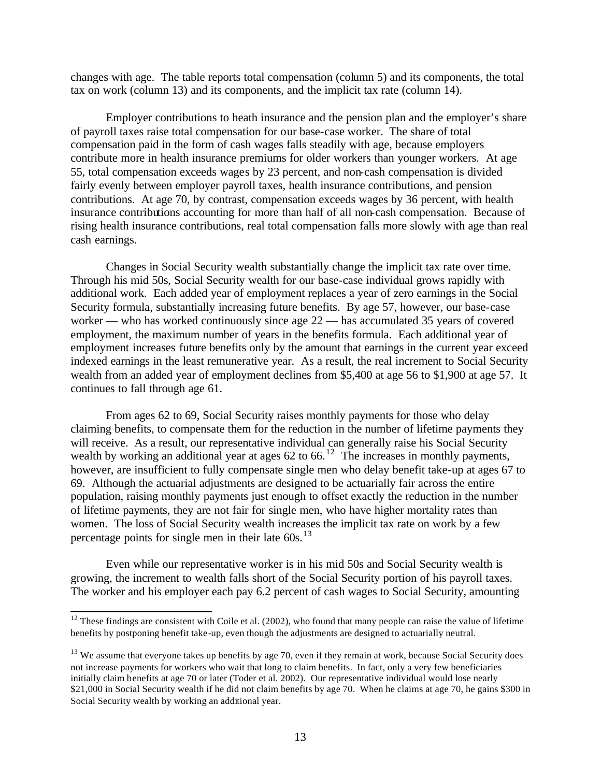changes with age. The table reports total compensation (column 5) and its components, the total tax on work (column 13) and its components, and the implicit tax rate (column 14).

Employer contributions to heath insurance and the pension plan and the employer's share of payroll taxes raise total compensation for our base-case worker. The share of total compensation paid in the form of cash wages falls steadily with age, because employers contribute more in health insurance premiums for older workers than younger workers. At age 55, total compensation exceeds wages by 23 percent, and non-cash compensation is divided fairly evenly between employer payroll taxes, health insurance contributions, and pension contributions. At age 70, by contrast, compensation exceeds wages by 36 percent, with health insurance contributions accounting for more than half of all non-cash compensation. Because of rising health insurance contributions, real total compensation falls more slowly with age than real cash earnings.

Changes in Social Security wealth substantially change the implicit tax rate over time. Through his mid 50s, Social Security wealth for our base-case individual grows rapidly with additional work. Each added year of employment replaces a year of zero earnings in the Social Security formula, substantially increasing future benefits. By age 57, however, our base-case worker — who has worked continuously since age 22 — has accumulated 35 years of covered employment, the maximum number of years in the benefits formula. Each additional year of employment increases future benefits only by the amount that earnings in the current year exceed indexed earnings in the least remunerative year. As a result, the real increment to Social Security wealth from an added year of employment declines from \$5,400 at age 56 to \$1,900 at age 57. It continues to fall through age 61.

From ages 62 to 69, Social Security raises monthly payments for those who delay claiming benefits, to compensate them for the reduction in the number of lifetime payments they will receive. As a result, our representative individual can generally raise his Social Security wealth by working an additional year at ages  $62$  to  $66<sup>12</sup>$ . The increases in monthly payments, however, are insufficient to fully compensate single men who delay benefit take-up at ages 67 to 69. Although the actuarial adjustments are designed to be actuarially fair across the entire population, raising monthly payments just enough to offset exactly the reduction in the number of lifetime payments, they are not fair for single men, who have higher mortality rates than women. The loss of Social Security wealth increases the implicit tax rate on work by a few percentage points for single men in their late  $60s$ .<sup>13</sup>

Even while our representative worker is in his mid 50s and Social Security wealth is growing, the increment to wealth falls short of the Social Security portion of his payroll taxes. The worker and his employer each pay 6.2 percent of cash wages to Social Security, amounting

l

 $12$  These findings are consistent with Coile et al. (2002), who found that many people can raise the value of lifetime benefits by postponing benefit take-up, even though the adjustments are designed to actuarially neutral.

 $13$  We assume that everyone takes up benefits by age 70, even if they remain at work, because Social Security does not increase payments for workers who wait that long to claim benefits. In fact, only a very few beneficiaries initially claim benefits at age 70 or later (Toder et al. 2002). Our representative individual would lose nearly \$21,000 in Social Security wealth if he did not claim benefits by age 70. When he claims at age 70, he gains \$300 in Social Security wealth by working an additional year.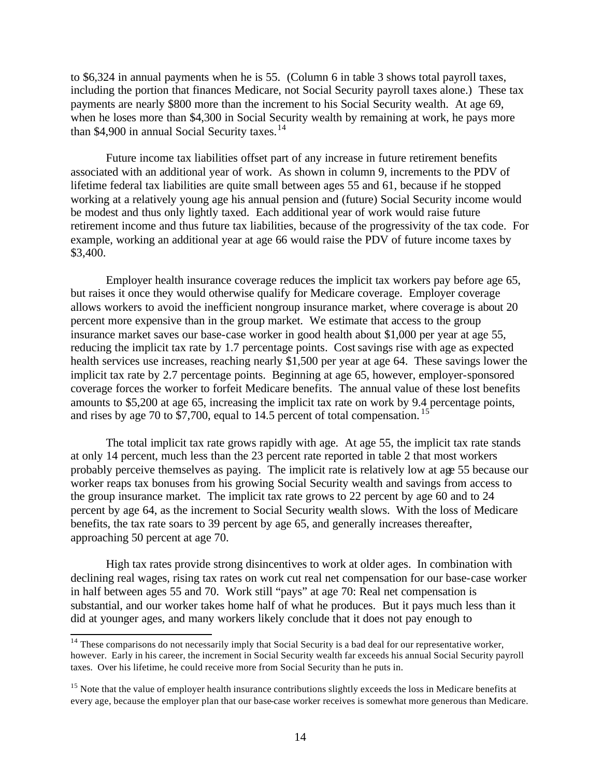to \$6,324 in annual payments when he is 55. (Column 6 in table 3 shows total payroll taxes, including the portion that finances Medicare, not Social Security payroll taxes alone.) These tax payments are nearly \$800 more than the increment to his Social Security wealth. At age 69, when he loses more than \$4,300 in Social Security wealth by remaining at work, he pays more than \$4,900 in annual Social Security taxes.<sup>14</sup>

Future income tax liabilities offset part of any increase in future retirement benefits associated with an additional year of work. As shown in column 9, increments to the PDV of lifetime federal tax liabilities are quite small between ages 55 and 61, because if he stopped working at a relatively young age his annual pension and (future) Social Security income would be modest and thus only lightly taxed. Each additional year of work would raise future retirement income and thus future tax liabilities, because of the progressivity of the tax code. For example, working an additional year at age 66 would raise the PDV of future income taxes by \$3,400.

Employer health insurance coverage reduces the implicit tax workers pay before age 65, but raises it once they would otherwise qualify for Medicare coverage. Employer coverage allows workers to avoid the inefficient nongroup insurance market, where coverage is about 20 percent more expensive than in the group market. We estimate that access to the group insurance market saves our base-case worker in good health about \$1,000 per year at age 55, reducing the implicit tax rate by 1.7 percentage points. Cost savings rise with age as expected health services use increases, reaching nearly \$1,500 per year at age 64. These savings lower the implicit tax rate by 2.7 percentage points. Beginning at age 65, however, employer-sponsored coverage forces the worker to forfeit Medicare benefits. The annual value of these lost benefits amounts to \$5,200 at age 65, increasing the implicit tax rate on work by 9.4 percentage points, and rises by age 70 to \$7,700, equal to 14.5 percent of total compensation.<sup>15</sup>

The total implicit tax rate grows rapidly with age. At age 55, the implicit tax rate stands at only 14 percent, much less than the 23 percent rate reported in table 2 that most workers probably perceive themselves as paying. The implicit rate is relatively low at age 55 because our worker reaps tax bonuses from his growing Social Security wealth and savings from access to the group insurance market. The implicit tax rate grows to 22 percent by age 60 and to 24 percent by age 64, as the increment to Social Security wealth slows. With the loss of Medicare benefits, the tax rate soars to 39 percent by age 65, and generally increases thereafter, approaching 50 percent at age 70.

High tax rates provide strong disincentives to work at older ages. In combination with declining real wages, rising tax rates on work cut real net compensation for our base-case worker in half between ages 55 and 70. Work still "pays" at age 70: Real net compensation is substantial, and our worker takes home half of what he produces. But it pays much less than it did at younger ages, and many workers likely conclude that it does not pay enough to

l

 $14$  These comparisons do not necessarily imply that Social Security is a bad deal for our representative worker, however. Early in his career, the increment in Social Security wealth far exceeds his annual Social Security payroll taxes. Over his lifetime, he could receive more from Social Security than he puts in.

<sup>&</sup>lt;sup>15</sup> Note that the value of employer health insurance contributions slightly exceeds the loss in Medicare benefits at every age, because the employer plan that our base-case worker receives is somewhat more generous than Medicare.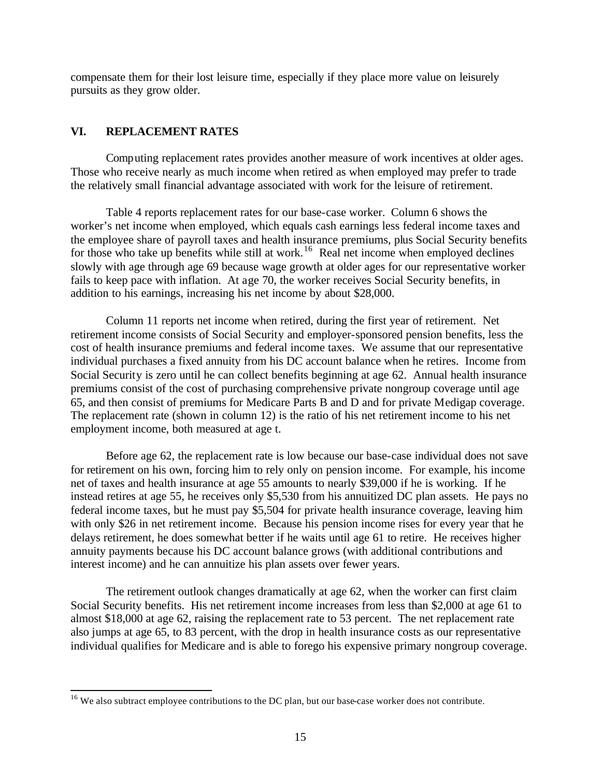compensate them for their lost leisure time, especially if they place more value on leisurely pursuits as they grow older.

## **VI. REPLACEMENT RATES**

l

Computing replacement rates provides another measure of work incentives at older ages. Those who receive nearly as much income when retired as when employed may prefer to trade the relatively small financial advantage associated with work for the leisure of retirement.

Table 4 reports replacement rates for our base-case worker. Column 6 shows the worker's net income when employed, which equals cash earnings less federal income taxes and the employee share of payroll taxes and health insurance premiums, plus Social Security benefits for those who take up benefits while still at work.<sup>16</sup> Real net income when employed declines slowly with age through age 69 because wage growth at older ages for our representative worker fails to keep pace with inflation. At age 70, the worker receives Social Security benefits, in addition to his earnings, increasing his net income by about \$28,000.

Column 11 reports net income when retired, during the first year of retirement. Net retirement income consists of Social Security and employer-sponsored pension benefits, less the cost of health insurance premiums and federal income taxes. We assume that our representative individual purchases a fixed annuity from his DC account balance when he retires. Income from Social Security is zero until he can collect benefits beginning at age 62. Annual health insurance premiums consist of the cost of purchasing comprehensive private nongroup coverage until age 65, and then consist of premiums for Medicare Parts B and D and for private Medigap coverage. The replacement rate (shown in column 12) is the ratio of his net retirement income to his net employment income, both measured at age t.

Before age 62, the replacement rate is low because our base-case individual does not save for retirement on his own, forcing him to rely only on pension income. For example, his income net of taxes and health insurance at age 55 amounts to nearly \$39,000 if he is working. If he instead retires at age 55, he receives only \$5,530 from his annuitized DC plan assets. He pays no federal income taxes, but he must pay \$5,504 for private health insurance coverage, leaving him with only \$26 in net retirement income. Because his pension income rises for every year that he delays retirement, he does somewhat better if he waits until age 61 to retire. He receives higher annuity payments because his DC account balance grows (with additional contributions and interest income) and he can annuitize his plan assets over fewer years.

The retirement outlook changes dramatically at age 62, when the worker can first claim Social Security benefits. His net retirement income increases from less than \$2,000 at age 61 to almost \$18,000 at age 62, raising the replacement rate to 53 percent. The net replacement rate also jumps at age 65, to 83 percent, with the drop in health insurance costs as our representative individual qualifies for Medicare and is able to forego his expensive primary nongroup coverage.

<sup>&</sup>lt;sup>16</sup> We also subtract employee contributions to the DC plan, but our base-case worker does not contribute.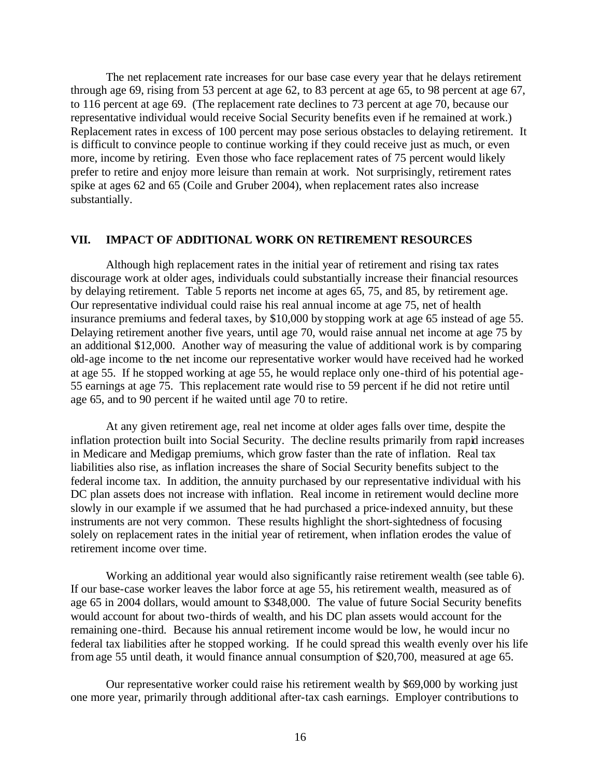The net replacement rate increases for our base case every year that he delays retirement through age 69, rising from 53 percent at age 62, to 83 percent at age 65, to 98 percent at age 67, to 116 percent at age 69. (The replacement rate declines to 73 percent at age 70, because our representative individual would receive Social Security benefits even if he remained at work.) Replacement rates in excess of 100 percent may pose serious obstacles to delaying retirement. It is difficult to convince people to continue working if they could receive just as much, or even more, income by retiring. Even those who face replacement rates of 75 percent would likely prefer to retire and enjoy more leisure than remain at work. Not surprisingly, retirement rates spike at ages 62 and 65 (Coile and Gruber 2004), when replacement rates also increase substantially.

#### **VII. IMPACT OF ADDITIONAL WORK ON RETIREMENT RESOURCES**

Although high replacement rates in the initial year of retirement and rising tax rates discourage work at older ages, individuals could substantially increase their financial resources by delaying retirement. Table 5 reports net income at ages 65, 75, and 85, by retirement age. Our representative individual could raise his real annual income at age 75, net of health insurance premiums and federal taxes, by \$10,000 by stopping work at age 65 instead of age 55. Delaying retirement another five years, until age 70, would raise annual net income at age 75 by an additional \$12,000. Another way of measuring the value of additional work is by comparing old-age income to the net income our representative worker would have received had he worked at age 55. If he stopped working at age 55, he would replace only one-third of his potential age-55 earnings at age 75. This replacement rate would rise to 59 percent if he did not retire until age 65, and to 90 percent if he waited until age 70 to retire.

At any given retirement age, real net income at older ages falls over time, despite the inflation protection built into Social Security. The decline results primarily from rapid increases in Medicare and Medigap premiums, which grow faster than the rate of inflation. Real tax liabilities also rise, as inflation increases the share of Social Security benefits subject to the federal income tax. In addition, the annuity purchased by our representative individual with his DC plan assets does not increase with inflation. Real income in retirement would decline more slowly in our example if we assumed that he had purchased a price-indexed annuity, but these instruments are not very common. These results highlight the short-sightedness of focusing solely on replacement rates in the initial year of retirement, when inflation erodes the value of retirement income over time.

Working an additional year would also significantly raise retirement wealth (see table 6). If our base-case worker leaves the labor force at age 55, his retirement wealth, measured as of age 65 in 2004 dollars, would amount to \$348,000. The value of future Social Security benefits would account for about two-thirds of wealth, and his DC plan assets would account for the remaining one-third. Because his annual retirement income would be low, he would incur no federal tax liabilities after he stopped working. If he could spread this wealth evenly over his life from age 55 until death, it would finance annual consumption of \$20,700, measured at age 65.

Our representative worker could raise his retirement wealth by \$69,000 by working just one more year, primarily through additional after-tax cash earnings. Employer contributions to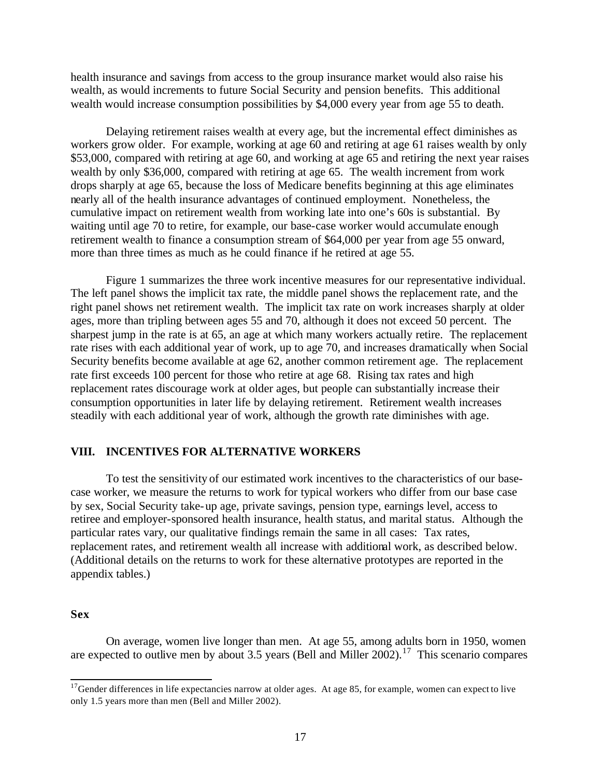health insurance and savings from access to the group insurance market would also raise his wealth, as would increments to future Social Security and pension benefits. This additional wealth would increase consumption possibilities by \$4,000 every year from age 55 to death.

Delaying retirement raises wealth at every age, but the incremental effect diminishes as workers grow older. For example, working at age 60 and retiring at age 61 raises wealth by only \$53,000, compared with retiring at age 60, and working at age 65 and retiring the next year raises wealth by only \$36,000, compared with retiring at age 65. The wealth increment from work drops sharply at age 65, because the loss of Medicare benefits beginning at this age eliminates nearly all of the health insurance advantages of continued employment. Nonetheless, the cumulative impact on retirement wealth from working late into one's 60s is substantial. By waiting until age 70 to retire, for example, our base-case worker would accumulate enough retirement wealth to finance a consumption stream of \$64,000 per year from age 55 onward, more than three times as much as he could finance if he retired at age 55.

Figure 1 summarizes the three work incentive measures for our representative individual. The left panel shows the implicit tax rate, the middle panel shows the replacement rate, and the right panel shows net retirement wealth. The implicit tax rate on work increases sharply at older ages, more than tripling between ages 55 and 70, although it does not exceed 50 percent. The sharpest jump in the rate is at 65, an age at which many workers actually retire. The replacement rate rises with each additional year of work, up to age 70, and increases dramatically when Social Security benefits become available at age 62, another common retirement age. The replacement rate first exceeds 100 percent for those who retire at age 68. Rising tax rates and high replacement rates discourage work at older ages, but people can substantially increase their consumption opportunities in later life by delaying retirement. Retirement wealth increases steadily with each additional year of work, although the growth rate diminishes with age.

#### **VIII. INCENTIVES FOR ALTERNATIVE WORKERS**

To test the sensitivity of our estimated work incentives to the characteristics of our basecase worker, we measure the returns to work for typical workers who differ from our base case by sex, Social Security take-up age, private savings, pension type, earnings level, access to retiree and employer-sponsored health insurance, health status, and marital status. Although the particular rates vary, our qualitative findings remain the same in all cases: Tax rates, replacement rates, and retirement wealth all increase with additional work, as described below. (Additional details on the returns to work for these alternative prototypes are reported in the appendix tables.)

#### **Sex**

l

On average, women live longer than men. At age 55, among adults born in 1950, women are expected to outlive men by about 3.5 years (Bell and Miller 2002).<sup>17</sup> This scenario compares

 $17$ Gender differences in life expectancies narrow at older ages. At age 85, for example, women can expect to live only 1.5 years more than men (Bell and Miller 2002).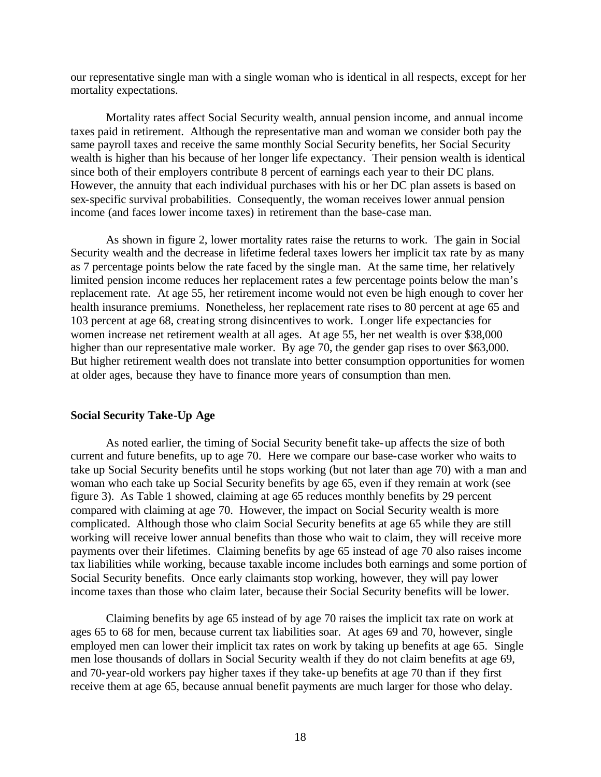our representative single man with a single woman who is identical in all respects, except for her mortality expectations.

Mortality rates affect Social Security wealth, annual pension income, and annual income taxes paid in retirement. Although the representative man and woman we consider both pay the same payroll taxes and receive the same monthly Social Security benefits, her Social Security wealth is higher than his because of her longer life expectancy. Their pension wealth is identical since both of their employers contribute 8 percent of earnings each year to their DC plans. However, the annuity that each individual purchases with his or her DC plan assets is based on sex-specific survival probabilities. Consequently, the woman receives lower annual pension income (and faces lower income taxes) in retirement than the base-case man.

As shown in figure 2, lower mortality rates raise the returns to work. The gain in Social Security wealth and the decrease in lifetime federal taxes lowers her implicit tax rate by as many as 7 percentage points below the rate faced by the single man. At the same time, her relatively limited pension income reduces her replacement rates a few percentage points below the man's replacement rate. At age 55, her retirement income would not even be high enough to cover her health insurance premiums. Nonetheless, her replacement rate rises to 80 percent at age 65 and 103 percent at age 68, creating strong disincentives to work. Longer life expectancies for women increase net retirement wealth at all ages. At age 55, her net wealth is over \$38,000 higher than our representative male worker. By age 70, the gender gap rises to over \$63,000. But higher retirement wealth does not translate into better consumption opportunities for women at older ages, because they have to finance more years of consumption than men.

### **Social Security Take-Up Age**

As noted earlier, the timing of Social Security benefit take-up affects the size of both current and future benefits, up to age 70. Here we compare our base-case worker who waits to take up Social Security benefits until he stops working (but not later than age 70) with a man and woman who each take up Social Security benefits by age 65, even if they remain at work (see figure 3). As Table 1 showed, claiming at age 65 reduces monthly benefits by 29 percent compared with claiming at age 70. However, the impact on Social Security wealth is more complicated. Although those who claim Social Security benefits at age 65 while they are still working will receive lower annual benefits than those who wait to claim, they will receive more payments over their lifetimes. Claiming benefits by age 65 instead of age 70 also raises income tax liabilities while working, because taxable income includes both earnings and some portion of Social Security benefits. Once early claimants stop working, however, they will pay lower income taxes than those who claim later, because their Social Security benefits will be lower.

Claiming benefits by age 65 instead of by age 70 raises the implicit tax rate on work at ages 65 to 68 for men, because current tax liabilities soar. At ages 69 and 70, however, single employed men can lower their implicit tax rates on work by taking up benefits at age 65. Single men lose thousands of dollars in Social Security wealth if they do not claim benefits at age 69, and 70-year-old workers pay higher taxes if they take-up benefits at age 70 than if they first receive them at age 65, because annual benefit payments are much larger for those who delay.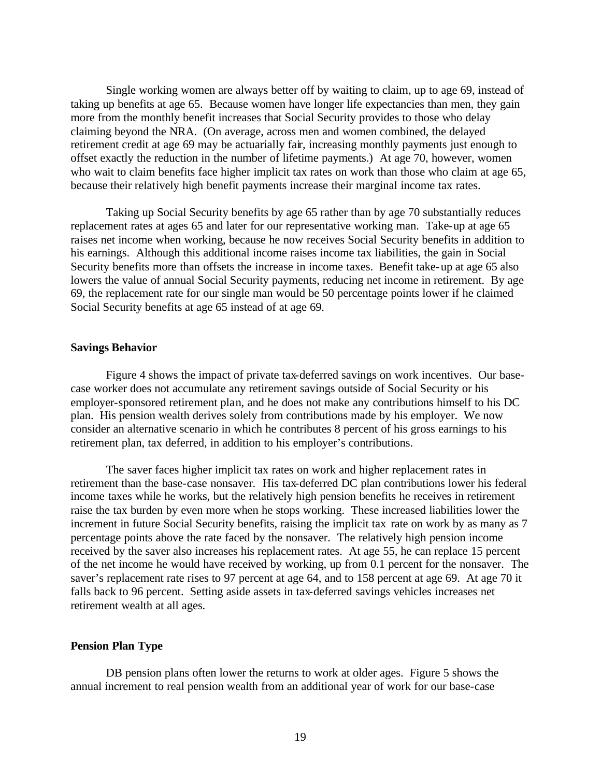Single working women are always better off by waiting to claim, up to age 69, instead of taking up benefits at age 65. Because women have longer life expectancies than men, they gain more from the monthly benefit increases that Social Security provides to those who delay claiming beyond the NRA. (On average, across men and women combined, the delayed retirement credit at age 69 may be actuarially fair, increasing monthly payments just enough to offset exactly the reduction in the number of lifetime payments.) At age 70, however, women who wait to claim benefits face higher implicit tax rates on work than those who claim at age 65, because their relatively high benefit payments increase their marginal income tax rates.

Taking up Social Security benefits by age 65 rather than by age 70 substantially reduces replacement rates at ages 65 and later for our representative working man. Take-up at age 65 raises net income when working, because he now receives Social Security benefits in addition to his earnings. Although this additional income raises income tax liabilities, the gain in Social Security benefits more than offsets the increase in income taxes. Benefit take-up at age 65 also lowers the value of annual Social Security payments, reducing net income in retirement. By age 69, the replacement rate for our single man would be 50 percentage points lower if he claimed Social Security benefits at age 65 instead of at age 69.

#### **Savings Behavior**

Figure 4 shows the impact of private tax-deferred savings on work incentives. Our basecase worker does not accumulate any retirement savings outside of Social Security or his employer-sponsored retirement plan, and he does not make any contributions himself to his DC plan. His pension wealth derives solely from contributions made by his employer. We now consider an alternative scenario in which he contributes 8 percent of his gross earnings to his retirement plan, tax deferred, in addition to his employer's contributions.

The saver faces higher implicit tax rates on work and higher replacement rates in retirement than the base-case nonsaver. His tax-deferred DC plan contributions lower his federal income taxes while he works, but the relatively high pension benefits he receives in retirement raise the tax burden by even more when he stops working. These increased liabilities lower the increment in future Social Security benefits, raising the implicit tax rate on work by as many as 7 percentage points above the rate faced by the nonsaver. The relatively high pension income received by the saver also increases his replacement rates. At age 55, he can replace 15 percent of the net income he would have received by working, up from 0.1 percent for the nonsaver. The saver's replacement rate rises to 97 percent at age 64, and to 158 percent at age 69. At age 70 it falls back to 96 percent. Setting aside assets in tax-deferred savings vehicles increases net retirement wealth at all ages.

#### **Pension Plan Type**

DB pension plans often lower the returns to work at older ages. Figure 5 shows the annual increment to real pension wealth from an additional year of work for our base-case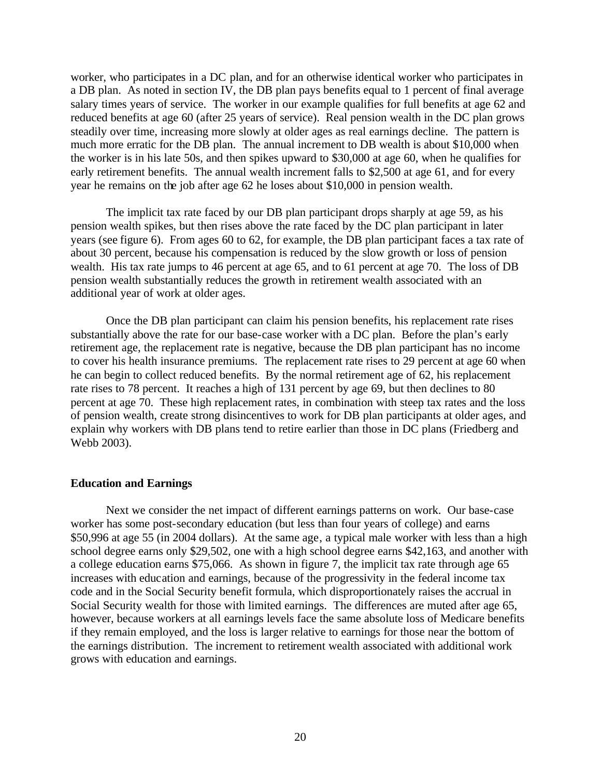worker, who participates in a DC plan, and for an otherwise identical worker who participates in a DB plan. As noted in section IV, the DB plan pays benefits equal to 1 percent of final average salary times years of service. The worker in our example qualifies for full benefits at age 62 and reduced benefits at age 60 (after 25 years of service). Real pension wealth in the DC plan grows steadily over time, increasing more slowly at older ages as real earnings decline. The pattern is much more erratic for the DB plan. The annual increment to DB wealth is about \$10,000 when the worker is in his late 50s, and then spikes upward to \$30,000 at age 60, when he qualifies for early retirement benefits. The annual wealth increment falls to \$2,500 at age 61, and for every year he remains on the job after age 62 he loses about \$10,000 in pension wealth.

The implicit tax rate faced by our DB plan participant drops sharply at age 59, as his pension wealth spikes, but then rises above the rate faced by the DC plan participant in later years (see figure 6). From ages 60 to 62, for example, the DB plan participant faces a tax rate of about 30 percent, because his compensation is reduced by the slow growth or loss of pension wealth. His tax rate jumps to 46 percent at age 65, and to 61 percent at age 70. The loss of DB pension wealth substantially reduces the growth in retirement wealth associated with an additional year of work at older ages.

Once the DB plan participant can claim his pension benefits, his replacement rate rises substantially above the rate for our base-case worker with a DC plan. Before the plan's early retirement age, the replacement rate is negative, because the DB plan participant has no income to cover his health insurance premiums. The replacement rate rises to 29 percent at age 60 when he can begin to collect reduced benefits. By the normal retirement age of 62, his replacement rate rises to 78 percent. It reaches a high of 131 percent by age 69, but then declines to 80 percent at age 70. These high replacement rates, in combination with steep tax rates and the loss of pension wealth, create strong disincentives to work for DB plan participants at older ages, and explain why workers with DB plans tend to retire earlier than those in DC plans (Friedberg and Webb 2003).

### **Education and Earnings**

Next we consider the net impact of different earnings patterns on work. Our base-case worker has some post-secondary education (but less than four years of college) and earns \$50,996 at age 55 (in 2004 dollars). At the same age, a typical male worker with less than a high school degree earns only \$29,502, one with a high school degree earns \$42,163, and another with a college education earns \$75,066. As shown in figure 7, the implicit tax rate through age 65 increases with education and earnings, because of the progressivity in the federal income tax code and in the Social Security benefit formula, which disproportionately raises the accrual in Social Security wealth for those with limited earnings. The differences are muted after age 65, however, because workers at all earnings levels face the same absolute loss of Medicare benefits if they remain employed, and the loss is larger relative to earnings for those near the bottom of the earnings distribution. The increment to retirement wealth associated with additional work grows with education and earnings.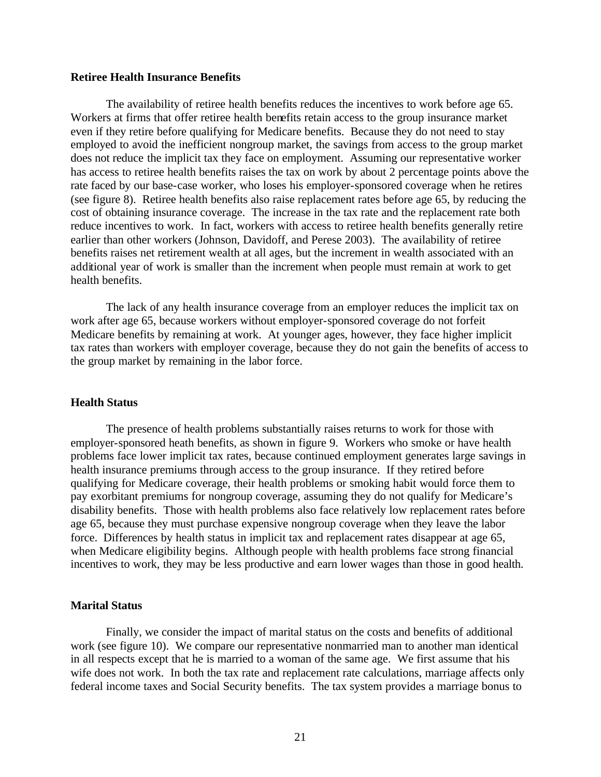#### **Retiree Health Insurance Benefits**

The availability of retiree health benefits reduces the incentives to work before age 65. Workers at firms that offer retiree health benefits retain access to the group insurance market even if they retire before qualifying for Medicare benefits. Because they do not need to stay employed to avoid the inefficient nongroup market, the savings from access to the group market does not reduce the implicit tax they face on employment. Assuming our representative worker has access to retiree health benefits raises the tax on work by about 2 percentage points above the rate faced by our base-case worker, who loses his employer-sponsored coverage when he retires (see figure 8). Retiree health benefits also raise replacement rates before age 65, by reducing the cost of obtaining insurance coverage. The increase in the tax rate and the replacement rate both reduce incentives to work. In fact, workers with access to retiree health benefits generally retire earlier than other workers (Johnson, Davidoff, and Perese 2003). The availability of retiree benefits raises net retirement wealth at all ages, but the increment in wealth associated with an additional year of work is smaller than the increment when people must remain at work to get health benefits.

The lack of any health insurance coverage from an employer reduces the implicit tax on work after age 65, because workers without employer-sponsored coverage do not forfeit Medicare benefits by remaining at work. At younger ages, however, they face higher implicit tax rates than workers with employer coverage, because they do not gain the benefits of access to the group market by remaining in the labor force.

#### **Health Status**

The presence of health problems substantially raises returns to work for those with employer-sponsored heath benefits, as shown in figure 9. Workers who smoke or have health problems face lower implicit tax rates, because continued employment generates large savings in health insurance premiums through access to the group insurance. If they retired before qualifying for Medicare coverage, their health problems or smoking habit would force them to pay exorbitant premiums for nongroup coverage, assuming they do not qualify for Medicare's disability benefits. Those with health problems also face relatively low replacement rates before age 65, because they must purchase expensive nongroup coverage when they leave the labor force. Differences by health status in implicit tax and replacement rates disappear at age 65, when Medicare eligibility begins. Although people with health problems face strong financial incentives to work, they may be less productive and earn lower wages than those in good health.

## **Marital Status**

Finally, we consider the impact of marital status on the costs and benefits of additional work (see figure 10). We compare our representative nonmarried man to another man identical in all respects except that he is married to a woman of the same age. We first assume that his wife does not work. In both the tax rate and replacement rate calculations, marriage affects only federal income taxes and Social Security benefits. The tax system provides a marriage bonus to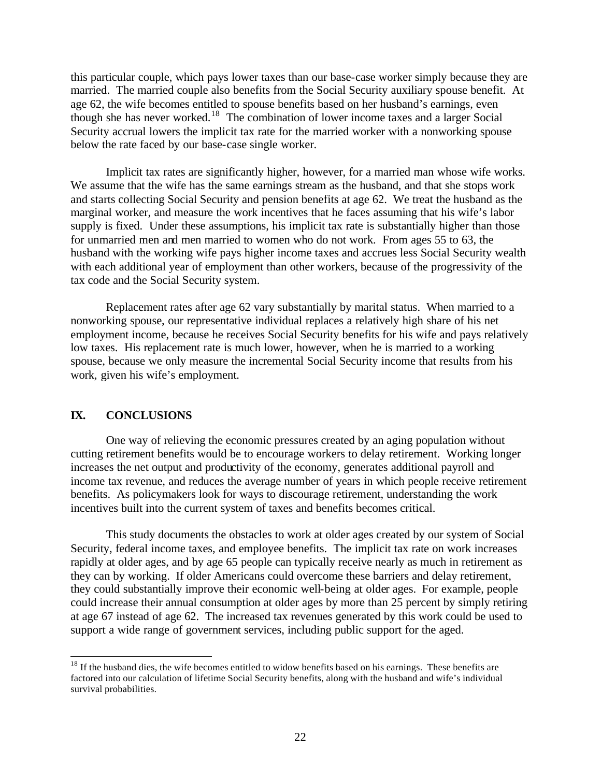this particular couple, which pays lower taxes than our base-case worker simply because they are married. The married couple also benefits from the Social Security auxiliary spouse benefit. At age 62, the wife becomes entitled to spouse benefits based on her husband's earnings, even though she has never worked.<sup>18</sup> The combination of lower income taxes and a larger Social Security accrual lowers the implicit tax rate for the married worker with a nonworking spouse below the rate faced by our base-case single worker.

Implicit tax rates are significantly higher, however, for a married man whose wife works. We assume that the wife has the same earnings stream as the husband, and that she stops work and starts collecting Social Security and pension benefits at age 62. We treat the husband as the marginal worker, and measure the work incentives that he faces assuming that his wife's labor supply is fixed. Under these assumptions, his implicit tax rate is substantially higher than those for unmarried men and men married to women who do not work. From ages 55 to 63, the husband with the working wife pays higher income taxes and accrues less Social Security wealth with each additional year of employment than other workers, because of the progressivity of the tax code and the Social Security system.

Replacement rates after age 62 vary substantially by marital status. When married to a nonworking spouse, our representative individual replaces a relatively high share of his net employment income, because he receives Social Security benefits for his wife and pays relatively low taxes. His replacement rate is much lower, however, when he is married to a working spouse, because we only measure the incremental Social Security income that results from his work, given his wife's employment.

## **IX. CONCLUSIONS**

l

One way of relieving the economic pressures created by an aging population without cutting retirement benefits would be to encourage workers to delay retirement. Working longer increases the net output and productivity of the economy, generates additional payroll and income tax revenue, and reduces the average number of years in which people receive retirement benefits. As policymakers look for ways to discourage retirement, understanding the work incentives built into the current system of taxes and benefits becomes critical.

This study documents the obstacles to work at older ages created by our system of Social Security, federal income taxes, and employee benefits. The implicit tax rate on work increases rapidly at older ages, and by age 65 people can typically receive nearly as much in retirement as they can by working. If older Americans could overcome these barriers and delay retirement, they could substantially improve their economic well-being at older ages. For example, people could increase their annual consumption at older ages by more than 25 percent by simply retiring at age 67 instead of age 62. The increased tax revenues generated by this work could be used to support a wide range of government services, including public support for the aged.

<sup>&</sup>lt;sup>18</sup> If the husband dies, the wife becomes entitled to widow benefits based on his earnings. These benefits are factored into our calculation of lifetime Social Security benefits, along with the husband and wife's individual survival probabilities.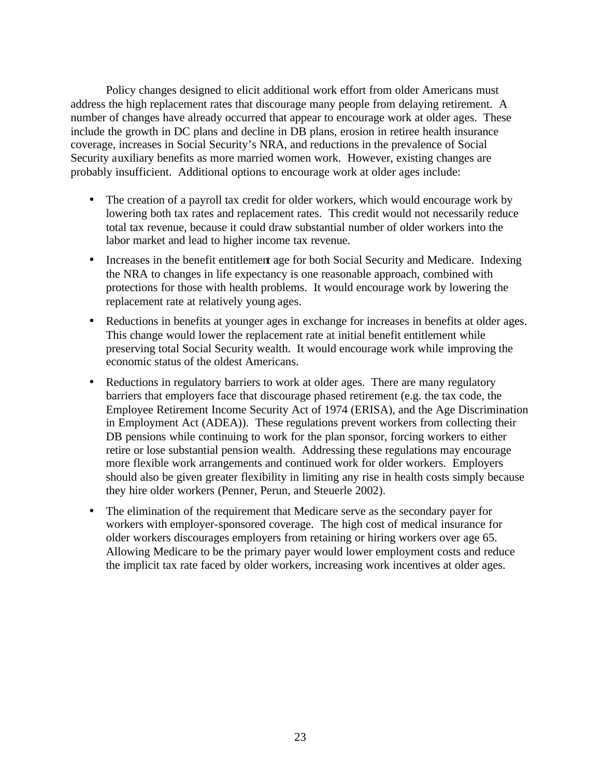Policy changes designed to elicit additional work effort from older Americans must address the high replacement rates that discourage many people from delaying retirement. A number of changes have already occurred that appear to encourage work at older ages. These include the growth in DC plans and decline in DB plans, erosion in retiree health insurance coverage, increases in Social Security's NRA, and reductions in the prevalence of Social Security auxiliary benefits as more married women work. However, existing changes are probably insufficient. Additional options to encourage work at older ages include:

- The creation of a payroll tax credit for older workers, which would encourage work by lowering both tax rates and replacement rates. This credit would not necessarily reduce total tax revenue, because it could draw substantial number of older workers into the labor market and lead to higher income tax revenue.
- Increases in the benefit entitlement age for both Social Security and Medicare. Indexing the NRA to changes in life expectancy is one reasonable approach, combined with protections for those with health problems. It would encourage work by lowering the replacement rate at relatively young ages.
- Reductions in benefits at younger ages in exchange for increases in benefits at older ages. This change would lower the replacement rate at initial benefit entitlement while preserving total Social Security wealth. It would encourage work while improving the economic status of the oldest Americans.
- Reductions in regulatory barriers to work at older ages. There are many regulatory barriers that employers face that discourage phased retirement (e.g. the tax code, the Employee Retirement Income Security Act of 1974 (ERISA), and the Age Discrimination in Employment Act (ADEA)). These regulations prevent workers from collecting their DB pensions while continuing to work for the plan sponsor, forcing workers to either retire or lose substantial pension wealth. Addressing these regulations may encourage more flexible work arrangements and continued work for older workers. Employers should also be given greater flexibility in limiting any rise in health costs simply because they hire older workers (Penner, Perun, and Steuerle 2002).
- The elimination of the requirement that Medicare serve as the secondary payer for workers with employer-sponsored coverage. The high cost of medical insurance for older workers discourages employers from retaining or hiring workers over age 65. Allowing Medicare to be the primary payer would lower employment costs and reduce the implicit tax rate faced by older workers, increasing work incentives at older ages.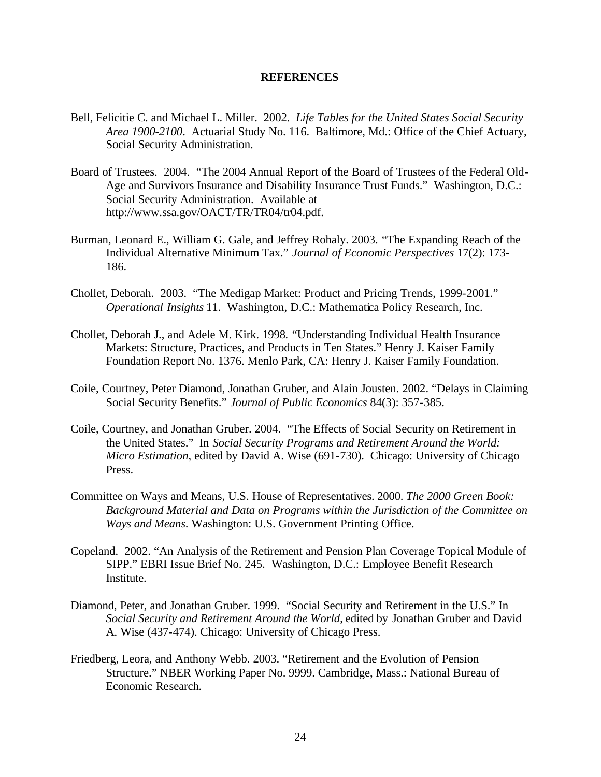#### **REFERENCES**

- Bell, Felicitie C. and Michael L. Miller. 2002. *Life Tables for the United States Social Security Area 1900-2100*. Actuarial Study No. 116. Baltimore, Md.: Office of the Chief Actuary, Social Security Administration.
- Board of Trustees. 2004. "The 2004 Annual Report of the Board of Trustees of the Federal Old-Age and Survivors Insurance and Disability Insurance Trust Funds." Washington, D.C.: Social Security Administration. Available at http://www.ssa.gov/OACT/TR/TR04/tr04.pdf.
- Burman, Leonard E., William G. Gale, and Jeffrey Rohaly. 2003. "The Expanding Reach of the Individual Alternative Minimum Tax." *Journal of Economic Perspectives* 17(2): 173- 186.
- Chollet, Deborah. 2003. "The Medigap Market: Product and Pricing Trends, 1999-2001." *Operational Insights* 11. Washington, D.C.: Mathematica Policy Research, Inc.
- Chollet, Deborah J., and Adele M. Kirk. 1998*.* "Understanding Individual Health Insurance Markets: Structure, Practices, and Products in Ten States." Henry J. Kaiser Family Foundation Report No. 1376. Menlo Park, CA: Henry J. Kaiser Family Foundation.
- Coile, Courtney, Peter Diamond, Jonathan Gruber, and Alain Jousten. 2002. "Delays in Claiming Social Security Benefits." *Journal of Public Economics* 84(3): 357-385.
- Coile, Courtney, and Jonathan Gruber. 2004. "The Effects of Social Security on Retirement in the United States." In *Social Security Programs and Retirement Around the World: Micro Estimation*, edited by David A. Wise (691-730). Chicago: University of Chicago Press.
- Committee on Ways and Means, U.S. House of Representatives. 2000. *The 2000 Green Book: Background Material and Data on Programs within the Jurisdiction of the Committee on Ways and Means*. Washington: U.S. Government Printing Office.
- Copeland. 2002. "An Analysis of the Retirement and Pension Plan Coverage Topical Module of SIPP." EBRI Issue Brief No. 245. Washington, D.C.: Employee Benefit Research Institute.
- Diamond, Peter, and Jonathan Gruber. 1999. "Social Security and Retirement in the U.S." In *Social Security and Retirement Around the World*, edited by Jonathan Gruber and David A. Wise (437-474). Chicago: University of Chicago Press.
- Friedberg, Leora, and Anthony Webb. 2003. "Retirement and the Evolution of Pension Structure." NBER Working Paper No. 9999. Cambridge, Mass.: National Bureau of Economic Research.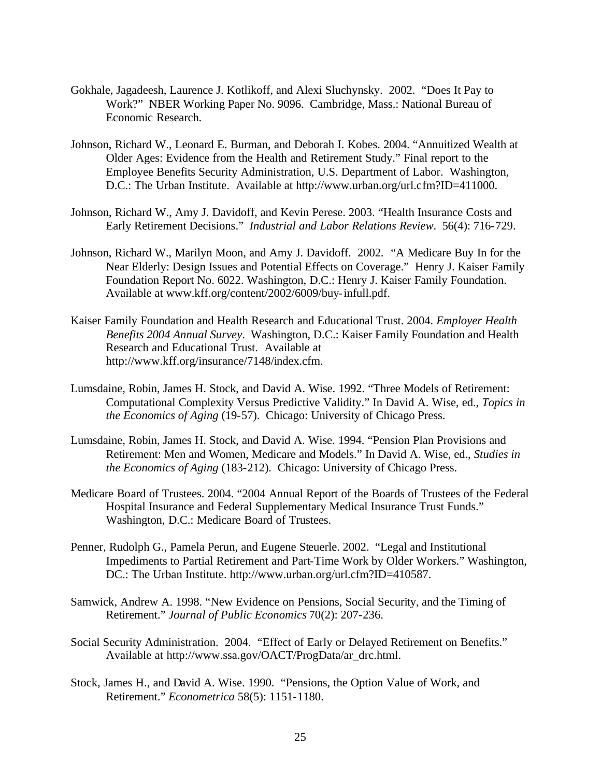- Gokhale, Jagadeesh, Laurence J. Kotlikoff, and Alexi Sluchynsky. 2002. "Does It Pay to Work?" NBER Working Paper No. 9096. Cambridge, Mass.: National Bureau of Economic Research.
- Johnson, Richard W., Leonard E. Burman, and Deborah I. Kobes. 2004. "Annuitized Wealth at Older Ages: Evidence from the Health and Retirement Study." Final report to the Employee Benefits Security Administration, U.S. Department of Labor. Washington, D.C.: The Urban Institute. Available at http://www.urban.org/url.cfm?ID=411000.
- Johnson, Richard W., Amy J. Davidoff, and Kevin Perese. 2003. "Health Insurance Costs and Early Retirement Decisions." *Industrial and Labor Relations Review*. 56(4): 716-729.
- Johnson, Richard W., Marilyn Moon, and Amy J. Davidoff. 2002. "A Medicare Buy In for the Near Elderly: Design Issues and Potential Effects on Coverage." Henry J. Kaiser Family Foundation Report No. 6022. Washington, D.C.: Henry J. Kaiser Family Foundation. Available at www.kff.org/content/2002/6009/buy-infull.pdf.
- Kaiser Family Foundation and Health Research and Educational Trust. 2004. *Employer Health Benefits 2004 Annual Survey*. Washington, D.C.: Kaiser Family Foundation and Health Research and Educational Trust. Available at http://www.kff.org/insurance/7148/index.cfm.
- Lumsdaine, Robin, James H. Stock, and David A. Wise. 1992. "Three Models of Retirement: Computational Complexity Versus Predictive Validity." In David A. Wise, ed., *Topics in the Economics of Aging* (19-57). Chicago: University of Chicago Press.
- Lumsdaine, Robin, James H. Stock, and David A. Wise. 1994. "Pension Plan Provisions and Retirement: Men and Women, Medicare and Models." In David A. Wise, ed., *Studies in the Economics of Aging* (183-212). Chicago: University of Chicago Press.
- Medicare Board of Trustees. 2004. "2004 Annual Report of the Boards of Trustees of the Federal Hospital Insurance and Federal Supplementary Medical Insurance Trust Funds." Washington, D.C.: Medicare Board of Trustees.
- Penner, Rudolph G., Pamela Perun, and Eugene Steuerle. 2002. "Legal and Institutional Impediments to Partial Retirement and Part-Time Work by Older Workers." Washington, DC.: The Urban Institute. http://www.urban.org/url.cfm?ID=410587.
- Samwick, Andrew A. 1998. "New Evidence on Pensions, Social Security, and the Timing of Retirement." *Journal of Public Economics* 70(2): 207-236.
- Social Security Administration. 2004. "Effect of Early or Delayed Retirement on Benefits." Available at http://www.ssa.gov/OACT/ProgData/ar\_drc.html.
- Stock, James H., and David A. Wise. 1990. "Pensions, the Option Value of Work, and Retirement." *Econometrica* 58(5): 1151-1180.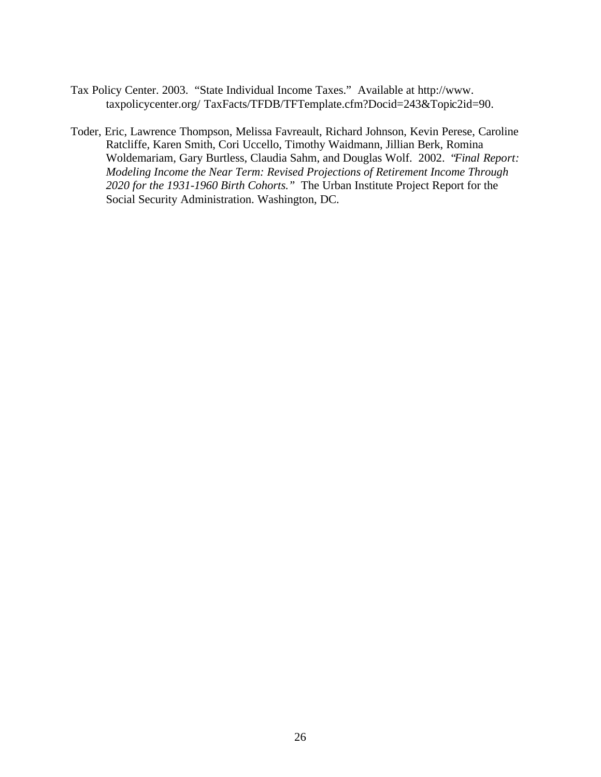Tax Policy Center. 2003. "State Individual Income Taxes." Available at http://www. taxpolicycenter.org/ TaxFacts/TFDB/TFTemplate.cfm?Docid=243&Topic2id=90.

Toder, Eric, Lawrence Thompson, Melissa Favreault, Richard Johnson, Kevin Perese, Caroline Ratcliffe, Karen Smith, Cori Uccello, Timothy Waidmann, Jillian Berk, Romina Woldemariam, Gary Burtless, Claudia Sahm, and Douglas Wolf. 2002. "*Final Report: Modeling Income the Near Term: Revised Projections of Retirement Income Through 2020 for the 1931-1960 Birth Cohorts."* The Urban Institute Project Report for the Social Security Administration. Washington, DC.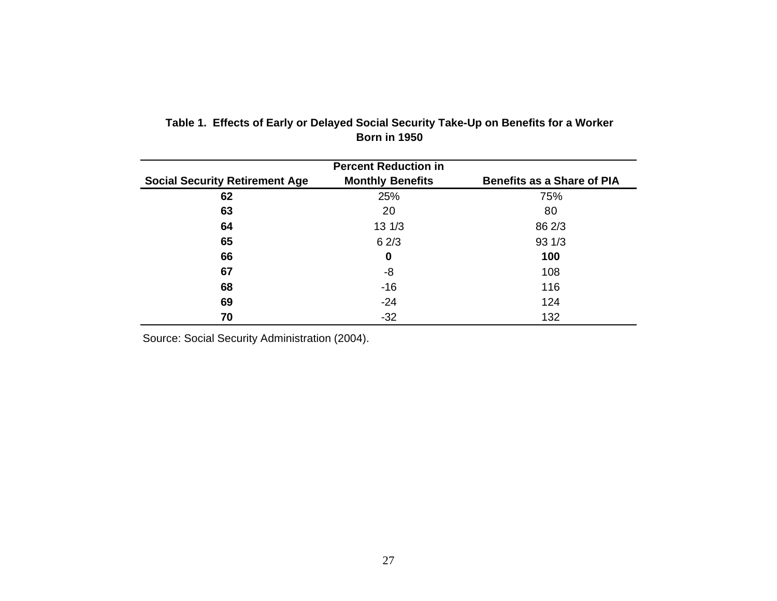|                                       | <b>Percent Reduction in</b> |                                   |
|---------------------------------------|-----------------------------|-----------------------------------|
| <b>Social Security Retirement Age</b> | <b>Monthly Benefits</b>     | <b>Benefits as a Share of PIA</b> |
| 62                                    | 25%                         | 75%                               |
| 63                                    | 20                          | 80                                |
| 64                                    | $13 \frac{1}{3}$            | 86 2/3                            |
| 65                                    | 62/3                        | 931/3                             |
| 66                                    | 0                           | 100                               |
| 67                                    | -8                          | 108                               |
| 68                                    | $-16$                       | 116                               |
| 69                                    | $-24$                       | 124                               |
| 70                                    | $-32$                       | 132                               |

## **Table 1. Effects of Early or Delayed Social Security Take-Up on Benefits for a Worker Born in 1950**

Source: Social Security Administration (2004).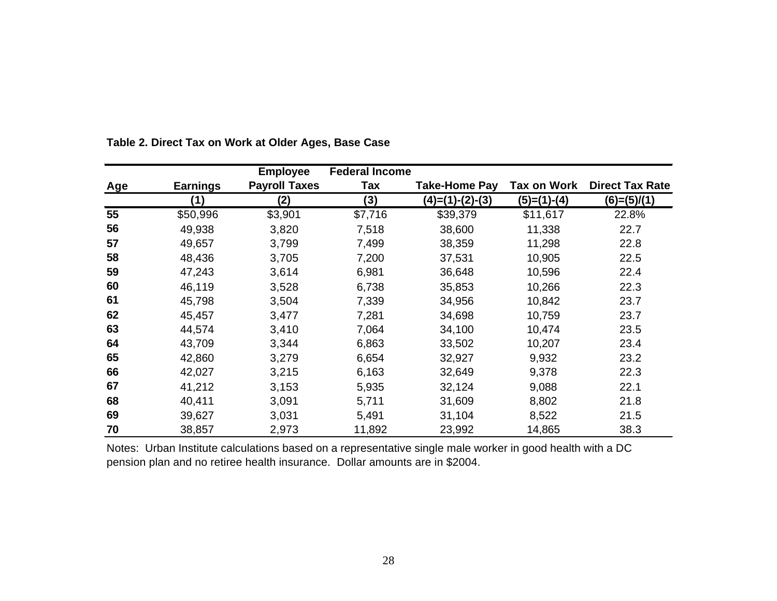|     |                 | <b>Employee</b>      | <b>Federal Income</b> |                      |                    |                        |
|-----|-----------------|----------------------|-----------------------|----------------------|--------------------|------------------------|
| Age | <b>Earnings</b> | <b>Payroll Taxes</b> | Tax                   | <b>Take-Home Pay</b> | <b>Tax on Work</b> | <b>Direct Tax Rate</b> |
|     | (1)             | (2)                  | (3)                   | $(4)=(1)-(2)-(3)$    | $(5)=(1)-(4)$      | $(6)=(5)/(1)$          |
| 55  | \$50,996        | \$3,901              | \$7,716               | \$39,379             | \$11,617           | 22.8%                  |
| 56  | 49,938          | 3,820                | 7,518                 | 38,600               | 11,338             | 22.7                   |
| 57  | 49,657          | 3,799                | 7,499                 | 38,359               | 11,298             | 22.8                   |
| 58  | 48,436          | 3,705                | 7,200                 | 37,531               | 10,905             | 22.5                   |
| 59  | 47,243          | 3,614                | 6,981                 | 36,648               | 10,596             | 22.4                   |
| 60  | 46,119          | 3,528                | 6,738                 | 35,853               | 10,266             | 22.3                   |
| 61  | 45,798          | 3,504                | 7,339                 | 34,956               | 10,842             | 23.7                   |
| 62  | 45,457          | 3,477                | 7,281                 | 34,698               | 10,759             | 23.7                   |
| 63  | 44,574          | 3,410                | 7,064                 | 34,100               | 10,474             | 23.5                   |
| 64  | 43,709          | 3,344                | 6,863                 | 33,502               | 10,207             | 23.4                   |
| 65  | 42,860          | 3,279                | 6,654                 | 32,927               | 9,932              | 23.2                   |
| 66  | 42,027          | 3,215                | 6,163                 | 32,649               | 9,378              | 22.3                   |
| 67  | 41,212          | 3,153                | 5,935                 | 32,124               | 9,088              | 22.1                   |
| 68  | 40,411          | 3,091                | 5,711                 | 31,609               | 8,802              | 21.8                   |
| 69  | 39,627          | 3,031                | 5,491                 | 31,104               | 8,522              | 21.5                   |
| 70  | 38,857          | 2,973                | 11,892                | 23,992               | 14,865             | 38.3                   |

**Table 2. Direct Tax on Work at Older Ages, Base Case**

Notes: Urban Institute calculations based on a representative single male worker in good health with a DC pension plan and no retiree health insurance. Dollar amounts are in \$2004.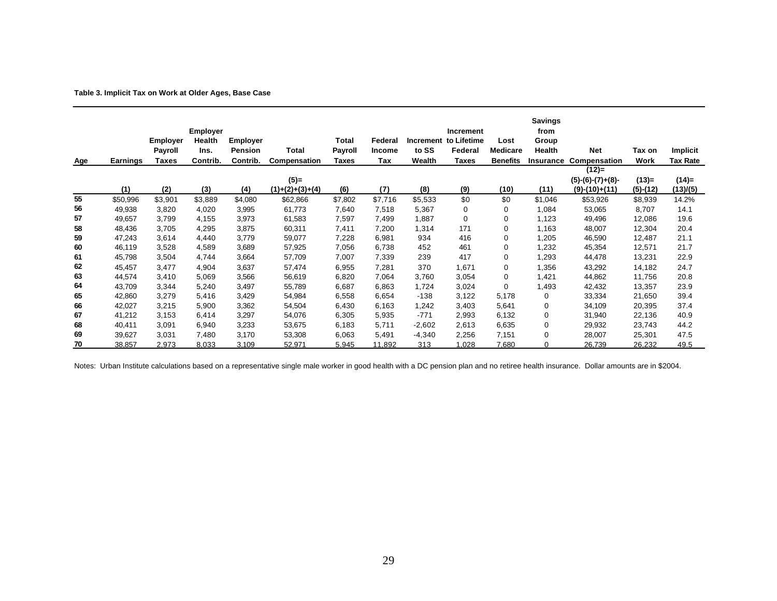| Table 3. Implicit Tax on Work at Older Ages, Base Case |  |  |  |  |  |  |  |  |
|--------------------------------------------------------|--|--|--|--|--|--|--|--|
|--------------------------------------------------------|--|--|--|--|--|--|--|--|

| <b>Age</b> | Earnings | <b>Employer</b><br>Payroll<br>Taxes | <b>Employer</b><br>Health<br>Ins.<br>Contrib. | <b>Employer</b><br>Pension<br>Contrib. | Total<br>Compensation        | Total<br><b>Payroll</b><br><b>Taxes</b> | Federal<br><b>Income</b><br>Tax | <b>Increment</b><br>to SS<br>Wealth | Increment<br>to Lifetime<br>Federal<br>Taxes | Lost<br><b>Medicare</b><br><b>Benefits</b> | Savings<br>from<br>Group<br>Health<br><b>Insurance</b> | <b>Net</b><br>Compensation                       | Tax on<br>Work        | Implicit<br><b>Tax Rate</b> |
|------------|----------|-------------------------------------|-----------------------------------------------|----------------------------------------|------------------------------|-----------------------------------------|---------------------------------|-------------------------------------|----------------------------------------------|--------------------------------------------|--------------------------------------------------------|--------------------------------------------------|-----------------------|-----------------------------|
|            | (1)      | (2)                                 | (3)                                           | (4)                                    | $(5)$ =<br>$(1)+(2)+(3)+(4)$ | (6)                                     | (7)                             | (8)                                 | (9)                                          | (10)                                       | (11)                                                   | $(12)=$<br>$(5)-(6)-(7)+(8)-$<br>$(9)-(10)+(11)$ | $(13)=$<br>$(5)-(12)$ | $(14)=$<br>(13)/(5)         |
| 55         | \$50,996 | \$3,901                             | \$3,889                                       | \$4,080                                | \$62,866                     | \$7,802                                 | \$7,716                         | \$5,533                             | \$0                                          | \$0                                        | \$1,046                                                | \$53,926                                         | \$8,939               | 14.2%                       |
| 56         | 49,938   | 3,820                               | 4,020                                         | 3,995                                  | 61,773                       | 7,640                                   | 7,518                           | 5,367                               | 0                                            | $\mathbf 0$                                | 1,084                                                  | 53,065                                           | 8,707                 | 14.1                        |
| 57         | 49,657   | 3,799                               | 4,155                                         | 3,973                                  | 61,583                       | 7,597                                   | 7,499                           | 1,887                               | 0                                            | $\mathbf 0$                                | 1,123                                                  | 49,496                                           | 12,086                | 19.6                        |
| 58         | 48,436   | 3,705                               | 4,295                                         | 3,875                                  | 60,311                       | 7,411                                   | 7,200                           | 1,314                               | 171                                          | $\mathbf 0$                                | 1,163                                                  | 48,007                                           | 12,304                | 20.4                        |
| 59         | 47,243   | 3,614                               | 4,440                                         | 3,779                                  | 59,077                       | 7,228                                   | 6,981                           | 934                                 | 416                                          | $\mathbf 0$                                | 1,205                                                  | 46,590                                           | 12,487                | 21.1                        |
| 60         | 46,119   | 3,528                               | 4,589                                         | 3,689                                  | 57,925                       | 7,056                                   | 6,738                           | 452                                 | 461                                          | $\mathbf 0$                                | 1,232                                                  | 45,354                                           | 12,571                | 21.7                        |
| 61         | 45,798   | 3,504                               | 4,744                                         | 3,664                                  | 57,709                       | 7,007                                   | 7,339                           | 239                                 | 417                                          | 0                                          | 1,293                                                  | 44,478                                           | 13,231                | 22.9                        |
| 62         | 45,457   | 3,477                               | 4,904                                         | 3,637                                  | 57,474                       | 6,955                                   | 7,281                           | 370                                 | 1,671                                        | $\mathbf 0$                                | 1,356                                                  | 43,292                                           | 14,182                | 24.7                        |
| 63         | 44,574   | 3,410                               | 5,069                                         | 3,566                                  | 56,619                       | 6,820                                   | 7,064                           | 3,760                               | 3,054                                        | $\mathbf 0$                                | 1,421                                                  | 44,862                                           | 11,756                | 20.8                        |
| 64         | 43,709   | 3,344                               | 5,240                                         | 3,497                                  | 55,789                       | 6,687                                   | 6,863                           | 1,724                               | 3,024                                        | $\Omega$                                   | 1,493                                                  | 42,432                                           | 13,357                | 23.9                        |
| 65         | 42,860   | 3,279                               | 5,416                                         | 3,429                                  | 54,984                       | 6,558                                   | 6,654                           | $-138$                              | 3,122                                        | 5,178                                      | 0                                                      | 33,334                                           | 21,650                | 39.4                        |
| 66         | 42,027   | 3,215                               | 5,900                                         | 3,362                                  | 54,504                       | 6,430                                   | 6,163                           | 1,242                               | 3,403                                        | 5,641                                      | 0                                                      | 34,109                                           | 20,395                | 37.4                        |
| 67         | 41,212   | 3,153                               | 6,414                                         | 3,297                                  | 54,076                       | 6,305                                   | 5,935                           | $-771$                              | 2,993                                        | 6,132                                      | 0                                                      | 31,940                                           | 22,136                | 40.9                        |
| 68         | 40,411   | 3,091                               | 6,940                                         | 3,233                                  | 53,675                       | 6,183                                   | 5,711                           | $-2,602$                            | 2,613                                        | 6,635                                      | 0                                                      | 29,932                                           | 23,743                | 44.2                        |
| 69         | 39,627   | 3,031                               | 7.480                                         | 3.170                                  | 53,308                       | 6,063                                   | 5.491                           | -4,340                              | 2,256                                        | 7,151                                      | $\Omega$                                               | 28,007                                           | 25,301                | 47.5                        |
| 70         | 38,857   | 2,973                               | 8,033                                         | 3,109                                  | 52,971                       | 5,945                                   | 11,892                          | 313                                 | 1,028                                        | 7,680                                      | 0                                                      | 26,739                                           | 26,232                | 49.5                        |

Notes: Urban Institute calculations based on a representative single male worker in good health with a DC pension plan and no retiree health insurance. Dollar amounts are in \$2004.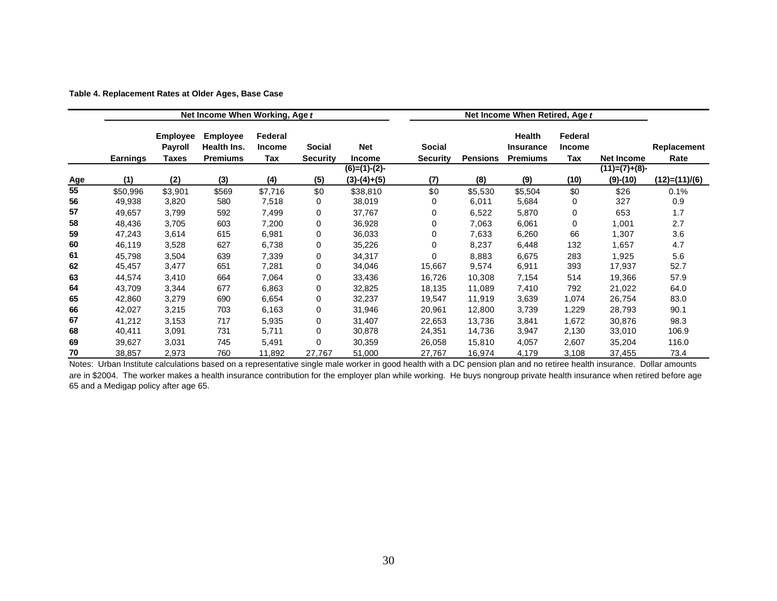| Table 4. Replacement Rates at Older Ages, Base Case |  |  |  |
|-----------------------------------------------------|--|--|--|
|                                                     |  |  |  |

|            |                 |                                   | Net Income When Working, Age t |                          |          |                 | Net Income When Retired, Age t |                 |                            |                          |                   |               |
|------------|-----------------|-----------------------------------|--------------------------------|--------------------------|----------|-----------------|--------------------------------|-----------------|----------------------------|--------------------------|-------------------|---------------|
|            |                 | <b>Employee</b><br><b>Payroll</b> | <b>Employee</b><br>Health Ins. | Federal<br><b>Income</b> | Social   | Net             | <b>Social</b>                  |                 | Health<br><b>Insurance</b> | Federal<br><b>Income</b> |                   | Replacement   |
|            | <b>Earnings</b> | Taxes                             | <b>Premiums</b>                | Tax                      | Security | <b>Income</b>   | <b>Security</b>                | <b>Pensions</b> | <b>Premiums</b>            | Tax                      | <b>Net Income</b> | Rate          |
|            |                 |                                   |                                |                          |          | $(6)=(1)-(2)$ - |                                |                 |                            |                          | $(11)=(7)+(8)$    |               |
| <u>Age</u> | (1)             | (2)                               | (3)                            | (4)                      | (5)      | $(3)-(4)+(5)$   | (7)                            | (8)             | (9)                        | (10)                     | $(9)-(10)$        | (12)=(11)/(6) |
| 55         | \$50,996        | \$3,901                           | \$569                          | \$7,716                  | \$0      | \$38,810        | \$0                            | \$5,530         | \$5,504                    | \$0                      | \$26              | 0.1%          |
| 56         | 49,938          | 3,820                             | 580                            | 7,518                    | 0        | 38,019          | 0                              | 6,011           | 5,684                      | 0                        | 327               | 0.9           |
| 57         | 49,657          | 3,799                             | 592                            | 7,499                    | 0        | 37,767          | 0                              | 6,522           | 5,870                      | 0                        | 653               | 1.7           |
| 58         | 48,436          | 3,705                             | 603                            | 7,200                    | 0        | 36,928          | 0                              | 7,063           | 6,061                      | 0                        | 1,001             | 2.7           |
| 59         | 47,243          | 3,614                             | 615                            | 6,981                    | 0        | 36,033          | 0                              | 7,633           | 6,260                      | 66                       | 1,307             | 3.6           |
| 60         | 46,119          | 3,528                             | 627                            | 6,738                    | 0        | 35,226          | $\Omega$                       | 8,237           | 6,448                      | 132                      | 1,657             | 4.7           |
| 61         | 45,798          | 3,504                             | 639                            | 7,339                    | 0        | 34,317          | 0                              | 8,883           | 6,675                      | 283                      | 1,925             | 5.6           |
| 62         | 45,457          | 3,477                             | 651                            | 7,281                    | 0        | 34,046          | 15,667                         | 9,574           | 6,911                      | 393                      | 17,937            | 52.7          |
| 63         | 44,574          | 3,410                             | 664                            | 7,064                    | 0        | 33,436          | 16,726                         | 10,308          | 7,154                      | 514                      | 19,366            | 57.9          |
| 64         | 43,709          | 3,344                             | 677                            | 6,863                    | 0        | 32,825          | 18,135                         | 11,089          | 7,410                      | 792                      | 21,022            | 64.0          |
| 65         | 42,860          | 3,279                             | 690                            | 6,654                    | 0        | 32,237          | 19,547                         | 11,919          | 3,639                      | 1,074                    | 26,754            | 83.0          |
| 66         | 42,027          | 3,215                             | 703                            | 6,163                    | 0        | 31,946          | 20,961                         | 12,800          | 3,739                      | 1,229                    | 28,793            | 90.1          |
| 67         | 41,212          | 3,153                             | 717                            | 5,935                    | 0        | 31,407          | 22,653                         | 13,736          | 3,841                      | 1,672                    | 30,876            | 98.3          |
| 68         | 40,411          | 3,091                             | 731                            | 5,711                    | 0        | 30,878          | 24,351                         | 14,736          | 3,947                      | 2,130                    | 33,010            | 106.9         |
| 69         | 39,627          | 3,031                             | 745                            | 5,491                    | 0        | 30,359          | 26,058                         | 15,810          | 4,057                      | 2,607                    | 35,204            | 116.0         |
| 70         | 38,857          | 2,973                             | 760                            | 11,892                   | 27,767   | 51,000          | 27,767                         | 16,974          | 4,179                      | 3,108                    | 37,455            | 73.4          |

Notes: Urban Institute calculations based on a representative single male worker in good health with a DC pension plan and no retiree health insurance. Dollar amounts are in \$2004. The worker makes a health insurance contribution for the employer plan while working. He buys nongroup private health insurance when retired before age 65 and a Medigap policy after age 65.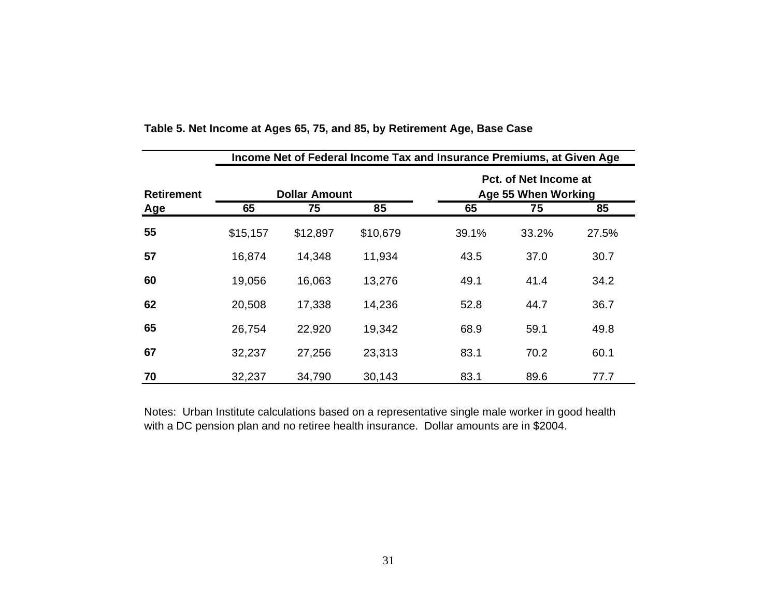|                   | Income Net of Federal Income Tax and Insurance Premiums, at Given Age |                      |          |       |                                              |       |  |  |  |  |  |
|-------------------|-----------------------------------------------------------------------|----------------------|----------|-------|----------------------------------------------|-------|--|--|--|--|--|
| <b>Retirement</b> |                                                                       | <b>Dollar Amount</b> |          |       | Pct. of Net Income at<br>Age 55 When Working |       |  |  |  |  |  |
| Age               | 65                                                                    | 75                   | 85       | 65    | 75                                           | 85    |  |  |  |  |  |
| 55                | \$15,157                                                              | \$12,897             | \$10,679 | 39.1% | 33.2%                                        | 27.5% |  |  |  |  |  |
| 57                | 16,874                                                                | 14,348               | 11,934   | 43.5  | 37.0                                         | 30.7  |  |  |  |  |  |
| 60                | 19,056                                                                | 16,063               | 13,276   | 49.1  | 41.4                                         | 34.2  |  |  |  |  |  |
| 62                | 20,508                                                                | 17,338               | 14,236   | 52.8  | 44.7                                         | 36.7  |  |  |  |  |  |
| 65                | 26,754                                                                | 22,920               | 19,342   | 68.9  | 59.1                                         | 49.8  |  |  |  |  |  |
| 67                | 32,237                                                                | 27,256               | 23,313   | 83.1  | 70.2                                         | 60.1  |  |  |  |  |  |
| 70                | 32,237                                                                | 34,790               | 30,143   | 83.1  | 89.6                                         | 77.7  |  |  |  |  |  |

Notes: Urban Institute calculations based on a representative single male worker in good health with a DC pension plan and no retiree health insurance. Dollar amounts are in \$2004.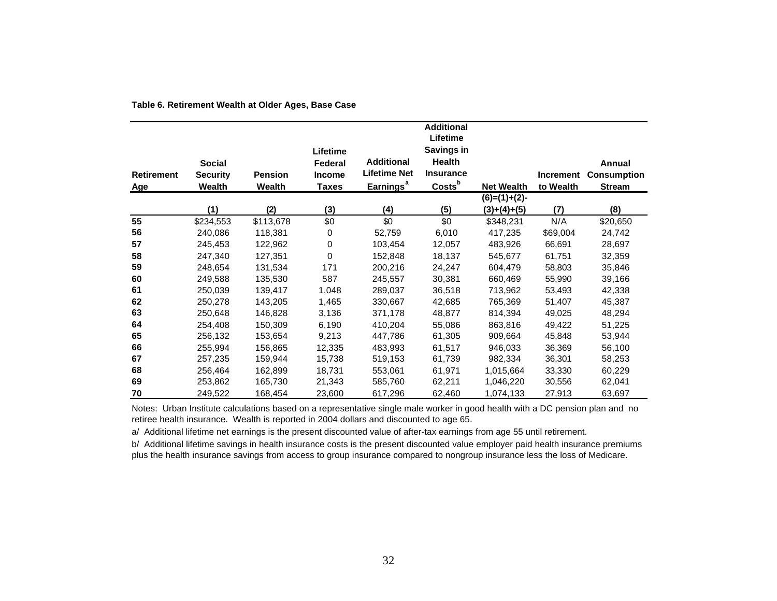| <b>Retirement</b><br><u>Age</u> | <b>Social</b><br><b>Security</b><br>Wealth | <b>Pension</b><br>Wealth | Lifetime<br>Federal<br><b>Income</b><br><b>Taxes</b> | <b>Additional</b><br><b>Lifetime Net</b><br>Earnings <sup>a</sup> | <b>Additional</b><br>Lifetime<br>Savings in<br>Health<br><b>Insurance</b><br>Costs <sup>b</sup> | <b>Net Wealth</b> | <b>Increment</b><br>to Wealth | Annual<br><b>Consumption</b><br><b>Stream</b> |
|---------------------------------|--------------------------------------------|--------------------------|------------------------------------------------------|-------------------------------------------------------------------|-------------------------------------------------------------------------------------------------|-------------------|-------------------------------|-----------------------------------------------|
|                                 |                                            |                          |                                                      |                                                                   |                                                                                                 | $(6)=(1)+(2)-$    |                               |                                               |
|                                 | (1)                                        | (2)                      | (3)                                                  | (4)                                                               | (5)                                                                                             | $(3)+(4)+(5)$     | (7)                           | (8)                                           |
| 55                              | \$234,553                                  | \$113,678                | \$0                                                  | \$0                                                               | \$0                                                                                             | \$348,231         | N/A                           | \$20,650                                      |
| 56                              | 240,086                                    | 118,381                  | 0                                                    | 52,759                                                            | 6,010                                                                                           | 417,235           | \$69,004                      | 24,742                                        |
| 57                              | 245,453                                    | 122,962                  | 0                                                    | 103,454                                                           | 12,057                                                                                          | 483,926           | 66,691                        | 28,697                                        |
| 58                              | 247,340                                    | 127,351                  | $\Omega$                                             | 152,848                                                           | 18,137                                                                                          | 545,677           | 61,751                        | 32,359                                        |
| 59                              | 248,654                                    | 131,534                  | 171                                                  | 200,216                                                           | 24,247                                                                                          | 604,479           | 58,803                        | 35,846                                        |
| 60                              | 249,588                                    | 135,530                  | 587                                                  | 245,557                                                           | 30,381                                                                                          | 660,469           | 55,990                        | 39,166                                        |
| 61                              | 250,039                                    | 139,417                  | 1,048                                                | 289,037                                                           | 36,518                                                                                          | 713,962           | 53,493                        | 42,338                                        |
| 62                              | 250,278                                    | 143,205                  | 1,465                                                | 330,667                                                           | 42,685                                                                                          | 765,369           | 51,407                        | 45,387                                        |
| 63                              | 250,648                                    | 146,828                  | 3,136                                                | 371,178                                                           | 48,877                                                                                          | 814,394           | 49,025                        | 48,294                                        |
| 64                              | 254,408                                    | 150,309                  | 6,190                                                | 410,204                                                           | 55,086                                                                                          | 863,816           | 49,422                        | 51,225                                        |
| 65                              | 256,132                                    | 153,654                  | 9,213                                                | 447,786                                                           | 61,305                                                                                          | 909,664           | 45,848                        | 53,944                                        |
| 66                              | 255,994                                    | 156,865                  | 12,335                                               | 483,993                                                           | 61,517                                                                                          | 946,033           | 36,369                        | 56,100                                        |
| 67                              | 257,235                                    | 159,944                  | 15,738                                               | 519,153                                                           | 61,739                                                                                          | 982,334           | 36,301                        | 58,253                                        |
| 68                              | 256,464                                    | 162,899                  | 18,731                                               | 553,061                                                           | 61,971                                                                                          | 1,015,664         | 33,330                        | 60,229                                        |
| 69                              | 253,862                                    | 165,730                  | 21,343                                               | 585,760                                                           | 62,211                                                                                          | 1,046,220         | 30,556                        | 62,041                                        |
| 70                              | 249,522                                    | 168,454                  | 23,600                                               | 617,296                                                           | 62,460                                                                                          | 1,074,133         | 27,913                        | 63,697                                        |

#### **Table 6. Retirement Wealth at Older Ages, Base Case**

Notes: Urban Institute calculations based on a representative single male worker in good health with a DC pension plan and no retiree health insurance. Wealth is reported in 2004 dollars and discounted to age 65.

a/ Additional lifetime net earnings is the present discounted value of after-tax earnings from age 55 until retirement.

b/ Additional lifetime savings in health insurance costs is the present discounted value employer paid health insurance premiums plus the health insurance savings from access to group insurance compared to nongroup insurance less the loss of Medicare.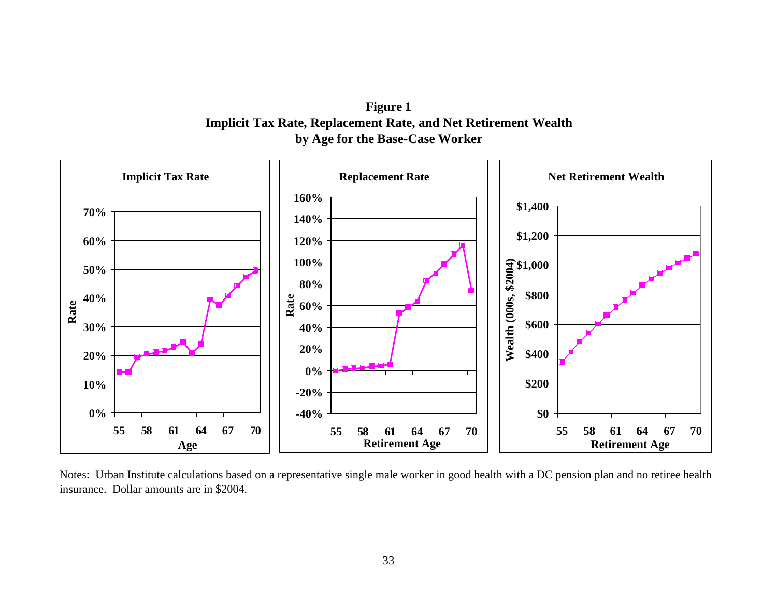**Figure 1 Implicit Tax Rate, Replacement Rate, and Net Retirement Wealth by Age for the Base-Case Worker**



Notes: Urban Institute calculations based on a representative single male worker in good health with a DC pension plan and no retiree health insurance. Dollar amounts are in \$2004.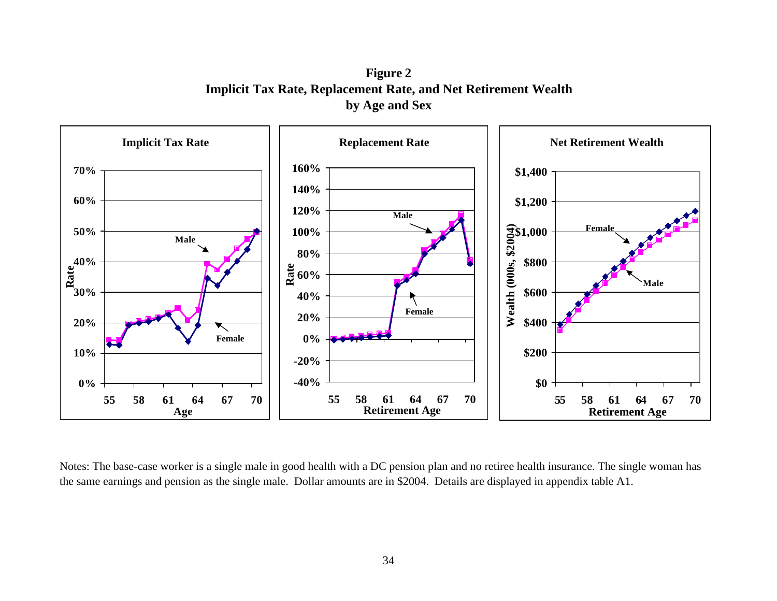**Figure 2 Implicit Tax Rate, Replacement Rate, and Net Retirement Wealth by Age and Sex**



Notes: The base-case worker is a single male in good health with a DC pension plan and no retiree health insurance. The single woman has the same earnings and pension as the single male. Dollar amounts are in \$2004. Details are displayed in appendix table A1.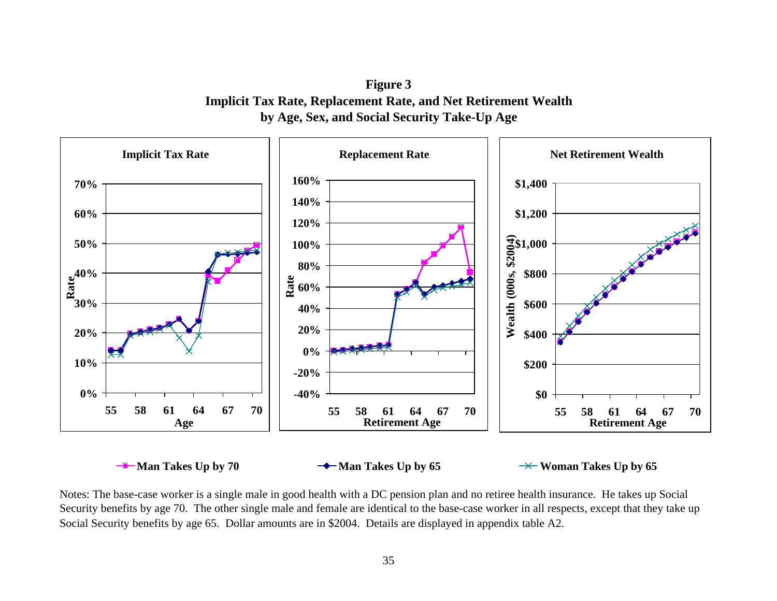**Figure 3 Implicit Tax Rate, Replacement Rate, and Net Retirement Wealth by Age, Sex, and Social Security Take-Up Age**



Notes: The base-case worker is a single male in good health with a DC pension plan and no retiree health insurance. He takes up Social Security benefits by age 70. The other single male and female are identical to the base-case worker in all respects, except that they take up Social Security benefits by age 65. Dollar amounts are in \$2004. Details are displayed in appendix table A2.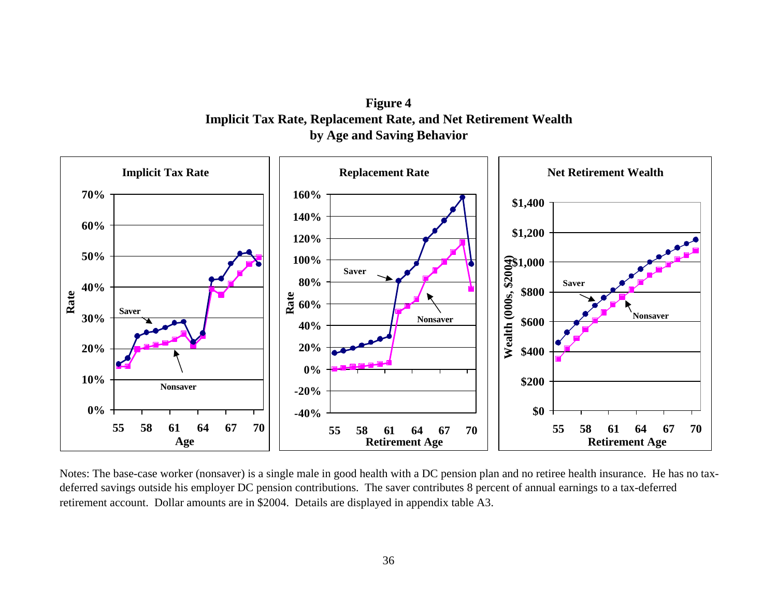**Figure 4 Implicit Tax Rate, Replacement Rate, and Net Retirement Wealth by Age and Saving Behavior**



Notes: The base-case worker (nonsaver) is a single male in good health with a DC pension plan and no retiree health insurance. He has no taxdeferred savings outside his employer DC pension contributions. The saver contributes 8 percent of annual earnings to a tax-deferred retirement account. Dollar amounts are in \$2004. Details are displayed in appendix table A3.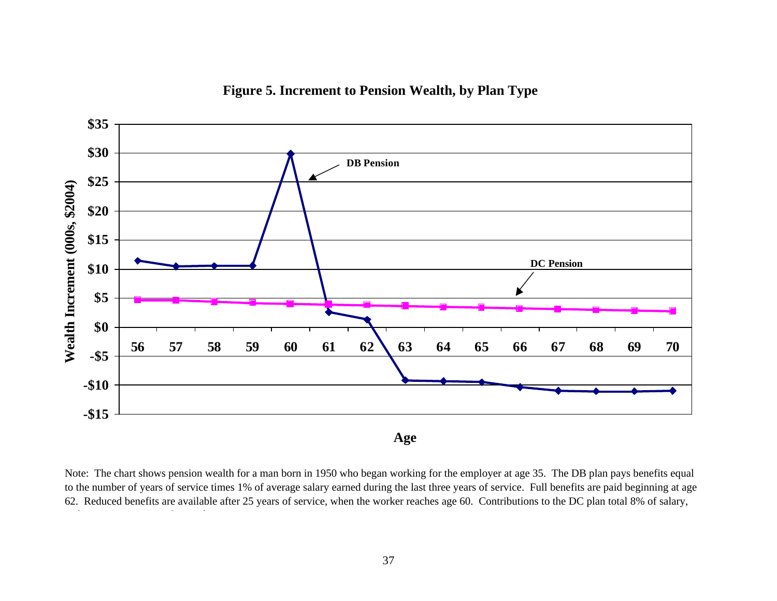



Note: The chart shows pension wealth for a man born in 1950 who began working for the employer at age 35. The DB plan pays benefits equal to the number of years of service times 1% of average salary earned during the last three years of service. Full benefits are paid beginning at age 62. Reduced benefits are available after 25 years of service, when the worker reaches age 60. Contributions to the DC plan total 8% of salary,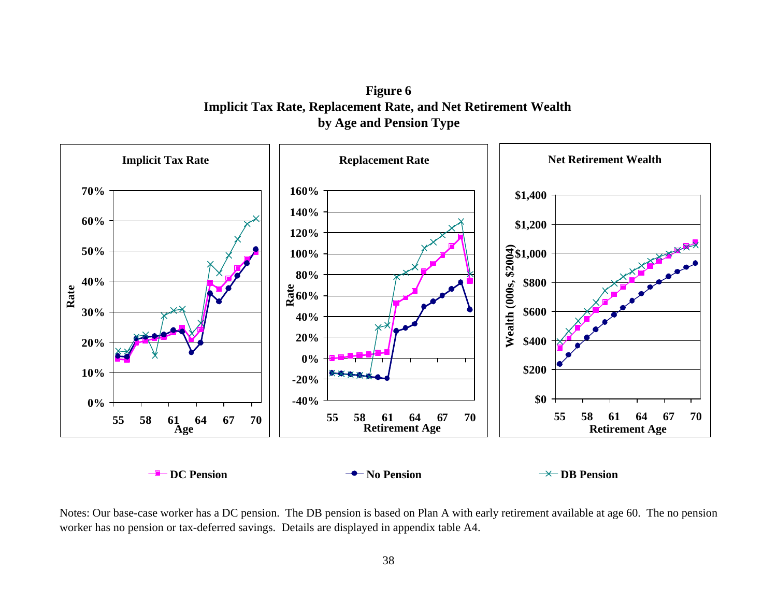**Figure 6 Implicit Tax Rate, Replacement Rate, and Net Retirement Wealth by Age and Pension Type**



Notes: Our base-case worker has a DC pension. The DB pension is based on Plan A with early retirement available at age 60. The no pension worker has no pension or tax-deferred savings. Details are displayed in appendix table A4.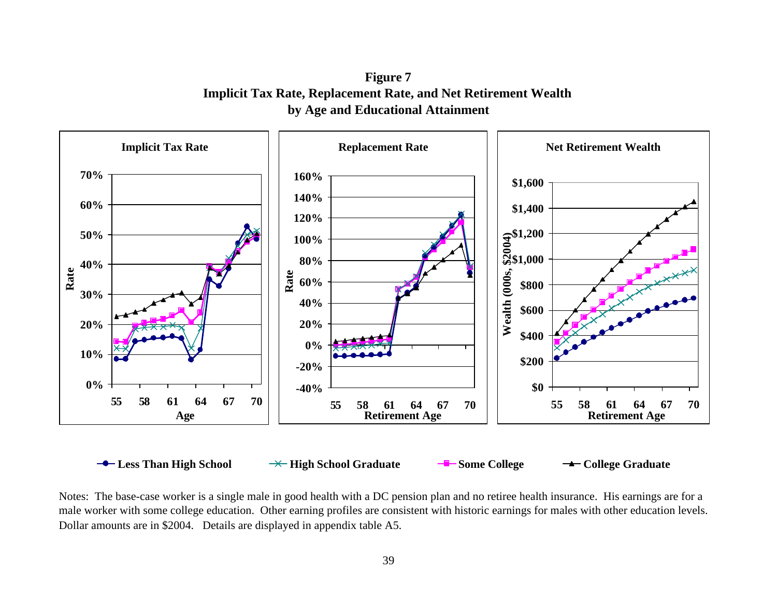**Figure 7 Implicit Tax Rate, Replacement Rate, and Net Retirement Wealth by Age and Educational Attainment**



Notes: The base-case worker is a single male in good health with a DC pension plan and no retiree health insurance. His earnings are for a male worker with some college education. Other earning profiles are consistent with historic earnings for males with other education levels. Dollar amounts are in \$2004. Details are displayed in appendix table A5.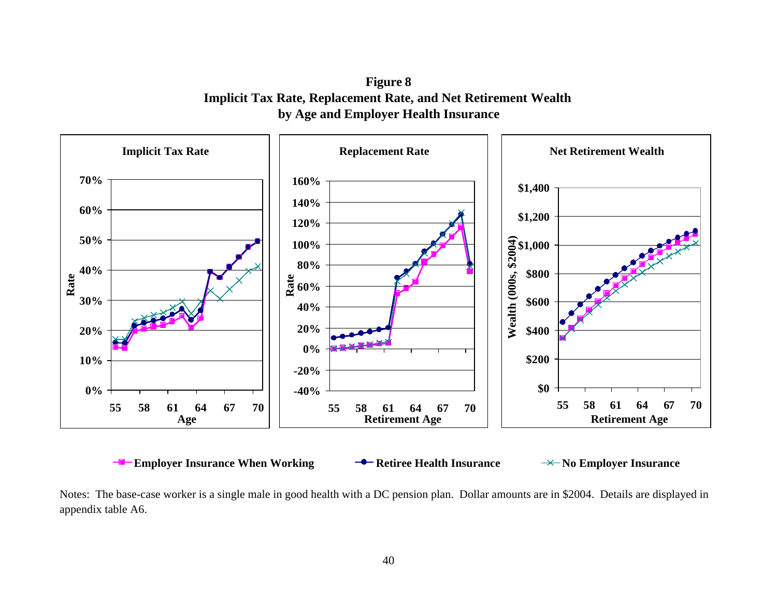**Figure 8 Implicit Tax Rate, Replacement Rate, and Net Retirement Wealth by Age and Employer Health Insurance**



Notes: The base-case worker is a single male in good health with a DC pension plan. Dollar amounts are in \$2004. Details are displayed in appendix table A6.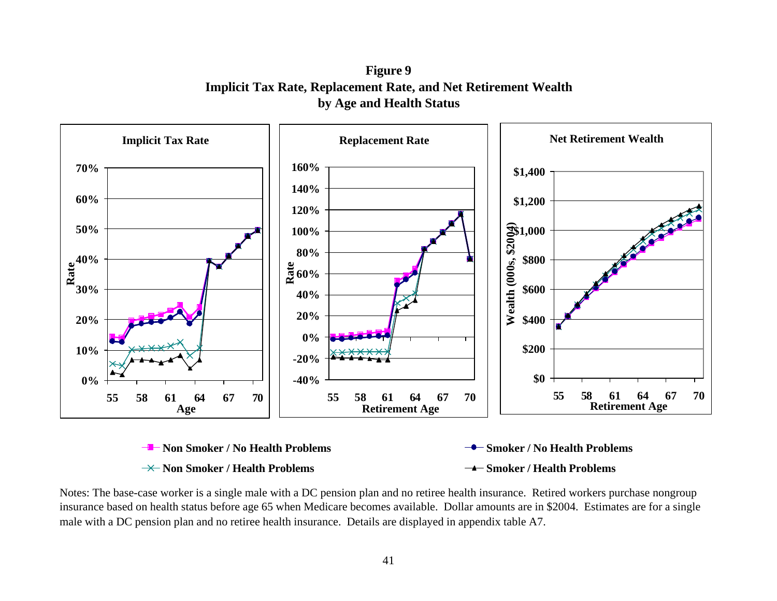**Figure 9 Implicit Tax Rate, Replacement Rate, and Net Retirement Wealth by Age and Health Status**



Notes: The base-case worker is a single male with a DC pension plan and no retiree health insurance. Retired workers purchase nongroup insurance based on health status before age 65 when Medicare becomes available. Dollar amounts are in \$2004. Estimates are for a single male with a DC pension plan and no retiree health insurance. Details are displayed in appendix table A7.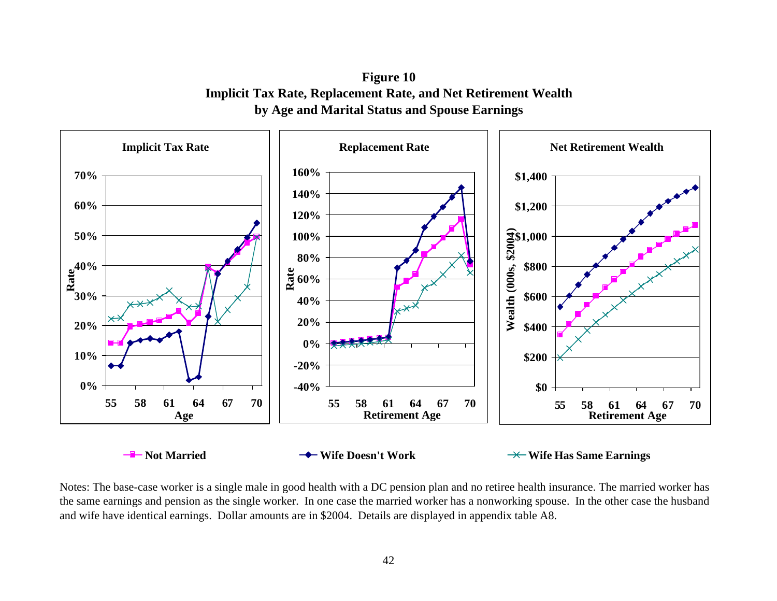**Figure 10 Implicit Tax Rate, Replacement Rate, and Net Retirement Wealth by Age and Marital Status and Spouse Earnings**



Notes: The base-case worker is a single male in good health with a DC pension plan and no retiree health insurance. The married worker has the same earnings and pension as the single worker. In one case the married worker has a nonworking spouse. In the other case the husband and wife have identical earnings. Dollar amounts are in \$2004. Details are displayed in appendix table A8.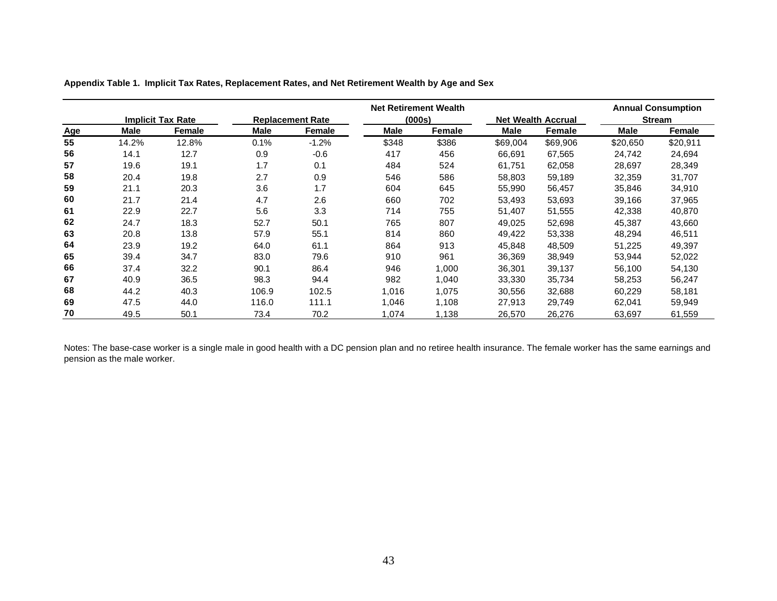|            |       |                          | <b>Net Retirement Wealth</b> |                         |             |        |          |                           |             | <b>Annual Consumption</b> |
|------------|-------|--------------------------|------------------------------|-------------------------|-------------|--------|----------|---------------------------|-------------|---------------------------|
|            |       | <b>Implicit Tax Rate</b> |                              | <b>Replacement Rate</b> | (000s)      |        |          | <b>Net Wealth Accrual</b> |             | <b>Stream</b>             |
| <b>Age</b> | Male  | Female                   | <b>Male</b>                  | Female                  | <b>Male</b> | Female | Male     | <b>Female</b>             | <b>Male</b> | Female                    |
| 55         | 14.2% | 12.8%                    | 0.1%                         | $-1.2%$                 | \$348       | \$386  | \$69,004 | \$69,906                  | \$20,650    | \$20,911                  |
| 56         | 14.1  | 12.7                     | 0.9                          | $-0.6$                  | 417         | 456    | 66,691   | 67,565                    | 24,742      | 24,694                    |
| 57         | 19.6  | 19.1                     | 1.7                          | 0.1                     | 484         | 524    | 61,751   | 62,058                    | 28,697      | 28,349                    |
| 58         | 20.4  | 19.8                     | 2.7                          | 0.9                     | 546         | 586    | 58,803   | 59,189                    | 32,359      | 31,707                    |
| 59         | 21.1  | 20.3                     | 3.6                          | 1.7                     | 604         | 645    | 55,990   | 56,457                    | 35,846      | 34,910                    |
| 60         | 21.7  | 21.4                     | 4.7                          | 2.6                     | 660         | 702    | 53.493   | 53,693                    | 39,166      | 37,965                    |
| 61         | 22.9  | 22.7                     | 5.6                          | 3.3                     | 714         | 755    | 51,407   | 51,555                    | 42,338      | 40,870                    |
| 62         | 24.7  | 18.3                     | 52.7                         | 50.1                    | 765         | 807    | 49,025   | 52,698                    | 45,387      | 43,660                    |
| 63         | 20.8  | 13.8                     | 57.9                         | 55.1                    | 814         | 860    | 49,422   | 53,338                    | 48,294      | 46,511                    |
| 64         | 23.9  | 19.2                     | 64.0                         | 61.1                    | 864         | 913    | 45.848   | 48,509                    | 51,225      | 49,397                    |
| 65         | 39.4  | 34.7                     | 83.0                         | 79.6                    | 910         | 961    | 36,369   | 38,949                    | 53,944      | 52,022                    |
| 66         | 37.4  | 32.2                     | 90.1                         | 86.4                    | 946         | 1,000  | 36.301   | 39.137                    | 56,100      | 54,130                    |
| 67         | 40.9  | 36.5                     | 98.3                         | 94.4                    | 982         | 1,040  | 33,330   | 35,734                    | 58,253      | 56,247                    |
| 68         | 44.2  | 40.3                     | 106.9                        | 102.5                   | 1,016       | 1,075  | 30,556   | 32,688                    | 60,229      | 58,181                    |
| 69         | 47.5  | 44.0                     | 116.0                        | 111.1                   | 1,046       | 1,108  | 27,913   | 29,749                    | 62,041      | 59,949                    |
| 70         | 49.5  | 50.1                     | 73.4                         | 70.2                    | 1,074       | 1,138  | 26,570   | 26,276                    | 63,697      | 61,559                    |

**Appendix Table 1. Implicit Tax Rates, Replacement Rates, and Net Retirement Wealth by Age and Sex**

Notes: The base-case worker is a single male in good health with a DC pension plan and no retiree health insurance. The female worker has the same earnings and pension as the male worker.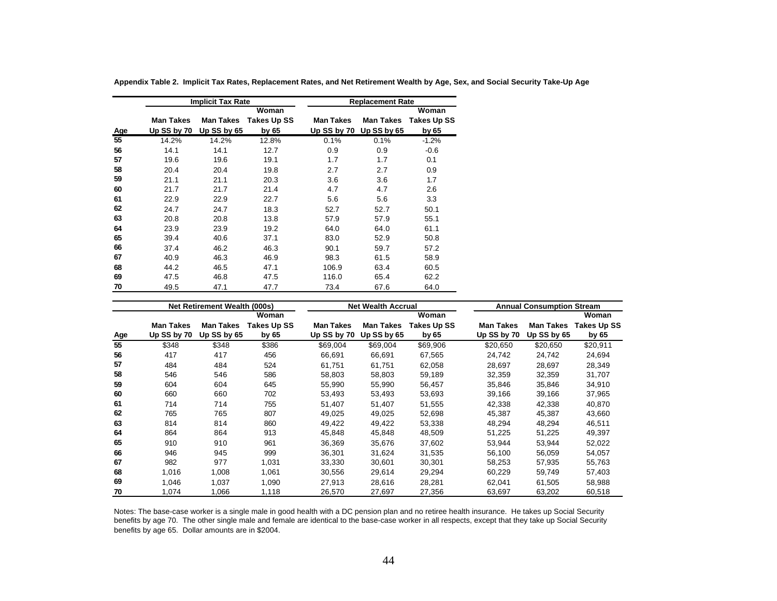|     |                  | <b>Implicit Tax Rate</b> |                    |                  | <b>Replacement Rate</b> |                    |
|-----|------------------|--------------------------|--------------------|------------------|-------------------------|--------------------|
|     |                  |                          | Woman              |                  |                         | Woman              |
|     | <b>Man Takes</b> | <b>Man Takes</b>         | <b>Takes Up SS</b> | <b>Man Takes</b> | <b>Man Takes</b>        | <b>Takes Up SS</b> |
| Age | Up SS by 70      | Up SS by 65              | by 65              |                  | Up SS by 70 Up SS by 65 | by 65              |
| 55  | 14.2%            | 14.2%                    | 12.8%              | 0.1%             | 0.1%                    | $-1.2%$            |
| 56  | 14.1             | 14.1                     | 12.7               | 0.9              | 0.9                     | $-0.6$             |
| 57  | 19.6             | 19.6                     | 19.1               | 1.7              | 1.7                     | 0.1                |
| 58  | 20.4             | 20.4                     | 19.8               | 2.7              | 2.7                     | 0.9                |
| 59  | 21.1             | 21.1                     | 20.3               | 3.6              | 3.6                     | 1.7                |
| 60  | 21.7             | 21.7                     | 21.4               | 4.7              | 4.7                     | 2.6                |
| 61  | 22.9             | 22.9                     | 22.7               | 5.6              | 5.6                     | 3.3                |
| 62  | 24.7             | 24.7                     | 18.3               | 52.7             | 52.7                    | 50.1               |
| 63  | 20.8             | 20.8                     | 13.8               | 57.9             | 57.9                    | 55.1               |
| 64  | 23.9             | 23.9                     | 19.2               | 64.0             | 64.0                    | 61.1               |
| 65  | 39.4             | 40.6                     | 37.1               | 83.0             | 52.9                    | 50.8               |
| 66  | 37.4             | 46.2                     | 46.3               | 90.1             | 59.7                    | 57.2               |
| 67  | 40.9             | 46.3                     | 46.9               | 98.3             | 61.5                    | 58.9               |
| 68  | 44.2             | 46.5                     | 47.1               | 106.9            | 63.4                    | 60.5               |
| 69  | 47.5             | 46.8                     | 47.5               | 116.0            | 65.4                    | 62.2               |
| 70  | 49.5             | 47.1                     | 47.7               | 73.4             | 67.6                    | 64.0               |

**Appendix Table 2. Implicit Tax Rates, Replacement Rates, and Net Retirement Wealth by Age, Sex, and Social Security Take-Up Age**

|     |                  | <b>Net Retirement Wealth (000s)</b> |             |             | <b>Net Wealth Accrual</b> |             |             | <b>Annual Consumption Stream</b> |                    |
|-----|------------------|-------------------------------------|-------------|-------------|---------------------------|-------------|-------------|----------------------------------|--------------------|
|     |                  |                                     | Woman       |             |                           | Woman       |             |                                  | Woman              |
|     | <b>Man Takes</b> | <b>Man Takes</b>                    | Takes Up SS | Man Takes   | <b>Man Takes</b>          | Takes Up SS | Man Takes   | <b>Man Takes</b>                 | <b>Takes Up SS</b> |
| Age | Up SS by 70      | Up $SS$ by $65$                     | by 65       | Up SS by 70 | Up SS by 65               | by 65       | Up SS by 70 | Up SS by 65                      | by 65              |
| 55  | \$348            | \$348                               | \$386       | \$69,004    | \$69,004                  | \$69,906    | \$20,650    | \$20,650                         | \$20,911           |
| 56  | 417              | 417                                 | 456         | 66,691      | 66,691                    | 67,565      | 24,742      | 24,742                           | 24,694             |
| 57  | 484              | 484                                 | 524         | 61.751      | 61,751                    | 62,058      | 28,697      | 28,697                           | 28,349             |
| 58  | 546              | 546                                 | 586         | 58,803      | 58,803                    | 59,189      | 32,359      | 32,359                           | 31,707             |
| 59  | 604              | 604                                 | 645         | 55,990      | 55,990                    | 56,457      | 35,846      | 35,846                           | 34,910             |
| 60  | 660              | 660                                 | 702         | 53,493      | 53,493                    | 53,693      | 39,166      | 39,166                           | 37,965             |
| 61  | 714              | 714                                 | 755         | 51,407      | 51,407                    | 51,555      | 42.338      | 42,338                           | 40,870             |
| 62  | 765              | 765                                 | 807         | 49,025      | 49,025                    | 52,698      | 45,387      | 45,387                           | 43,660             |
| 63  | 814              | 814                                 | 860         | 49,422      | 49,422                    | 53,338      | 48,294      | 48,294                           | 46,511             |
| 64  | 864              | 864                                 | 913         | 45,848      | 45,848                    | 48,509      | 51,225      | 51,225                           | 49,397             |
| 65  | 910              | 910                                 | 961         | 36.369      | 35.676                    | 37.602      | 53.944      | 53.944                           | 52,022             |
| 66  | 946              | 945                                 | 999         | 36,301      | 31,624                    | 31,535      | 56,100      | 56,059                           | 54,057             |
| 67  | 982              | 977                                 | 1,031       | 33,330      | 30,601                    | 30,301      | 58,253      | 57,935                           | 55,763             |
| 68  | 1,016            | 1,008                               | 1,061       | 30,556      | 29,614                    | 29,294      | 60,229      | 59,749                           | 57,403             |
| 69  | 1,046            | 1,037                               | 1,090       | 27,913      | 28,616                    | 28,281      | 62,041      | 61,505                           | 58,988             |
| 70  | 1,074            | 1,066                               | 1,118       | 26,570      | 27,697                    | 27,356      | 63,697      | 63,202                           | 60,518             |

Notes: The base-case worker is a single male in good health with a DC pension plan and no retiree health insurance. He takes up Social Security benefits by age 70. The other single male and female are identical to the base-case worker in all respects, except that they take up Social Security benefits by age 65. Dollar amounts are in \$2004.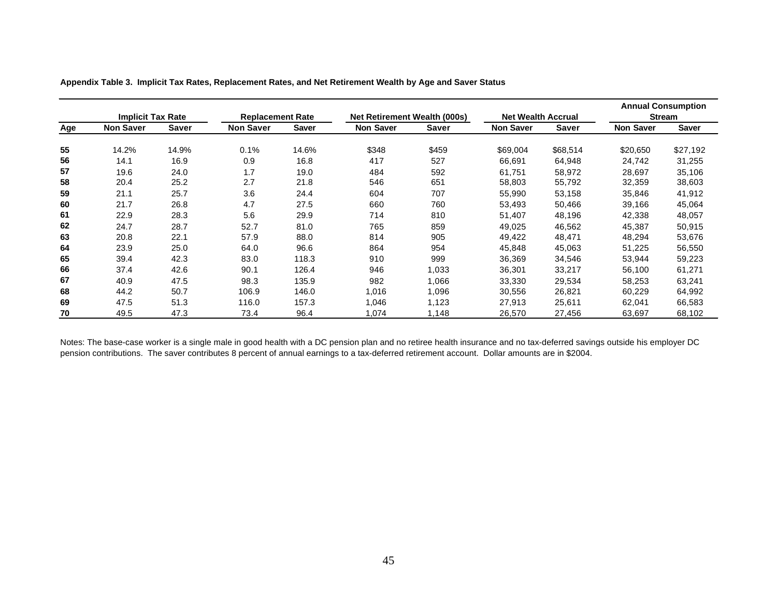|     | <b>Implicit Tax Rate</b> |              | <b>Replacement Rate</b> |       | <b>Net Retirement Wealth (000s)</b> |              | <b>Net Wealth Accrual</b> |              |                  | <b>Annual Consumption</b><br><b>Stream</b> |
|-----|--------------------------|--------------|-------------------------|-------|-------------------------------------|--------------|---------------------------|--------------|------------------|--------------------------------------------|
| Age | <b>Non Saver</b>         | <b>Saver</b> | <b>Non Saver</b>        | Saver | <b>Non Saver</b>                    | <b>Saver</b> | <b>Non Saver</b>          | <b>Saver</b> | <b>Non Saver</b> | <b>Saver</b>                               |
| 55  | 14.2%                    | 14.9%        | 0.1%                    | 14.6% | \$348                               | \$459        | \$69,004                  | \$68,514     | \$20,650         | \$27,192                                   |
| 56  | 14.1                     | 16.9         | 0.9                     | 16.8  | 417                                 | 527          | 66,691                    | 64,948       | 24,742           | 31,255                                     |
| 57  | 19.6                     | 24.0         | 1.7                     | 19.0  | 484                                 | 592          | 61,751                    | 58,972       | 28,697           | 35,106                                     |
| 58  | 20.4                     | 25.2         | 2.7                     | 21.8  | 546                                 | 651          | 58,803                    | 55,792       | 32,359           | 38,603                                     |
| 59  | 21.1                     | 25.7         | 3.6                     | 24.4  | 604                                 | 707          | 55,990                    | 53,158       | 35,846           | 41,912                                     |
| 60  | 21.7                     | 26.8         | 4.7                     | 27.5  | 660                                 | 760          | 53,493                    | 50,466       | 39,166           | 45,064                                     |
| 61  | 22.9                     | 28.3         | 5.6                     | 29.9  | 714                                 | 810          | 51,407                    | 48,196       | 42,338           | 48,057                                     |
| 62  | 24.7                     | 28.7         | 52.7                    | 81.0  | 765                                 | 859          | 49,025                    | 46,562       | 45,387           | 50,915                                     |
| 63  | 20.8                     | 22.1         | 57.9                    | 88.0  | 814                                 | 905          | 49,422                    | 48,471       | 48,294           | 53,676                                     |
| 64  | 23.9                     | 25.0         | 64.0                    | 96.6  | 864                                 | 954          | 45,848                    | 45,063       | 51,225           | 56,550                                     |
| 65  | 39.4                     | 42.3         | 83.0                    | 118.3 | 910                                 | 999          | 36,369                    | 34,546       | 53,944           | 59,223                                     |
| 66  | 37.4                     | 42.6         | 90.1                    | 126.4 | 946                                 | 1,033        | 36,301                    | 33,217       | 56,100           | 61,271                                     |
| 67  | 40.9                     | 47.5         | 98.3                    | 135.9 | 982                                 | 1,066        | 33,330                    | 29,534       | 58,253           | 63,241                                     |
| 68  | 44.2                     | 50.7         | 106.9                   | 146.0 | 1,016                               | 1,096        | 30,556                    | 26,821       | 60,229           | 64,992                                     |
| 69  | 47.5                     | 51.3         | 116.0                   | 157.3 | 1,046                               | 1,123        | 27,913                    | 25,611       | 62,041           | 66,583                                     |
| 70  | 49.5                     | 47.3         | 73.4                    | 96.4  | 1,074                               | 1,148        | 26,570                    | 27,456       | 63,697           | 68,102                                     |

**Appendix Table 3. Implicit Tax Rates, Replacement Rates, and Net Retirement Wealth by Age and Saver Status**

Notes: The base-case worker is a single male in good health with a DC pension plan and no retiree health insurance and no tax-deferred savings outside his employer DC pension contributions. The saver contributes 8 percent of annual earnings to a tax-deferred retirement account. Dollar amounts are in \$2004.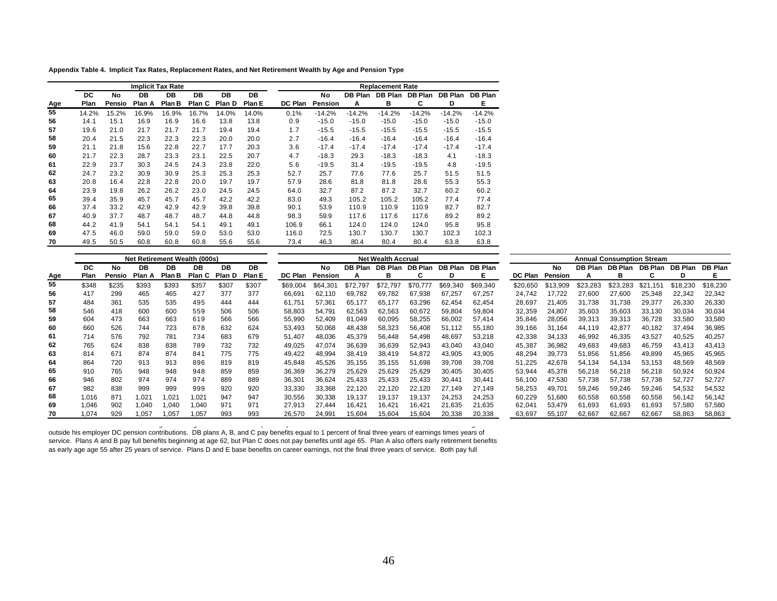**Appendix Table 4. Implicit Tax Rates, Replacement Rates, and Net Retirement Wealth by Age and Pension Type**

|     |       |        | <b>Implicit Tax Rate</b> |        |        |        |        |                |                |          | <b>Replacement Rate</b> |                |                |                |
|-----|-------|--------|--------------------------|--------|--------|--------|--------|----------------|----------------|----------|-------------------------|----------------|----------------|----------------|
|     | DC    | No     | DB                       | DB     | DB     | DB     | DB     |                | No             | DB Plan  | DB Plan                 | <b>DB Plan</b> | <b>DB Plan</b> | <b>DB Plan</b> |
| Age | Plan  | Pensio | Plan A                   | Plan B | Plan C | Plan D | Plan E | <b>DC Plan</b> | <b>Pension</b> | Α        | в                       | C              | D              | Е              |
| 55  | 14.2% | 15.2%  | 16.9%                    | 16.9%  | 16.7%  | 14.0%  | 14.0%  | 0.1%           | $-14.2%$       | $-14.2%$ | $-14.2%$                | $-14.2%$       | $-14.2%$       | $-14.2%$       |
| 56  | 14.1  | 15.1   | 16.9                     | 16.9   | 16.6   | 13.8   | 13.8   | 0.9            | $-15.0$        | $-15.0$  | $-15.0$                 | $-15.0$        | $-15.0$        | $-15.0$        |
| 57  | 19.6  | 21.0   | 21.7                     | 21.7   | 21.7   | 19.4   | 19.4   | 1.7            | $-15.5$        | $-15.5$  | $-15.5$                 | $-15.5$        | $-15.5$        | $-15.5$        |
| 58  | 20.4  | 21.5   | 22.3                     | 22.3   | 22.3   | 20.0   | 20.0   | 2.7            | $-16.4$        | $-16.4$  | $-16.4$                 | $-16.4$        | $-16.4$        | $-16.4$        |
| 59  | 21.1  | 21.8   | 15.6                     | 22.8   | 22.7   | 17.7   | 20.3   | 3.6            | $-17.4$        | $-17.4$  | $-17.4$                 | $-17.4$        | $-17.4$        | $-17.4$        |
| 60  | 21.7  | 22.3   | 28.7                     | 23.3   | 23.1   | 22.5   | 20.7   | 4.7            | $-18.3$        | 29.3     | $-18.3$                 | $-18.3$        | 4.1            | $-18.3$        |
| 61  | 22.9  | 23.7   | 30.3                     | 24.5   | 24.3   | 23.8   | 22.0   | 5.6            | $-19.5$        | 31.4     | $-19.5$                 | $-19.5$        | 4.8            | $-19.5$        |
| 62  | 24.7  | 23.2   | 30.9                     | 30.9   | 25.3   | 25.3   | 25.3   | 52.7           | 25.7           | 77.6     | 77.6                    | 25.7           | 51.5           | 51.5           |
| 63  | 20.8  | 16.4   | 22.8                     | 22.8   | 20.0   | 19.7   | 19.7   | 57.9           | 28.6           | 81.8     | 81.8                    | 28.6           | 55.3           | 55.3           |
| 64  | 23.9  | 19.8   | 26.2                     | 26.2   | 23.0   | 24.5   | 24.5   | 64.0           | 32.7           | 87.2     | 87.2                    | 32.7           | 60.2           | 60.2           |
| 65  | 39.4  | 35.9   | 45.7                     | 45.7   | 45.7   | 42.2   | 42.2   | 83.0           | 49.3           | 105.2    | 105.2                   | 105.2          | 77.4           | 77.4           |
| 66  | 37.4  | 33.2   | 42.9                     | 42.9   | 42.9   | 39.8   | 39.8   | 90.1           | 53.9           | 110.9    | 110.9                   | 110.9          | 82.7           | 82.7           |
| 67  | 40.9  | 37.7   | 48.7                     | 48.7   | 48.7   | 44.8   | 44.8   | 98.3           | 59.9           | 117.6    | 117.6                   | 117.6          | 89.2           | 89.2           |
| 68  | 44.2  | 41.9   | 54.1                     | 54.1   | 54.1   | 49.1   | 49.1   | 106.9          | 66.1           | 124.0    | 124.0                   | 124.0          | 95.8           | 95.8           |
| 69  | 47.5  | 46.0   | 59.0                     | 59.0   | 59.0   | 53.0   | 53.0   | 116.0          | 72.5           | 130.7    | 130.7                   | 130.7          | 102.3          | 102.3          |
| 70  | 49.5  | 50.5   | 60.8                     | 60.8   | 60.8   | 55.6   | 55.6   | 73.4           | 46.3           | 80.4     | 80.4                    | 80.4           | 63.8           | 63.8           |

|            | <b>Net Retirement Wealth (000s)</b> |        |        |        |        |        | <b>Net Wealth Accrual</b> |          |           |          |          |          |          | <b>Annual Consumption Stream</b> |          |          |                |          |          |          |                |
|------------|-------------------------------------|--------|--------|--------|--------|--------|---------------------------|----------|-----------|----------|----------|----------|----------|----------------------------------|----------|----------|----------------|----------|----------|----------|----------------|
|            | DC                                  | No     | DB     | DB     | DB     | DB     | DB.                       |          | <b>No</b> | DB Plan  | DB Plan  | DB Plan  | DB Plan  | <b>DB Plan</b>                   |          | No       | <b>DB Plan</b> | DB Plan  | DB Plan  | DB Plan  | <b>DB Plan</b> |
| <u>Age</u> | Plan                                | Pensio | Plan A | Plan B | Plan C | Plan D | Plan E                    | DC Plan  | Pension   |          | в        |          | D        | Е.                               | DC Plan  | Pension  |                |          | C.       | D        | Е.             |
| 55         | \$348                               | \$235  | \$393  | \$393  | \$357  | \$307  | \$307                     | \$69.004 | \$64.301  | \$72.797 | \$72.797 | \$70.777 | \$69.340 | \$69,340                         | \$20,650 | \$13,909 | \$23.283       | \$23.283 | \$21.151 | \$18,230 | \$18,230       |
| 56         | 417                                 | 299    | 465    | 465    | 427    | 377    | 377                       | 66,691   | 62,110    | 69,782   | 69.782   | 67,938   | 67,257   | 67,257                           | 24,742   | 17.722   | 27.600         | 27.600   | 25,348   | 22,342   | 22,342         |
| 57         | 484                                 | 361    | 535    | 535    | 495    | 444    | 444                       | 61,751   | 57,361    | 65,177   | 65.177   | 63.296   | 62.454   | 62.454                           | 28,697   | 21.405   | 31.738         | 31.738   | 29,377   | 26,330   | 26,330         |
| 58         | 546                                 | 418    | 600    | 600    | 559    | 506    | 506                       | 58,803   | 54.791    | 62,563   | 62,563   | 60.672   | 59,804   | 59.804                           | 32,359   | 24.807   | 35,603         | 35.603   | 33.130   | 30,034   | 30,034         |
| 59         | 604                                 | 473    | 663    | 663    | 619    | 566    | 566                       | 55,990   | 52,409    | 81,049   | 60,095   | 58,255   | 66,002   | 57,414                           | 35,846   | 28,056   | 39,313         | 39,313   | 36,728   | 33,580   | 33,580         |
| 60         | 660                                 | 526    | 744    | 723    | 678    | 632    | 624                       | 53,493   | 50,068    | 48,438   | 58,323   | 56,408   | 51,112   | 55,180                           | 39,166   | 31,164   | 44.119         | 42.877   | 40,182   | 37,494   | 36,985         |
| 61         | 714                                 | 576    | 792    | 781    | 734    | 683    | 679                       | 51,407   | 48.036    | 45,379   | 56.448   | 54.498   | 48,697   | 53.218                           | 42,338   | 34.133   | 46,992         | 46.335   | 43,527   | 40,525   | 40,257         |
| 62         | 765                                 | 624    | 838    | 838    | 789    | 732    | 732                       | 49.025   | 47.074    | 36.639   | 36.639   | 52.943   | 43,040   | 43.040                           | 45,387   | 36.982   | 49.683         | 49.683   | 46.759   | 43.413   | 43.413         |
| 63         | 814                                 | 67'    | 874    | 874    | 841    | 775    | 775                       | 49,422   | 48,994    | 38,419   | 38.419   | 54,872   | 43,905   | 43,905                           | 48,294   | 39,773   | 51,856         | 51,856   | 49,899   | 45,965   | 45,965         |
| 64         | 864                                 | 720    | 913    | 913    | 896    | 819    | 819                       | 45,848   | 45.526    | 35.155   | 35.155   | 51.698   | 39.708   | 39.708                           | 51,225   | 42.678   | 54.134         | 54.134   | 53.153   | 48,569   | 48,569         |
| 65         | 910                                 | 765    | 948    | 948    | 948    | 859    | 859                       | 36,369   | 36,279    | 25,629   | 25.629   | 25.629   | 30,405   | 30.405                           | 53,944   | 45,378   | 56.218         | 56,218   | 56,218   | 50,924   | 50,924         |
| 66         | 946                                 | 802    | 974    | 974    | 974    | 889    | 889                       | 36,301   | 36,624    | 25,433   | 25.433   | 25,433   | 30,441   | 30,441                           | 56,100   | 47,530   | 57,738         | 57.738   | 57,738   | 52,727   | 52,727         |
| 67         | 982                                 | 838    | 999    | 999    | 999    | 920    | 920                       | 33,330   | 33,368    | 22,120   | 22.120   | 22.120   | 27,149   | 27.149                           | 58,253   | 49.701   | 59,246         | 59,246   | 59,246   | 54,532   | 54,532         |
| 68         | 1,016                               | 871    | 1.021  | 1.021  | 1.021  | 947    | 947                       | 30,556   | 30,338    | 19,137   | 19,137   | 19.137   | 24,253   | 24.253                           | 60,229   | 51,680   | 60,558         | 60,558   | 60,558   | 56,142   | 56,142         |
| 69         | 1,046                               | 902    | 1,040  | 1.040  | 1,040  | 971    | 971                       | 27,913   | 27.444    | 16,421   | 16,421   | 16,421   | 21,635   | 21,635                           | 62,041   | 53,479   | 61,693         | 61,693   | 61,693   | 57,580   | 57,580         |
| 70         | 1,074                               | 929    | 1.057  | 1.057  | 1.057  | 993    | 993                       | 26,570   | 24.991    | 15,604   | 15,604   | 15,604   | 20,338   | 20.338                           | 63,697   | 55,107   | 62,667         | 62,667   | 62.667   | 58,863   | 58,863         |

Notes: The base-case worker is a single male in good health with a DC pension plan and no retiree health insurance and no tax-deferred savings outside his employer DC pension contributions. DB plans A, B, and C pay benefits equal to 1 percent of final three years of earnings times years of service. Plans A and B pay full benefits beginning at age 62, but Plan C does not pay benefits until age 65. Plan A also offers early retirement benefits as early age age 55 after 25 years of service. Plans D and E base benefits on career earnings, not the final three years of service. Both pay full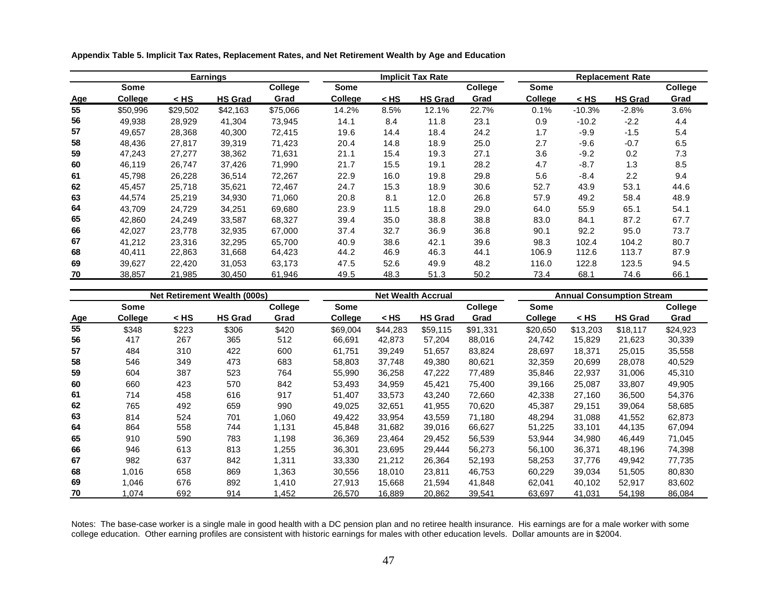**Appendix Table 5. Implicit Tax Rates, Replacement Rates, and Net Retirement Wealth by Age and Education**

|            |          |          | <b>Earnings</b> |          |             |        | <b>Implicit Tax Rate</b> |                |             |          | <b>Replacement Rate</b> |         |
|------------|----------|----------|-----------------|----------|-------------|--------|--------------------------|----------------|-------------|----------|-------------------------|---------|
|            | Some     |          |                 | College  | <b>Some</b> |        |                          | <b>College</b> | <b>Some</b> |          |                         | College |
| <u>Age</u> | College  | < HS     | <b>HS Grad</b>  | Grad     | College     | $<$ HS | <b>HS Grad</b>           | Grad           | College     | < HS     | <b>HS Grad</b>          | Grad    |
| 55         | \$50,996 | \$29,502 | \$42,163        | \$75,066 | 14.2%       | 8.5%   | 12.1%                    | 22.7%          | 0.1%        | $-10.3%$ | $-2.8%$                 | 3.6%    |
| 56         | 49,938   | 28,929   | 41,304          | 73,945   | 14.1        | 8.4    | 11.8                     | 23.1           | 0.9         | $-10.2$  | $-2.2$                  | 4.4     |
| 57         | 49.657   | 28.368   | 40,300          | 72.415   | 19.6        | 14.4   | 18.4                     | 24.2           | 1.7         | -9.9     | $-1.5$                  | 5.4     |
| 58         | 48.436   | 27.817   | 39,319          | 71,423   | 20.4        | 14.8   | 18.9                     | 25.0           | 2.7         | $-9.6$   | $-0.7$                  | 6.5     |
| 59         | 47,243   | 27,277   | 38,362          | 71,631   | 21.1        | 15.4   | 19.3                     | 27.1           | 3.6         | $-9.2$   | 0.2                     | 7.3     |
| 60         | 46.119   | 26,747   | 37.426          | 71,990   | 21.7        | 15.5   | 19.1                     | 28.2           | 4.7         | $-8.7$   | 1.3                     | 8.5     |
| 61         | 45,798   | 26,228   | 36,514          | 72,267   | 22.9        | 16.0   | 19.8                     | 29.8           | 5.6         | $-8.4$   | 2.2                     | 9.4     |
| 62         | 45,457   | 25,718   | 35,621          | 72,467   | 24.7        | 15.3   | 18.9                     | 30.6           | 52.7        | 43.9     | 53.1                    | 44.6    |
| 63         | 44.574   | 25,219   | 34,930          | 71.060   | 20.8        | 8.1    | 12.0                     | 26.8           | 57.9        | 49.2     | 58.4                    | 48.9    |
| 64         | 43,709   | 24,729   | 34,251          | 69,680   | 23.9        | 11.5   | 18.8                     | 29.0           | 64.0        | 55.9     | 65.1                    | 54.1    |
| 65         | 42,860   | 24,249   | 33,587          | 68,327   | 39.4        | 35.0   | 38.8                     | 38.8           | 83.0        | 84.1     | 87.2                    | 67.7    |
| 66         | 42.027   | 23.778   | 32,935          | 67.000   | 37.4        | 32.7   | 36.9                     | 36.8           | 90.1        | 92.2     | 95.0                    | 73.7    |
| 67         | 41.212   | 23.316   | 32.295          | 65.700   | 40.9        | 38.6   | 42.1                     | 39.6           | 98.3        | 102.4    | 104.2                   | 80.7    |
| 68         | 40,411   | 22,863   | 31,668          | 64,423   | 44.2        | 46.9   | 46.3                     | 44.1           | 106.9       | 112.6    | 113.7                   | 87.9    |
| 69         | 39,627   | 22,420   | 31,053          | 63,173   | 47.5        | 52.6   | 49.9                     | 48.2           | 116.0       | 122.8    | 123.5                   | 94.5    |
| 70         | 38.857   | 21,985   | 30,450          | 61,946   | 49.5        | 48.3   | 51.3                     | 50.2           | 73.4        | 68.1     | 74.6                    | 66.1    |

|            |         |       | <b>Net Retirement Wealth (000s)</b> |         |                |          | <b>Net Wealth Accrual</b> |          | <b>Annual Consumption Stream</b> |          |                |          |  |
|------------|---------|-------|-------------------------------------|---------|----------------|----------|---------------------------|----------|----------------------------------|----------|----------------|----------|--|
|            | Some    |       |                                     | College | Some           |          |                           | College  | Some                             |          |                | College  |  |
| <u>Age</u> | College | < HS  | <b>HS Grad</b>                      | Grad    | <b>College</b> | $<$ HS   | <b>HS Grad</b>            | Grad     | College                          | < HS     | <b>HS Grad</b> | Grad     |  |
| 55         | \$348   | \$223 | \$306                               | \$420   | \$69,004       | \$44.283 | \$59.115                  | \$91.331 | \$20,650                         | \$13,203 | \$18.117       | \$24,923 |  |
| 56         | 417     | 267   | 365                                 | 512     | 66,691         | 42,873   | 57,204                    | 88,016   | 24,742                           | 15,829   | 21,623         | 30,339   |  |
| 57         | 484     | 310   | 422                                 | 600     | 61,751         | 39,249   | 51,657                    | 83,824   | 28,697                           | 18,371   | 25,015         | 35,558   |  |
| 58         | 546     | 349   | 473                                 | 683     | 58,803         | 37,748   | 49,380                    | 80,621   | 32,359                           | 20,699   | 28,078         | 40,529   |  |
| 59         | 604     | 387   | 523                                 | 764     | 55,990         | 36,258   | 47,222                    | 77,489   | 35,846                           | 22,937   | 31,006         | 45,310   |  |
| 60         | 660     | 423   | 570                                 | 842     | 53,493         | 34,959   | 45,421                    | 75.400   | 39,166                           | 25,087   | 33,807         | 49,905   |  |
| 61         | 714     | 458   | 616                                 | 917     | 51,407         | 33.573   | 43,240                    | 72.660   | 42,338                           | 27.160   | 36.500         | 54,376   |  |
| 62         | 765     | 492   | 659                                 | 990     | 49,025         | 32,651   | 41,955                    | 70.620   | 45,387                           | 29,151   | 39.064         | 58,685   |  |
| 63         | 814     | 524   | 701                                 | 1.060   | 49.422         | 33.954   | 43.559                    | 71.180   | 48.294                           | 31.088   | 41.552         | 62,873   |  |
| 64         | 864     | 558   | 744                                 | 1,131   | 45,848         | 31,682   | 39,016                    | 66,627   | 51,225                           | 33,101   | 44,135         | 67,094   |  |
| 65         | 910     | 590   | 783                                 | 1,198   | 36,369         | 23,464   | 29,452                    | 56,539   | 53,944                           | 34,980   | 46.449         | 71,045   |  |
| 66         | 946     | 613   | 813                                 | 1,255   | 36,301         | 23,695   | 29,444                    | 56,273   | 56,100                           | 36,371   | 48,196         | 74,398   |  |
| 67         | 982     | 637   | 842                                 | 1,311   | 33,330         | 21,212   | 26,364                    | 52,193   | 58,253                           | 37,776   | 49,942         | 77,735   |  |
| 68         | 1.016   | 658   | 869                                 | 1.363   | 30.556         | 18.010   | 23.811                    | 46.753   | 60.229                           | 39.034   | 51.505         | 80,830   |  |
| 69         | 1,046   | 676   | 892                                 | 1,410   | 27,913         | 15,668   | 21,594                    | 41,848   | 62,041                           | 40,102   | 52,917         | 83,602   |  |
| 70         | 1.074   | 692   | 914                                 | 1,452   | 26,570         | 16,889   | 20.862                    | 39,541   | 63,697                           | 41,031   | 54,198         | 86,084   |  |

Notes: The base-case worker is a single male in good health with a DC pension plan and no retiree health insurance. His earnings are for a male worker with some college education. Other earning profiles are consistent with historic earnings for males with other education levels. Dollar amounts are in \$2004.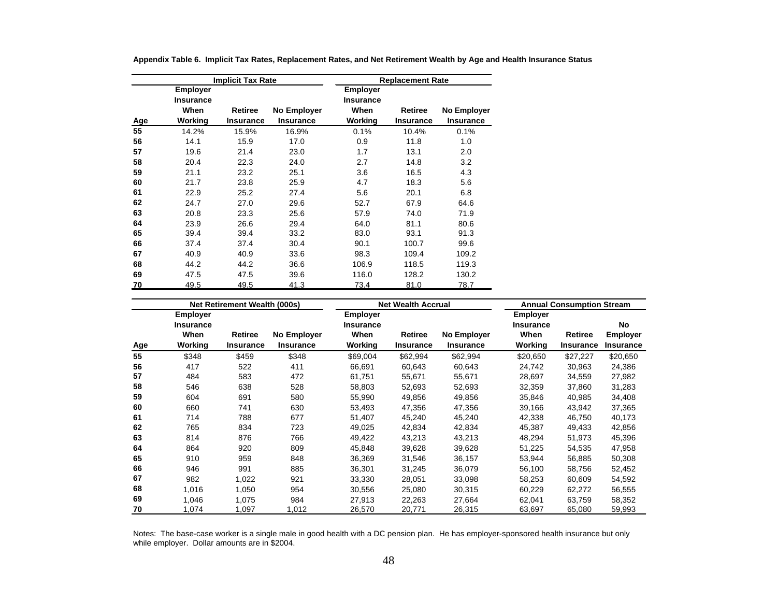|     |                                                        | <b>Implicit Tax Rate</b>    |                                 |                                          | <b>Replacement Rate</b>     |                          |
|-----|--------------------------------------------------------|-----------------------------|---------------------------------|------------------------------------------|-----------------------------|--------------------------|
| Age | <b>Employer</b><br><b>Insurance</b><br>When<br>Working | Retiree<br><b>Insurance</b> | No Employer<br><b>Insurance</b> | Employer<br>Insurance<br>When<br>Working | Retiree<br><b>Insurance</b> | No Employer<br>Insurance |
| 55  | 14.2%                                                  | 15.9%                       | 16.9%                           | 0.1%                                     | 10.4%                       | 0.1%                     |
| 56  | 14.1                                                   | 15.9                        | 17.0                            | 0.9                                      | 11.8                        | 1.0                      |
| 57  | 19.6                                                   | 21.4                        | 23.0                            | 1.7                                      | 13.1                        | 2.0                      |
| 58  | 20.4                                                   | 22.3                        | 24.0                            | 2.7                                      | 14.8                        | 3.2                      |
| 59  | 21.1                                                   | 23.2                        | 25.1                            | 3.6                                      | 16.5                        | 4.3                      |
| 60  | 21.7                                                   | 23.8                        | 25.9                            | 4.7                                      | 18.3                        | 5.6                      |
| 61  | 22.9                                                   | 25.2                        | 27.4                            | 5.6                                      | 20.1                        | 6.8                      |
| 62  | 24.7                                                   | 27.0                        | 29.6                            | 52.7                                     | 67.9                        | 64.6                     |
| 63  | 20.8                                                   | 23.3                        | 25.6                            | 57.9                                     | 74.0                        | 71.9                     |
| 64  | 23.9                                                   | 26.6                        | 29.4                            | 64.0                                     | 81.1                        | 80.6                     |
| 65  | 39.4                                                   | 39.4                        | 33.2                            | 83.0                                     | 93.1                        | 91.3                     |
| 66  | 37.4                                                   | 37.4                        | 30.4                            | 90.1                                     | 100.7                       | 99.6                     |
| 67  | 40.9                                                   | 40.9                        | 33.6                            | 98.3                                     | 109.4                       | 109.2                    |
| 68  | 44.2                                                   | 44.2                        | 36.6                            | 106.9                                    | 118.5                       | 119.3                    |
| 69  | 47.5                                                   | 47.5                        | 39.6                            | 116.0                                    | 128.2                       | 130.2                    |
| 70  | 49.5                                                   | 49.5                        | 41.3                            | 73.4                                     | 81.0                        | 78.7                     |

**Appendix Table 6. Implicit Tax Rates, Replacement Rates, and Net Retirement Wealth by Age and Health Insurance Status**

|     |                              | <b>Net Retirement Wealth (000s)</b> |                  |                              | <b>Net Wealth Accrual</b> |                  |                                     | <b>Annual Consumption Stream</b> |                  |
|-----|------------------------------|-------------------------------------|------------------|------------------------------|---------------------------|------------------|-------------------------------------|----------------------------------|------------------|
|     | Employer<br><b>Insurance</b> |                                     |                  | <b>Employer</b><br>Insurance |                           |                  | <b>Employer</b><br><b>Insurance</b> |                                  | No               |
|     | When                         | <b>Retiree</b>                      | No Employer      | When                         | Retiree                   | No Employer      | When                                | Retiree                          | <b>Employer</b>  |
| Age | Working                      | <b>Insurance</b>                    | <b>Insurance</b> | Working                      | <b>Insurance</b>          | <b>Insurance</b> | Working                             | <b>Insurance</b>                 | <b>Insurance</b> |
| 55  | \$348                        | \$459                               | \$348            | \$69,004                     | \$62,994                  | \$62,994         | \$20,650                            | \$27,227                         | \$20,650         |
| 56  | 417                          | 522                                 | 411              | 66,691                       | 60,643                    | 60,643           | 24,742                              | 30,963                           | 24,386           |
| 57  | 484                          | 583                                 | 472              | 61,751                       | 55,671                    | 55,671           | 28,697                              | 34,559                           | 27,982           |
| 58  | 546                          | 638                                 | 528              | 58.803                       | 52,693                    | 52,693           | 32.359                              | 37.860                           | 31,283           |
| 59  | 604                          | 691                                 | 580              | 55,990                       | 49,856                    | 49,856           | 35,846                              | 40,985                           | 34,408           |
| 60  | 660                          | 741                                 | 630              | 53.493                       | 47.356                    | 47,356           | 39,166                              | 43,942                           | 37.365           |
| 61  | 714                          | 788                                 | 677              | 51,407                       | 45,240                    | 45,240           | 42,338                              | 46,750                           | 40,173           |
| 62  | 765                          | 834                                 | 723              | 49,025                       | 42,834                    | 42,834           | 45,387                              | 49,433                           | 42,856           |
| 63  | 814                          | 876                                 | 766              | 49,422                       | 43,213                    | 43,213           | 48,294                              | 51,973                           | 45,396           |
| 64  | 864                          | 920                                 | 809              | 45,848                       | 39,628                    | 39,628           | 51,225                              | 54,535                           | 47,958           |
| 65  | 910                          | 959                                 | 848              | 36,369                       | 31,546                    | 36,157           | 53,944                              | 56,885                           | 50,308           |
| 66  | 946                          | 991                                 | 885              | 36,301                       | 31,245                    | 36,079           | 56,100                              | 58,756                           | 52,452           |
| 67  | 982                          | 1,022                               | 921              | 33,330                       | 28,051                    | 33,098           | 58,253                              | 60.609                           | 54,592           |
| 68  | 1,016                        | 1,050                               | 954              | 30,556                       | 25,080                    | 30,315           | 60,229                              | 62,272                           | 56,555           |
| 69  | 1,046                        | 1,075                               | 984              | 27.913                       | 22,263                    | 27,664           | 62,041                              | 63.759                           | 58,352           |
| 70  | 1,074                        | 1,097                               | 1,012            | 26,570                       | 20,771                    | 26,315           | 63,697                              | 65,080                           | 59,993           |

Notes: The base-case worker is a single male in good health with a DC pension plan. He has employer-sponsored health insurance but only while employer. Dollar amounts are in \$2004.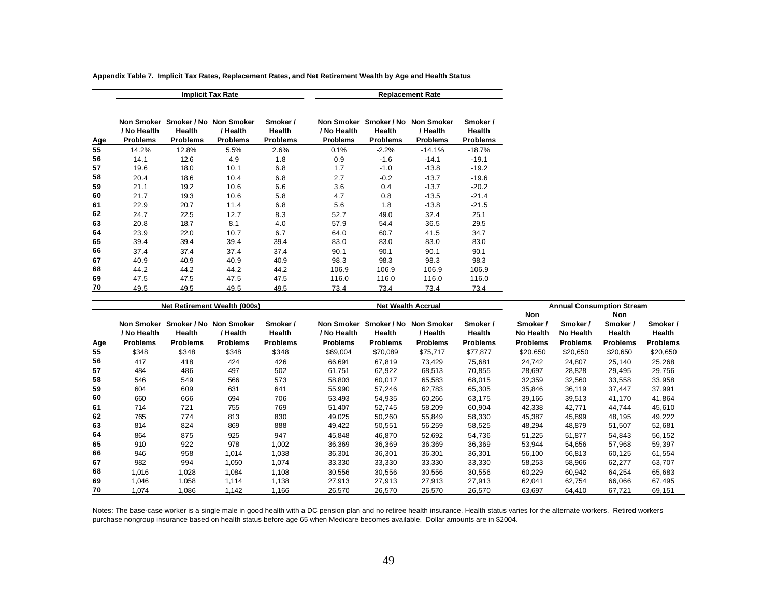|     |                                |                           | <b>Implicit Tax Rate</b>                                         |                                       |                                |                           | <b>Replacement Rate</b>                                          |                                       |
|-----|--------------------------------|---------------------------|------------------------------------------------------------------|---------------------------------------|--------------------------------|---------------------------|------------------------------------------------------------------|---------------------------------------|
| Age | / No Health<br><b>Problems</b> | Health<br><b>Problems</b> | Non Smoker Smoker / No Non Smoker<br>/ Health<br><b>Problems</b> | Smoker /<br>Health<br><b>Problems</b> | / No Health<br><b>Problems</b> | Health<br><b>Problems</b> | Non Smoker Smoker / No Non Smoker<br>/ Health<br><b>Problems</b> | Smoker /<br>Health<br><b>Problems</b> |
| 55  | 14.2%                          | 12.8%                     | 5.5%                                                             | 2.6%                                  | 0.1%                           | $-2.2%$                   | $-14.1%$                                                         | $-18.7%$                              |
| 56  | 14.1                           | 12.6                      | 4.9                                                              | 1.8                                   | 0.9                            | $-1.6$                    | $-14.1$                                                          | $-19.1$                               |
| 57  | 19.6                           | 18.0                      | 10.1                                                             | 6.8                                   | 1.7                            | $-1.0$                    | $-13.8$                                                          | $-19.2$                               |
| 58  | 20.4                           | 18.6                      | 10.4                                                             | 6.8                                   | 2.7                            | $-0.2$                    | $-13.7$                                                          | $-19.6$                               |
| 59  | 21.1                           | 19.2                      | 10.6                                                             | 6.6                                   | 3.6                            | 0.4                       | $-13.7$                                                          | $-20.2$                               |
| 60  | 21.7                           | 19.3                      | 10.6                                                             | 5.8                                   | 4.7                            | 0.8                       | $-13.5$                                                          | $-21.4$                               |
| 61  | 22.9                           | 20.7                      | 11.4                                                             | 6.8                                   | 5.6                            | 1.8                       | $-13.8$                                                          | $-21.5$                               |
| 62  | 24.7                           | 22.5                      | 12.7                                                             | 8.3                                   | 52.7                           | 49.0                      | 32.4                                                             | 25.1                                  |
| 63  | 20.8                           | 18.7                      | 8.1                                                              | 4.0                                   | 57.9                           | 54.4                      | 36.5                                                             | 29.5                                  |
| 64  | 23.9                           | 22.0                      | 10.7                                                             | 6.7                                   | 64.0                           | 60.7                      | 41.5                                                             | 34.7                                  |
| 65  | 39.4                           | 39.4                      | 39.4                                                             | 39.4                                  | 83.0                           | 83.0                      | 83.0                                                             | 83.0                                  |
| 66  | 37.4                           | 37.4                      | 37.4                                                             | 37.4                                  | 90.1                           | 90.1                      | 90.1                                                             | 90.1                                  |
| 67  | 40.9                           | 40.9                      | 40.9                                                             | 40.9                                  | 98.3                           | 98.3                      | 98.3                                                             | 98.3                                  |
| 68  | 44.2                           | 44.2                      | 44.2                                                             | 44.2                                  | 106.9                          | 106.9                     | 106.9                                                            | 106.9                                 |
| 69  | 47.5                           | 47.5                      | 47.5                                                             | 47.5                                  | 116.0                          | 116.0                     | 116.0                                                            | 116.0                                 |
| 70  | 49.5                           | 49.5                      | 49.5                                                             | 49.5                                  | 73.4                           | 73.4                      | 73.4                                                             | 73.4                                  |

**Appendix Table 7. Implicit Tax Rates, Replacement Rates, and Net Retirement Wealth by Age and Health Status**

|            |                   |                 | Net Retirement Wealth (000s) |                 |                   |                 | <b>Net Wealth Accrual</b> |                 | <b>Annual Consumption Stream</b> |                 |                 |                 |
|------------|-------------------|-----------------|------------------------------|-----------------|-------------------|-----------------|---------------------------|-----------------|----------------------------------|-----------------|-----------------|-----------------|
|            |                   |                 |                              |                 |                   |                 |                           |                 | Non                              |                 | Non             |                 |
|            | <b>Non Smoker</b> |                 | Smoker / No Non Smoker       | Smoker /        | <b>Non Smoker</b> | Smoker / No     | <b>Non Smoker</b>         | Smoker /        | Smoker /                         | Smoker /        | Smoker /        | Smoker /        |
|            | / No Health       | Health          | / Health                     | Health          | / No Health       | Health          | / Health                  | Health          | No Health                        | No Health       | Health          | Health          |
| <u>Age</u> | <b>Problems</b>   | <b>Problems</b> | <b>Problems</b>              | <b>Problems</b> | <b>Problems</b>   | <b>Problems</b> | <b>Problems</b>           | <b>Problems</b> | <b>Problems</b>                  | <b>Problems</b> | <b>Problems</b> | <b>Problems</b> |
| 55         | \$348             | \$348           | \$348                        | \$348           | \$69,004          | \$70,089        | \$75,717                  | \$77,877        | \$20,650                         | \$20,650        | \$20,650        | \$20,650        |
| 56         | 417               | 418             | 424                          | 426             | 66,691            | 67,819          | 73,429                    | 75,681          | 24,742                           | 24,807          | 25,140          | 25,268          |
| 57         | 484               | 486             | 497                          | 502             | 61,751            | 62,922          | 68,513                    | 70,855          | 28,697                           | 28,828          | 29,495          | 29,756          |
| 58         | 546               | 549             | 566                          | 573             | 58,803            | 60,017          | 65,583                    | 68,015          | 32,359                           | 32,560          | 33,558          | 33,958          |
| 59         | 604               | 609             | 631                          | 641             | 55,990            | 57,246          | 62,783                    | 65,305          | 35,846                           | 36,119          | 37,447          | 37,991          |
| 60         | 660               | 666             | 694                          | 706             | 53,493            | 54,935          | 60,266                    | 63,175          | 39,166                           | 39,513          | 41,170          | 41,864          |
| 61         | 714               | 721             | 755                          | 769             | 51,407            | 52,745          | 58,209                    | 60,904          | 42,338                           | 42,771          | 44,744          | 45,610          |
| 62         | 765               | 774             | 813                          | 830             | 49,025            | 50,260          | 55,849                    | 58,330          | 45,387                           | 45,899          | 48,195          | 49,222          |
| 63         | 814               | 824             | 869                          | 888             | 49,422            | 50,551          | 56,259                    | 58,525          | 48,294                           | 48,879          | 51,507          | 52,681          |
| 64         | 864               | 875             | 925                          | 947             | 45,848            | 46.870          | 52,692                    | 54,736          | 51,225                           | 51,877          | 54,843          | 56,152          |
| 65         | 910               | 922             | 978                          | 1,002           | 36,369            | 36,369          | 36,369                    | 36,369          | 53,944                           | 54,656          | 57,968          | 59,397          |
| 66         | 946               | 958             | 1.014                        | 1,038           | 36,301            | 36,301          | 36,301                    | 36,301          | 56,100                           | 56,813          | 60,125          | 61,554          |
| 67         | 982               | 994             | 1,050                        | 1,074           | 33,330            | 33,330          | 33,330                    | 33,330          | 58,253                           | 58,966          | 62,277          | 63,707          |
| 68         | 1,016             | 1,028           | 1,084                        | 1,108           | 30,556            | 30,556          | 30,556                    | 30,556          | 60,229                           | 60,942          | 64,254          | 65,683          |
| 69         | 1,046             | 1,058           | 1,114                        | 1,138           | 27,913            | 27,913          | 27,913                    | 27,913          | 62,041                           | 62,754          | 66,066          | 67,495          |
| 70         | 1.074             | 1.086           | 1.142                        | 1.166           | 26.570            | 26.570          | 26.570                    | 26.570          | 63,697                           | 64.410          | 67.721          | 69.151          |

Notes: The base-case worker is a single male in good health with a DC pension plan and no retiree health insurance. Health status varies for the alternate workers. Retired workers purchase nongroup insurance based on health status before age 65 when Medicare becomes available. Dollar amounts are in \$2004.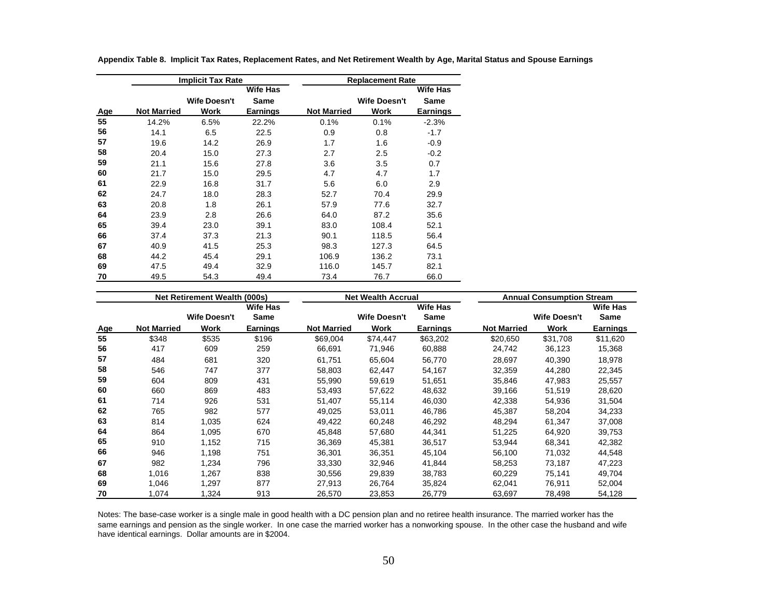|     |                    | <b>Implicit Tax Rate</b> |                 |                    | <b>Replacement Rate</b> |                 |
|-----|--------------------|--------------------------|-----------------|--------------------|-------------------------|-----------------|
|     |                    |                          | Wife Has        |                    |                         | Wife Has        |
|     |                    | <b>Wife Doesn't</b>      | Same            |                    | <b>Wife Doesn't</b>     | Same            |
| Age | <b>Not Married</b> | Work                     | <b>Earnings</b> | <b>Not Married</b> | Work                    | <b>Earnings</b> |
| 55  | 14.2%              | 6.5%                     | 22.2%           | 0.1%               | 0.1%                    | $-2.3%$         |
| 56  | 14.1               | 6.5                      | 22.5            | 0.9                | 0.8                     | $-1.7$          |
| 57  | 19.6               | 14.2                     | 26.9            | 1.7                | 1.6                     | $-0.9$          |
| 58  | 20.4               | 15.0                     | 27.3            | 2.7                | 2.5                     | $-0.2$          |
| 59  | 21.1               | 15.6                     | 27.8            | 3.6                | 3.5                     | 0.7             |
| 60  | 21.7               | 15.0                     | 29.5            | 4.7                | 4.7                     | 1.7             |
| 61  | 22.9               | 16.8                     | 31.7            | 5.6                | 6.0                     | 2.9             |
| 62  | 24.7               | 18.0                     | 28.3            | 52.7               | 70.4                    | 29.9            |
| 63  | 20.8               | 1.8                      | 26.1            | 57.9               | 77.6                    | 32.7            |
| 64  | 23.9               | 2.8                      | 26.6            | 64.0               | 87.2                    | 35.6            |
| 65  | 39.4               | 23.0                     | 39.1            | 83.0               | 108.4                   | 52.1            |
| 66  | 37.4               | 37.3                     | 21.3            | 90.1               | 118.5                   | 56.4            |
| 67  | 40.9               | 41.5                     | 25.3            | 98.3               | 127.3                   | 64.5            |
| 68  | 44.2               | 45.4                     | 29.1            | 106.9              | 136.2                   | 73.1            |
| 69  | 47.5               | 49.4                     | 32.9            | 116.0              | 145.7                   | 82.1            |
| 70  | 49.5               | 54.3                     | 49.4            | 73.4               | 76.7                    | 66.0            |

**Appendix Table 8. Implicit Tax Rates, Replacement Rates, and Net Retirement Wealth by Age, Marital Status and Spouse Earnings**

|            |                    | Net Retirement Wealth (000s) |                 |                    | <b>Net Wealth Accrual</b> |                 |                    | <b>Annual Consumption Stream</b> |                 |
|------------|--------------------|------------------------------|-----------------|--------------------|---------------------------|-----------------|--------------------|----------------------------------|-----------------|
|            |                    |                              | <b>Wife Has</b> |                    |                           | <b>Wife Has</b> |                    |                                  | <b>Wife Has</b> |
|            |                    | <b>Wife Doesn't</b>          | Same            |                    | <b>Wife Doesn't</b>       | Same            |                    | <b>Wife Doesn't</b>              | <b>Same</b>     |
| <u>Age</u> | <b>Not Married</b> | Work                         | <b>Earnings</b> | <b>Not Married</b> | Work                      | <b>Earnings</b> | <b>Not Married</b> | Work                             | Earnings        |
| 55         | \$348              | \$535                        | \$196           | \$69,004           | \$74,447                  | \$63,202        | \$20,650           | \$31,708                         | \$11,620        |
| 56         | 417                | 609                          | 259             | 66,691             | 71,946                    | 60,888          | 24,742             | 36,123                           | 15,368          |
| 57         | 484                | 681                          | 320             | 61.751             | 65.604                    | 56,770          | 28,697             | 40.390                           | 18,978          |
| 58         | 546                | 747                          | 377             | 58,803             | 62,447                    | 54,167          | 32,359             | 44,280                           | 22,345          |
| 59         | 604                | 809                          | 431             | 55,990             | 59,619                    | 51,651          | 35,846             | 47,983                           | 25,557          |
| 60         | 660                | 869                          | 483             | 53.493             | 57,622                    | 48,632          | 39,166             | 51,519                           | 28,620          |
| 61         | 714                | 926                          | 531             | 51,407             | 55,114                    | 46,030          | 42,338             | 54,936                           | 31,504          |
| 62         | 765                | 982                          | 577             | 49,025             | 53,011                    | 46,786          | 45,387             | 58,204                           | 34,233          |
| 63         | 814                | 1,035                        | 624             | 49.422             | 60,248                    | 46,292          | 48,294             | 61,347                           | 37,008          |
| 64         | 864                | 1,095                        | 670             | 45,848             | 57,680                    | 44,341          | 51,225             | 64,920                           | 39,753          |
| 65         | 910                | 1,152                        | 715             | 36,369             | 45,381                    | 36,517          | 53,944             | 68,341                           | 42,382          |
| 66         | 946                | 1,198                        | 751             | 36,301             | 36,351                    | 45,104          | 56,100             | 71,032                           | 44,548          |
| 67         | 982                | 1,234                        | 796             | 33,330             | 32,946                    | 41,844          | 58,253             | 73,187                           | 47,223          |
| 68         | 1,016              | 1,267                        | 838             | 30,556             | 29,839                    | 38,783          | 60,229             | 75,141                           | 49,704          |
| 69         | 1,046              | 1,297                        | 877             | 27,913             | 26,764                    | 35,824          | 62,041             | 76,911                           | 52,004          |
| 70         | 1,074              | 1,324                        | 913             | 26,570             | 23,853                    | 26,779          | 63,697             | 78,498                           | 54,128          |

Notes: The base-case worker is a single male in good health with a DC pension plan and no retiree health insurance. The married worker has the same earnings and pension as the single worker. In one case the married worker has a nonworking spouse. In the other case the husband and wife have identical earnings. Dollar amounts are in \$2004.